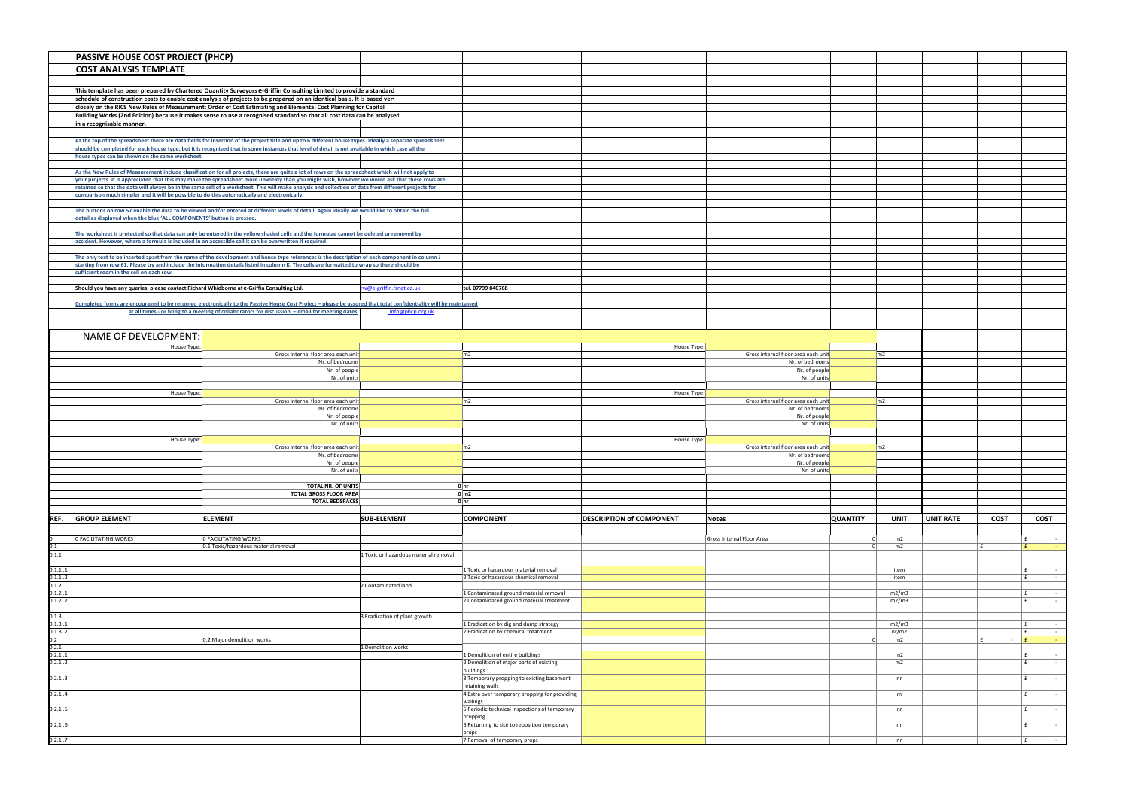|                    | PASSIVE HOUSE COST PROJECT (PHCP)                                                            |                                                                                                                                                                                                                                                                                                              |                                       |                                                                  |                                 |                                                        |                 |                |                  |             |                                       |
|--------------------|----------------------------------------------------------------------------------------------|--------------------------------------------------------------------------------------------------------------------------------------------------------------------------------------------------------------------------------------------------------------------------------------------------------------|---------------------------------------|------------------------------------------------------------------|---------------------------------|--------------------------------------------------------|-----------------|----------------|------------------|-------------|---------------------------------------|
|                    | <b>COST ANALYSIS TEMPLATE</b>                                                                |                                                                                                                                                                                                                                                                                                              |                                       |                                                                  |                                 |                                                        |                 |                |                  |             |                                       |
|                    |                                                                                              |                                                                                                                                                                                                                                                                                                              |                                       |                                                                  |                                 |                                                        |                 |                |                  |             |                                       |
|                    |                                                                                              | This template has been prepared by Chartered Quantity Surveyors e-Griffin Consulting Limited to provide a standard                                                                                                                                                                                           |                                       |                                                                  |                                 |                                                        |                 |                |                  |             |                                       |
|                    |                                                                                              | schedule of construction costs to enable cost analysis of projects to be prepared on an identical basis. It is based very                                                                                                                                                                                    |                                       |                                                                  |                                 |                                                        |                 |                |                  |             |                                       |
|                    |                                                                                              | closely on the RICS New Rules of Measurement: Order of Cost Estimating and Elemental Cost Planning for Capital<br>Building Works (2nd Edition) because it makes sense to use a recognised standard so that all cost data can be analysed                                                                     |                                       |                                                                  |                                 |                                                        |                 |                |                  |             |                                       |
|                    | in a recognisable manner.                                                                    |                                                                                                                                                                                                                                                                                                              |                                       |                                                                  |                                 |                                                        |                 |                |                  |             |                                       |
|                    |                                                                                              |                                                                                                                                                                                                                                                                                                              |                                       |                                                                  |                                 |                                                        |                 |                |                  |             |                                       |
|                    |                                                                                              | At the top of the spreadsheet there are data fields for insertion of the project title and up to 6 different house types. Ideally a separate spreadsheet<br>should be completed for each house type, but it is recognised that in some instances that level of detail is not available in which case all the |                                       |                                                                  |                                 |                                                        |                 |                |                  |             |                                       |
|                    | house types can be shown on the same worksheet.                                              |                                                                                                                                                                                                                                                                                                              |                                       |                                                                  |                                 |                                                        |                 |                |                  |             |                                       |
|                    |                                                                                              | As the New Rules of Measurement include classification for all projects, there are quite a lot of rows on the spreadsheet which will not apply to                                                                                                                                                            |                                       |                                                                  |                                 |                                                        |                 |                |                  |             |                                       |
|                    |                                                                                              | your projects. It is appreciated that this may make the spreadsheet more unwieldy than you might wish, however we would ask that these rows are                                                                                                                                                              |                                       |                                                                  |                                 |                                                        |                 |                |                  |             |                                       |
|                    | comparison much simpler and it will be possible to do this automatically and electronically. | retained so that the data will always be in the same cell of a worksheet. This will make analysis and collection of data from different projects for                                                                                                                                                         |                                       |                                                                  |                                 |                                                        |                 |                |                  |             |                                       |
|                    |                                                                                              |                                                                                                                                                                                                                                                                                                              |                                       |                                                                  |                                 |                                                        |                 |                |                  |             |                                       |
|                    | detail as displayed when the blue 'ALL COMPONENTS' button is pressed.                        | The buttons on row 57 enable the data to be viewed and/or entered at different levels of detail. Again ideally we would like to obtain the full                                                                                                                                                              |                                       |                                                                  |                                 |                                                        |                 |                |                  |             |                                       |
|                    |                                                                                              |                                                                                                                                                                                                                                                                                                              |                                       |                                                                  |                                 |                                                        |                 |                |                  |             |                                       |
|                    |                                                                                              | The worksheet is protected so that data can only be entered in the yellow shaded cells and the formulae cannot be deleted or removed by                                                                                                                                                                      |                                       |                                                                  |                                 |                                                        |                 |                |                  |             |                                       |
|                    |                                                                                              | accident. However, where a formula is included in an accessible cell it can be overwritten if required.                                                                                                                                                                                                      |                                       |                                                                  |                                 |                                                        |                 |                |                  |             |                                       |
|                    |                                                                                              | The only text to be inserted apart from the name of the development and house type references is the description of each component in column J                                                                                                                                                               |                                       |                                                                  |                                 |                                                        |                 |                |                  |             |                                       |
|                    | sufficient room in the cell on each row.                                                     | starting from row 61. Please try and include the information details listed in column K. The cells are formatted to wrap so there should be                                                                                                                                                                  |                                       |                                                                  |                                 |                                                        |                 |                |                  |             |                                       |
|                    |                                                                                              |                                                                                                                                                                                                                                                                                                              |                                       |                                                                  |                                 |                                                        |                 |                |                  |             |                                       |
|                    | Should you have any queries, please contact Richard Whidborne at e-Griffin Consulting Ltd.   |                                                                                                                                                                                                                                                                                                              | rw@e-griffin.fsnet.co.uk              | tel. 07799 840768                                                |                                 |                                                        |                 |                |                  |             |                                       |
|                    |                                                                                              | Completed forms are encouraged to be returned electronically to the Passive House Cost Project - please be assured that total confidentiality will be maintained                                                                                                                                             |                                       |                                                                  |                                 |                                                        |                 |                |                  |             |                                       |
|                    |                                                                                              | at all times - or bring to a meeting of collaborators for discussion - email for meeting dates.                                                                                                                                                                                                              | info@phcp.org.uk                      |                                                                  |                                 |                                                        |                 |                |                  |             |                                       |
|                    |                                                                                              |                                                                                                                                                                                                                                                                                                              |                                       |                                                                  |                                 |                                                        |                 |                |                  |             |                                       |
|                    | <b>NAME OF DEVELOPMENT:</b>                                                                  |                                                                                                                                                                                                                                                                                                              |                                       |                                                                  |                                 |                                                        |                 |                |                  |             |                                       |
|                    | House Type:                                                                                  | Gross internal floor area each unit                                                                                                                                                                                                                                                                          |                                       | $\mathsf{m2}$                                                    | House Type:                     | Gross internal floor area each unit                    |                 | m2             |                  |             |                                       |
|                    |                                                                                              | Nr. of bedrooms                                                                                                                                                                                                                                                                                              |                                       |                                                                  |                                 | Nr. of bedrooms                                        |                 |                |                  |             |                                       |
|                    |                                                                                              | Nr. of people                                                                                                                                                                                                                                                                                                |                                       |                                                                  |                                 | Nr. of people                                          |                 |                |                  |             |                                       |
|                    |                                                                                              | Nr. of units                                                                                                                                                                                                                                                                                                 |                                       |                                                                  |                                 | Nr. of units                                           |                 |                |                  |             |                                       |
|                    | House Type:                                                                                  |                                                                                                                                                                                                                                                                                                              |                                       |                                                                  | House Type:                     |                                                        |                 |                |                  |             |                                       |
|                    |                                                                                              | Gross internal floor area each unit<br>Nr. of bedrooms                                                                                                                                                                                                                                                       |                                       | $\mathsf{Im}2$                                                   |                                 | Gross internal floor area each unit<br>Nr. of bedrooms |                 | $\mathsf{m2}$  |                  |             |                                       |
|                    |                                                                                              | Nr. of people                                                                                                                                                                                                                                                                                                |                                       |                                                                  |                                 | Nr. of people                                          |                 |                |                  |             |                                       |
|                    |                                                                                              | Nr. of units                                                                                                                                                                                                                                                                                                 |                                       |                                                                  |                                 | Nr. of units                                           |                 |                |                  |             |                                       |
|                    | House Type:                                                                                  |                                                                                                                                                                                                                                                                                                              |                                       |                                                                  | House Type                      |                                                        |                 |                |                  |             |                                       |
|                    |                                                                                              | Gross internal floor area each unit<br>Nr. of bedrooms                                                                                                                                                                                                                                                       |                                       | $\mathsf{Im}2$                                                   |                                 | Gross internal floor area each unit<br>Nr. of bedrooms |                 | $\mathsf{Im}2$ |                  |             |                                       |
|                    |                                                                                              | Nr. of people                                                                                                                                                                                                                                                                                                |                                       |                                                                  |                                 | Nr. of people                                          |                 |                |                  |             |                                       |
|                    |                                                                                              | Nr. of units                                                                                                                                                                                                                                                                                                 |                                       |                                                                  |                                 | Nr. of units                                           |                 |                |                  |             |                                       |
|                    |                                                                                              | TOTAL NR. OF UNITS                                                                                                                                                                                                                                                                                           |                                       | 0 n r                                                            |                                 |                                                        |                 |                |                  |             |                                       |
|                    |                                                                                              | <b>TOTAL GROSS FLOOR AREA</b>                                                                                                                                                                                                                                                                                |                                       | $0 \mid m2$                                                      |                                 |                                                        |                 |                |                  |             |                                       |
|                    |                                                                                              | <b>TOTAL BEDSPACES</b>                                                                                                                                                                                                                                                                                       |                                       | 0 n r                                                            |                                 |                                                        |                 |                |                  |             |                                       |
|                    | <b>REF.</b> GROUP ELEMENT                                                                    | <b>ELEMENT</b>                                                                                                                                                                                                                                                                                               | <b>SUB-ELEMENT</b>                    | <b>COMPONENT</b>                                                 | <b>DESCRIPTION of COMPONENT</b> | <b>Notes</b>                                           | <b>QUANTITY</b> | <b>UNIT</b>    | <b>UNIT RATE</b> | <b>COST</b> | COST                                  |
|                    |                                                                                              |                                                                                                                                                                                                                                                                                                              |                                       |                                                                  |                                 |                                                        |                 |                |                  |             |                                       |
| 0<br>0.1           | 0 FACILITATING WORKS                                                                         | <b>0 FACILITATING WORKS</b><br>0.1 Toxic/hazardous material removal                                                                                                                                                                                                                                          |                                       |                                                                  |                                 | Gross Internal Floor Area                              | - 0<br>$\Omega$ | m2<br>m2       |                  | £<br>$ E$   | f<br>$\sim$ $ \sim$<br><b>College</b> |
| 0.1.1              |                                                                                              |                                                                                                                                                                                                                                                                                                              | 1 Toxic or hazardous material removal |                                                                  |                                 |                                                        |                 |                |                  |             |                                       |
| 0.1.1.1            |                                                                                              |                                                                                                                                                                                                                                                                                                              |                                       | 1 Toxic or hazardous material removal                            |                                 |                                                        |                 | item           |                  |             | $\sim$ $ \sim$                        |
| 0.1.1.2            |                                                                                              |                                                                                                                                                                                                                                                                                                              |                                       | 2 Toxic or hazardous chemical removal                            |                                 |                                                        |                 | item           |                  |             | $\mathbf{f}$<br>$\sim$ $-$            |
| 0.1.2              |                                                                                              |                                                                                                                                                                                                                                                                                                              | 2 Contaminated land                   | 1 Contaminated ground material removal                           |                                 |                                                        |                 | m2/m3          |                  |             |                                       |
| 0.1.2.1<br>0.1.2.2 |                                                                                              |                                                                                                                                                                                                                                                                                                              |                                       | 2 Contaminated ground material treatment                         |                                 |                                                        |                 | m2/m3          |                  |             | $\sim$<br>£<br>$\sim$                 |
|                    |                                                                                              |                                                                                                                                                                                                                                                                                                              |                                       |                                                                  |                                 |                                                        |                 |                |                  |             |                                       |
| 0.1.3<br>0.1.3.1   |                                                                                              |                                                                                                                                                                                                                                                                                                              | 3 Eradication of plant growth         | 1 Eradication by dig and dump strategy                           |                                 |                                                        |                 | m2/m3          |                  |             | $\mathbf{f}$<br>$\sim$ $ \sim$        |
| 0.1.3.2            |                                                                                              |                                                                                                                                                                                                                                                                                                              |                                       | 2 Eradication by chemical treatment                              |                                 |                                                        |                 | nr/m2          |                  |             | l £<br>$\sim 100$                     |
| 0.2<br>0.2.1       |                                                                                              | 0.2 Major demolition works                                                                                                                                                                                                                                                                                   | 1 Demolition works                    |                                                                  |                                 |                                                        | $\Omega$        | m2             |                  | f<br>$ E$   |                                       |
| 0.2.1.1            |                                                                                              |                                                                                                                                                                                                                                                                                                              |                                       | 1 Demolition of entire buildings                                 |                                 |                                                        |                 | m2             |                  |             | l £<br>$\sim$                         |
| 0.2.1.2            |                                                                                              |                                                                                                                                                                                                                                                                                                              |                                       | 2 Demolition of major parts of existing<br>buildings             |                                 |                                                        |                 | m2             |                  |             | $\sim$ $-$                            |
| 0.2.1.3            |                                                                                              |                                                                                                                                                                                                                                                                                                              |                                       | 3 Temporary propping to existing basement                        |                                 |                                                        |                 | nr             |                  |             | £<br>$\sim$                           |
| 0.2.1.4            |                                                                                              |                                                                                                                                                                                                                                                                                                              |                                       | retaining walls<br>4 Extra over temporary propping for providing |                                 |                                                        |                 | m              |                  |             | $\sim$                                |
|                    |                                                                                              |                                                                                                                                                                                                                                                                                                              |                                       | wailings                                                         |                                 |                                                        |                 |                |                  |             |                                       |
| 0.2.1.5            |                                                                                              |                                                                                                                                                                                                                                                                                                              |                                       | 5 Periodic technical inspections of temporary<br>propping        |                                 |                                                        |                 | nr             |                  |             | f<br>$\sim$                           |
| 0.2.1.6            |                                                                                              |                                                                                                                                                                                                                                                                                                              |                                       | 6 Returning to site to reposition temporary                      |                                 |                                                        |                 | nr             |                  |             | Ι£<br>$\sim 100$                      |
|                    |                                                                                              |                                                                                                                                                                                                                                                                                                              |                                       | props                                                            |                                 |                                                        |                 |                |                  |             |                                       |
| 0.2.1.7            |                                                                                              |                                                                                                                                                                                                                                                                                                              |                                       | 7 Removal of temporary props                                     |                                 |                                                        |                 | nr             |                  |             | $\sim 100$<br>l £                     |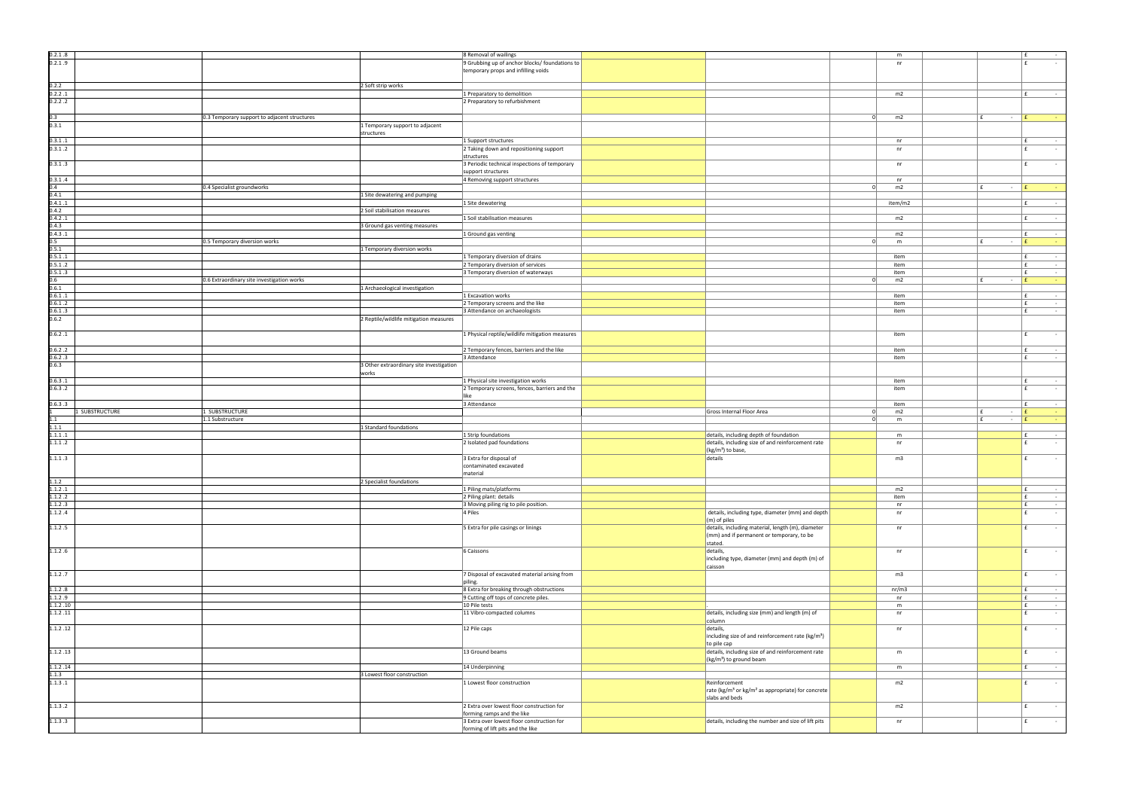| 0.2.1.8        |                                              |                                          | 8 Removal of wailings                                                           |                                                                           | m              |                            | Ι£<br>$\sim$            |
|----------------|----------------------------------------------|------------------------------------------|---------------------------------------------------------------------------------|---------------------------------------------------------------------------|----------------|----------------------------|-------------------------|
| 0.2.1.9        |                                              |                                          | 9 Grubbing up of anchor blocks/ foundations to                                  |                                                                           | nr             |                            | ∣ f<br>$\sim$           |
|                |                                              |                                          |                                                                                 |                                                                           |                |                            |                         |
|                |                                              |                                          | temporary props and infilling voids                                             |                                                                           |                |                            |                         |
|                |                                              |                                          |                                                                                 |                                                                           |                |                            |                         |
| 0.2.2          |                                              | 2 Soft strip works                       |                                                                                 |                                                                           |                |                            |                         |
| 0.2.2.1        |                                              |                                          | 1 Preparatory to demolition                                                     |                                                                           | m2             |                            | ∣ f<br>$\sim 10^{-1}$   |
| 0.2.2.2        |                                              |                                          | 2 Preparatory to refurbishment                                                  |                                                                           |                |                            |                         |
|                |                                              |                                          |                                                                                 |                                                                           |                |                            |                         |
|                |                                              |                                          |                                                                                 |                                                                           |                |                            |                         |
| 0.3            | 0.3 Temporary support to adjacent structures |                                          |                                                                                 |                                                                           | m2<br>$\Omega$ | f<br>$ E$                  |                         |
| 0.3.1          |                                              | 1 Temporary support to adjacent          |                                                                                 |                                                                           |                |                            |                         |
|                |                                              | structures                               |                                                                                 |                                                                           |                |                            |                         |
| 0.3.1.1        |                                              |                                          | 1 Support structures                                                            |                                                                           | nr             |                            | $\sim 10^{-1}$          |
| 0.3.1.2        |                                              |                                          | 2 Taking down and repositioning support                                         |                                                                           | nr             |                            | E.<br>$\sim$            |
|                |                                              |                                          |                                                                                 |                                                                           |                |                            |                         |
|                |                                              |                                          | structures                                                                      |                                                                           |                |                            |                         |
| 0.3.1.3        |                                              |                                          | 3 Periodic technical inspections of temporary                                   |                                                                           | nr             |                            | $\sim$ $-$              |
|                |                                              |                                          | support structures                                                              |                                                                           |                |                            |                         |
| 0.3.1.4        |                                              |                                          | 4 Removing support structures                                                   |                                                                           | nr             |                            |                         |
| 0.4            | 0.4 Specialist groundworks                   |                                          |                                                                                 |                                                                           | m2<br>$\Omega$ | $\mathbf{f}$<br>$\sim$ $-$ | ١£<br><b>CO</b>         |
| 0.4.1          |                                              |                                          |                                                                                 |                                                                           |                |                            |                         |
|                |                                              | 1 Site dewatering and pumping            |                                                                                 |                                                                           |                |                            |                         |
| 0.4.1.1        |                                              |                                          | 1 Site dewatering                                                               |                                                                           | item/m2        |                            | E<br>$\sim$             |
| 0.4.2          |                                              | 2 Soil stabilisation measures            |                                                                                 |                                                                           |                |                            |                         |
| 0.4.2.1        |                                              |                                          | 1 Soil stabilisation measures                                                   |                                                                           | m2             |                            | $\sim$ $ \sim$<br>Ι£    |
| 0.4.3          |                                              | 3 Ground gas venting measures            |                                                                                 |                                                                           |                |                            |                         |
| 0.4.3.1        |                                              |                                          | 1 Ground gas venting                                                            |                                                                           | m2             |                            | F<br>$\sim$ $-$         |
|                |                                              |                                          |                                                                                 |                                                                           |                |                            |                         |
| 0.5            | 0.5 Temporary diversion works                |                                          |                                                                                 |                                                                           | - 01<br>m      | f<br>$ E$                  | <b>Contract</b>         |
| 0.5.1          |                                              | 1 Temporary diversion works              |                                                                                 |                                                                           |                |                            |                         |
| 0.5.1.1        |                                              |                                          | 1 Temporary diversion of drains                                                 |                                                                           | item           |                            | l £<br>$\sim$ $ \sim$   |
| 0.5.1.2        |                                              |                                          | 2 Temporary diversion of services                                               |                                                                           | item           |                            | Ι£<br>$\sim 10^{-1}$    |
| 0.5.1.3        |                                              |                                          | 3 Temporary diversion of waterways                                              |                                                                           | item           |                            | Ι£<br>$\sim$ $ \sim$    |
| 0.6            | 0.6 Extraordinary site investigation works   |                                          |                                                                                 |                                                                           | m2<br>$\Omega$ | ∣£.<br>$ E$                | $\sim$ $ \sim$          |
|                |                                              |                                          |                                                                                 |                                                                           |                |                            |                         |
| 0.6.1          |                                              | 1 Archaeological investigation           |                                                                                 |                                                                           |                |                            |                         |
| 0.6.1.1        |                                              |                                          | 1 Excavation works                                                              |                                                                           | item           |                            | l £<br>$\sim 100$       |
| 0.6.1.2        |                                              |                                          | 2 Temporary screens and the like                                                |                                                                           | item           |                            | l £<br>$\sim$ $-$       |
| 0.6.1.3        |                                              |                                          | 3 Attendance on archaeologists                                                  |                                                                           | item           |                            | f<br>$\sim 10^{-1}$     |
| 0.6.2          |                                              | 2 Reptile/wildlife mitigation measures   |                                                                                 |                                                                           |                |                            |                         |
|                |                                              |                                          |                                                                                 |                                                                           |                |                            |                         |
|                |                                              |                                          |                                                                                 |                                                                           |                |                            |                         |
| 0.6.2.1        |                                              |                                          | 1 Physical reptile/wildlife mitigation measures                                 |                                                                           | item           |                            | $\sim$ $\sim$           |
|                |                                              |                                          |                                                                                 |                                                                           |                |                            |                         |
| 0.6.2.2        |                                              |                                          | 2 Temporary fences, barriers and the like                                       |                                                                           | item           |                            | l £<br>$\sim 10^{-1}$   |
| 0.6.2.3        |                                              |                                          | 3 Attendance                                                                    |                                                                           | item           |                            | Ι£<br>$\sim$ $ \sim$    |
| 0.6.3          |                                              |                                          |                                                                                 |                                                                           |                |                            |                         |
|                |                                              | 3 Other extraordinary site investigation |                                                                                 |                                                                           |                |                            |                         |
|                |                                              | works                                    |                                                                                 |                                                                           |                |                            |                         |
| 0.6.3.1        |                                              |                                          | 1 Physical site investigation works                                             |                                                                           | item           |                            | l £<br>$\sim$ $-$       |
| 0.6.3.2        |                                              |                                          | 2 Temporary screens, fences, barriers and the                                   |                                                                           | item           |                            | l f<br>$\sim$           |
|                |                                              |                                          |                                                                                 |                                                                           |                |                            |                         |
|                |                                              |                                          | like                                                                            |                                                                           |                |                            |                         |
|                |                                              |                                          |                                                                                 |                                                                           |                |                            |                         |
| 0.6.3.3        |                                              |                                          | 3 Attendance                                                                    |                                                                           | item           |                            | l £<br>$\sim 100$       |
| 1 SUBSTRUCTURE | 1 SUBSTRUCTURE                               |                                          |                                                                                 | Gross Internal Floor Area                                                 | m2<br>$\Omega$ | $ E$<br>Ι£                 | <b>Contract</b>         |
| 1.1            | 1.1 Substructure                             |                                          |                                                                                 |                                                                           | $\Omega$<br>m  | f<br>$ E$                  | $\sim$                  |
| 1.1.1          |                                              | 1 Standard foundations                   |                                                                                 |                                                                           |                |                            |                         |
| 1.1.1.1        |                                              |                                          | 1 Strip foundations                                                             |                                                                           | m              |                            | l £<br>$\sim$ $-$       |
|                |                                              |                                          |                                                                                 | details, including depth of foundation                                    | nr             |                            | $\sim$                  |
| 1.1.1.2        |                                              |                                          | 2 Isolated pad foundations                                                      | details, including size of and reinforcement rate                         |                |                            |                         |
|                |                                              |                                          |                                                                                 | $\sqrt{(kg/m^3)}$ to base,                                                |                |                            |                         |
| 1.1.1.3        |                                              |                                          | 3 Extra for disposal of                                                         | details                                                                   | m3             |                            | $\sim$                  |
|                |                                              |                                          | contaminated excavated                                                          |                                                                           |                |                            |                         |
|                |                                              |                                          | material                                                                        |                                                                           |                |                            |                         |
| 1.1.2          |                                              | 2 Specialist foundations                 |                                                                                 |                                                                           |                |                            |                         |
| 1.1.2.1        |                                              |                                          | 1 Piling mats/platforms                                                         |                                                                           | m2             |                            | l £<br>$\sim 100$       |
|                |                                              |                                          |                                                                                 |                                                                           |                |                            | f.                      |
| 1.1.2.2        |                                              |                                          | 2 Piling plant: details                                                         |                                                                           | item           |                            | $\sim 10^{-10}$         |
| 1.1.2.3        |                                              |                                          | 3 Moving piling rig to pile position.                                           |                                                                           | nr             |                            | f <br>$\sim 10^{-1}$    |
| 1.1.2.4        |                                              |                                          | 4 Piles                                                                         | details, including type, diameter (mm) and depth                          | nr             |                            | l £<br>$\sim$           |
|                |                                              |                                          |                                                                                 | $\vert$ (m) of piles                                                      |                |                            |                         |
| 1.1.2.5        |                                              |                                          | 5 Extra for pile casings or linings                                             | details, including material, length (m), diameter                         | nr             |                            | E<br>$\sim 10^{-1}$     |
|                |                                              |                                          |                                                                                 | (mm) and if permanent or temporary, to be                                 |                |                            |                         |
|                |                                              |                                          |                                                                                 | stated.                                                                   |                |                            |                         |
|                |                                              |                                          |                                                                                 |                                                                           |                |                            |                         |
| 1.1.2.6        |                                              |                                          | 6 Caissons                                                                      | details,                                                                  | nr             |                            | $\sim 100$              |
|                |                                              |                                          |                                                                                 | including type, diameter (mm) and depth (m) of                            |                |                            |                         |
|                |                                              |                                          |                                                                                 | caisson                                                                   |                |                            |                         |
| 1.1.2.7        |                                              |                                          | 7 Disposal of excavated material arising from                                   |                                                                           | m3             |                            | $\sim 10^{-11}$<br>f    |
|                |                                              |                                          | piling.                                                                         |                                                                           |                |                            |                         |
| 1.1.2.8        |                                              |                                          | 8 Extra for breaking through obstructions                                       |                                                                           | nr/m3          |                            | E.<br>$\sim 10^{-11}$   |
|                |                                              |                                          |                                                                                 |                                                                           |                |                            |                         |
| 1.1.2.9        |                                              |                                          | 9 Cutting off tops of concrete piles.                                           |                                                                           | nr             |                            | E<br>$\sim 10^{-11}$    |
| 1.1.2.10       |                                              |                                          | 10 Pile tests                                                                   |                                                                           | m              |                            | l £<br>$\sim 100$       |
| 1.1.2.11       |                                              |                                          | 11 Vibro-compacted columns                                                      | details, including size (mm) and length (m) of                            | nr             |                            | l £<br>$\sim 10^{-11}$  |
|                |                                              |                                          |                                                                                 | column                                                                    |                |                            |                         |
| 1.1.2.12       |                                              |                                          | 12 Pile caps                                                                    | details,                                                                  | nr             |                            | E<br>$\sim$ $-$         |
|                |                                              |                                          |                                                                                 |                                                                           |                |                            |                         |
|                |                                              |                                          |                                                                                 | including size of and reinforcement rate ( $kg/m3$ )                      |                |                            |                         |
|                |                                              |                                          |                                                                                 | to pile cap                                                               |                |                            |                         |
| 1.1.2.13       |                                              |                                          | 13 Ground beams                                                                 | details, including size of and reinforcement rate                         | m              |                            | $\sim$                  |
|                |                                              |                                          |                                                                                 | $(kg/m3)$ to ground beam                                                  |                |                            |                         |
| 1.1.2.14       |                                              |                                          | 14 Underpinning                                                                 |                                                                           | m              |                            | $\sim 100$ km s $^{-1}$ |
|                |                                              |                                          |                                                                                 |                                                                           |                |                            |                         |
| 1.1.3          |                                              | 3 Lowest floor construction              |                                                                                 |                                                                           |                |                            |                         |
| 1.1.3.1        |                                              |                                          | 1 Lowest floor construction                                                     | Reinforcement                                                             | m2             |                            | £<br>$\sim$ $\sim$      |
|                |                                              |                                          |                                                                                 | rate (kg/m <sup>3</sup> or kg/m <sup>2</sup> as appropriate) for concrete |                |                            |                         |
|                |                                              |                                          |                                                                                 | slabs and beds                                                            |                |                            |                         |
| 1.1.3.2        |                                              |                                          | 2 Extra over lowest floor construction for                                      |                                                                           | m2             |                            | E<br>$\sim$ $\sim$      |
|                |                                              |                                          |                                                                                 |                                                                           |                |                            |                         |
|                |                                              |                                          | forming ramps and the like                                                      |                                                                           |                |                            |                         |
| 1.1.3.3        |                                              |                                          | 3 Extra over lowest floor construction for<br>forming of lift pits and the like | details, including the number and size of lift pits                       | nr             |                            | f<br>$\sim 100$         |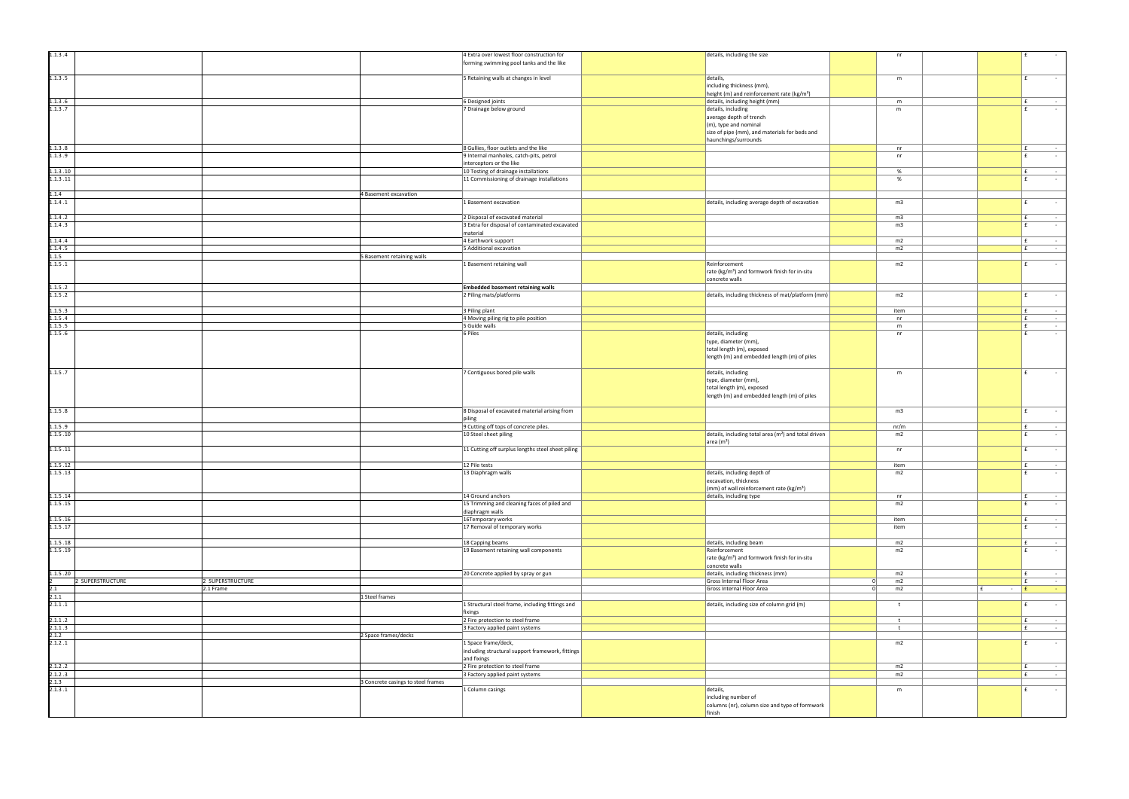| 1.1.3.4              |                  |                  |                                    | 4 Extra over lowest floor construction for                          | details, including the size                                                                        |          | nr         |           | f            |
|----------------------|------------------|------------------|------------------------------------|---------------------------------------------------------------------|----------------------------------------------------------------------------------------------------|----------|------------|-----------|--------------|
|                      |                  |                  |                                    | forming swimming pool tanks and the like                            |                                                                                                    |          |            |           |              |
| 1.1.3.5              |                  |                  |                                    | 5 Retaining walls at changes in level                               | details,                                                                                           |          | m          |           | l £          |
|                      |                  |                  |                                    |                                                                     | including thickness (mm),                                                                          |          |            |           |              |
| 1.1.3.6              |                  |                  |                                    | 6 Designed joints                                                   | height (m) and reinforcement rate (kg/m <sup>3</sup> )<br>details, including height (mm)           |          | m          |           | $\mathbf{f}$ |
| 1.1.3.7              |                  |                  |                                    | 7 Drainage below ground                                             | details, including                                                                                 |          | m          |           | f            |
|                      |                  |                  |                                    |                                                                     | average depth of trench                                                                            |          |            |           |              |
|                      |                  |                  |                                    |                                                                     | (m), type and nominal                                                                              |          |            |           |              |
|                      |                  |                  |                                    |                                                                     | size of pipe (mm), and materials for beds and<br>haunchings/surrounds                              |          |            |           |              |
| 1.1.3.8              |                  |                  |                                    | 8 Gullies, floor outlets and the like                               |                                                                                                    |          | nr         |           | f            |
| 1.1.3.9              |                  |                  |                                    | 9 Internal manholes, catch-pits, petrol                             |                                                                                                    |          | nr         |           | E            |
| 1.1.3.10             |                  |                  |                                    | interceptors or the like<br>10 Testing of drainage installations    |                                                                                                    |          | %          |           | l £          |
| 1.1.3.11             |                  |                  |                                    | 11 Commissioning of drainage installations                          |                                                                                                    |          | %          |           | f            |
|                      |                  |                  |                                    |                                                                     |                                                                                                    |          |            |           |              |
| 1.1.4                |                  |                  | 4 Basement excavation              |                                                                     |                                                                                                    |          |            |           |              |
| 1.1.4.1              |                  |                  |                                    | 1 Basement excavation                                               | details, including average depth of excavation                                                     |          | m3         |           | f            |
| 1.1.4.2              |                  |                  |                                    | 2 Disposal of excavated material                                    |                                                                                                    |          | m3         |           | l £          |
| 1.1.4.3              |                  |                  |                                    | 3 Extra for disposal of contaminated excavated                      |                                                                                                    |          | m3         |           | f            |
| 1.1.4.4              |                  |                  |                                    | material<br>4 Earthwork support                                     |                                                                                                    |          | m2         |           | E            |
| 1.1.4.5              |                  |                  |                                    | 5 Additional excavation                                             |                                                                                                    |          | m2         |           | Ι£           |
| 1.1.5                |                  |                  | 5 Basement retaining walls         |                                                                     |                                                                                                    |          |            |           |              |
| 1.1.5.1              |                  |                  |                                    | 1 Basement retaining wall                                           | Reinforcement<br>rate (kg/m <sup>3</sup> ) and formwork finish for in-situ                         |          | m2         |           | Ι£           |
|                      |                  |                  |                                    |                                                                     | concrete walls                                                                                     |          |            |           |              |
| 1.1.5.2              |                  |                  |                                    | <b>Embedded basement retaining walls</b>                            |                                                                                                    |          |            |           |              |
| 1.1.5.2              |                  |                  |                                    | 2 Piling mats/platforms                                             | details, including thickness of mat/platform (mm)                                                  |          | m2         |           | f            |
| 1.1.5.3              |                  |                  |                                    | 3 Piling plant                                                      |                                                                                                    |          | item       |           | E.           |
| 1.1.5.4              |                  |                  |                                    | 4 Moving piling rig to pile position                                |                                                                                                    |          | n r        |           | E            |
| 1.1.5.5              |                  |                  |                                    | 5 Guide walls                                                       |                                                                                                    |          | m          |           | $\mathbf{f}$ |
| 1.1.5.6              |                  |                  |                                    | 6 Piles                                                             | details, including<br>type, diameter (mm),                                                         |          | nr         |           | l £          |
|                      |                  |                  |                                    |                                                                     | total length (m), exposed                                                                          |          |            |           |              |
|                      |                  |                  |                                    |                                                                     | length (m) and embedded length (m) of piles                                                        |          |            |           |              |
| 1.1.5.7              |                  |                  |                                    | 7 Contiguous bored pile walls                                       | details, including                                                                                 |          | m          |           | l £<br>×,    |
|                      |                  |                  |                                    |                                                                     | type, diameter (mm),                                                                               |          |            |           |              |
|                      |                  |                  |                                    |                                                                     | total length (m), exposed                                                                          |          |            |           |              |
|                      |                  |                  |                                    |                                                                     | length (m) and embedded length (m) of piles                                                        |          |            |           |              |
| 1.1.5.8              |                  |                  |                                    | 8 Disposal of excavated material arising from                       |                                                                                                    |          | m3         |           | l £          |
|                      |                  |                  |                                    | piling                                                              |                                                                                                    |          |            |           |              |
| 1.1.5.9              |                  |                  |                                    | 9 Cutting off tops of concrete piles.                               |                                                                                                    |          | nr/m       |           | l £          |
| 1.1.5.10             |                  |                  |                                    | 10 Steel sheet piling                                               | details, including total area (m <sup>2</sup> ) and total driven<br>$\vert$ area (m <sup>2</sup> ) |          | m2         |           | f            |
| 1.1.5.11             |                  |                  |                                    | 11 Cutting off surplus lengths steel sheet piling                   |                                                                                                    |          | nr         |           | l £          |
|                      |                  |                  |                                    |                                                                     |                                                                                                    |          |            |           |              |
| 1.1.5.12<br>1.1.5.13 |                  |                  |                                    | 12 Pile tests<br>13 Diaphragm walls                                 | details, including depth of                                                                        |          | item<br>m2 |           | l £<br>l £   |
|                      |                  |                  |                                    |                                                                     | excavation, thickness                                                                              |          |            |           |              |
|                      |                  |                  |                                    |                                                                     | $(mm)$ of wall reinforcement rate (kg/m <sup>3</sup> )                                             |          |            |           |              |
| 1.1.5.14<br>1.1.5.15 |                  |                  |                                    | 14 Ground anchors<br>15 Trimming and cleaning faces of piled and    | details, including type                                                                            |          | nr<br>m2   |           | Ι£<br>E.     |
|                      |                  |                  |                                    | diaphragm walls                                                     |                                                                                                    |          |            |           |              |
| 1.1.5.16             |                  |                  |                                    | 16Temporary works                                                   |                                                                                                    |          | item       |           | E            |
| 1.1.5.17             |                  |                  |                                    | 17 Removal of temporary works                                       |                                                                                                    |          | item       |           | Ι£           |
| 1.1.5.18             |                  |                  |                                    | 18 Capping beams                                                    | details, including beam                                                                            |          | m2         |           | E            |
| 1.1.5.19             |                  |                  |                                    | 19 Basement retaining wall components                               | Reinforcement                                                                                      |          | m2         |           | l £          |
|                      |                  |                  |                                    |                                                                     | rate (kg/m <sup>3</sup> ) and formwork finish for in-situ                                          |          |            |           |              |
| 1.1.5.20             |                  |                  |                                    | 20 Concrete applied by spray or gun                                 | concrete walls<br>details, including thickness (mm)                                                |          | m2         |           | E            |
|                      | 2 SUPERSTRUCTURE | 2 SUPERSTRUCTURE |                                    |                                                                     | Gross Internal Floor Area                                                                          | $\Omega$ | m2         |           | Ι£           |
| 2.1                  |                  | 2.1 Frame        |                                    |                                                                     | Gross Internal Floor Area                                                                          | $\Omega$ | m2         | $ E$<br>E |              |
| 2.1.1<br>2.1.1.1     |                  |                  | 1 Steel frames                     | 1 Structural steel frame, including fittings and                    | details, including size of column grid (m)                                                         |          | t          |           | l £          |
|                      |                  |                  |                                    | fixings                                                             |                                                                                                    |          |            |           |              |
| 2.1.1.2              |                  |                  |                                    | 2 Fire protection to steel frame                                    |                                                                                                    |          | t          |           | l £          |
| 2.1.1.3<br>2.1.2     |                  |                  | 2 Space frames/decks               | 3 Factory applied paint systems                                     |                                                                                                    |          | t          |           | l £          |
| 2.1.2.1              |                  |                  |                                    | 1 Space frame/deck,                                                 |                                                                                                    |          | m2         |           | E            |
|                      |                  |                  |                                    | including structural support framework, fittings                    |                                                                                                    |          |            |           |              |
|                      |                  |                  |                                    | and fixings                                                         |                                                                                                    |          |            |           |              |
| 2.1.2.2<br>2.1.2.3   |                  |                  |                                    | 2 Fire protection to steel frame<br>3 Factory applied paint systems |                                                                                                    |          | m2<br>m2   |           | l £<br>E.    |
| 2.1.3                |                  |                  | 3 Concrete casings to steel frames |                                                                     |                                                                                                    |          |            |           |              |
| 2.1.3.1              |                  |                  |                                    | 1 Column casings                                                    | details,                                                                                           |          | m          |           | l £          |
|                      |                  |                  |                                    |                                                                     | including number of                                                                                |          |            |           |              |
|                      |                  |                  |                                    |                                                                     | columns (nr), column size and type of formwork<br>finish                                           |          |            |           |              |
|                      |                  |                  |                                    |                                                                     |                                                                                                    |          |            |           |              |

| details, including the size                                                                                                                     |           | nr             |                     | £                                 |
|-------------------------------------------------------------------------------------------------------------------------------------------------|-----------|----------------|---------------------|-----------------------------------|
| details,<br>including thickness (mm),                                                                                                           |           | m              |                     | £                                 |
| height (m) and reinforcement rate (kg/m <sup>3</sup> )                                                                                          |           |                |                     |                                   |
| details, including height (mm)                                                                                                                  |           | ${\sf m}$      |                     | £<br>£                            |
| details, including<br>average depth of trench<br>(m), type and nominal<br>size of pipe (mm), and materials for beds and<br>haunchings/surrounds |           | m              |                     |                                   |
|                                                                                                                                                 |           | nr             |                     | £                                 |
|                                                                                                                                                 |           | nr             |                     | £                                 |
|                                                                                                                                                 |           |                |                     |                                   |
|                                                                                                                                                 |           | $\%$<br>$\%$   |                     | £<br>£                            |
| details, including average depth of excavation                                                                                                  |           | m3             |                     | £                                 |
|                                                                                                                                                 |           | m <sub>3</sub> |                     | £                                 |
|                                                                                                                                                 |           | m3             |                     | £                                 |
|                                                                                                                                                 |           |                |                     |                                   |
|                                                                                                                                                 |           | m2             |                     | £                                 |
|                                                                                                                                                 |           | m2             |                     | £                                 |
| Reinforcement<br>rate (kg/m <sup>3</sup> ) and formwork finish for in-situ<br>concrete walls                                                    |           | m2             |                     | £                                 |
|                                                                                                                                                 |           |                |                     |                                   |
| details, including thickness of mat/platform (mm)                                                                                               |           | m2             |                     | £                                 |
|                                                                                                                                                 |           | item           |                     | £                                 |
|                                                                                                                                                 |           | nr             |                     | £                                 |
|                                                                                                                                                 |           | ${\sf m}$      |                     | £<br>$\qquad \qquad \blacksquare$ |
| details, including<br>type, diameter (mm),<br>total length (m), exposed<br>length (m) and embedded length (m) of piles                          |           | nr             |                     | £                                 |
| details, including<br>type, diameter (mm),<br>total length (m), exposed<br>length (m) and embedded length (m) of piles                          |           | m              |                     | £                                 |
|                                                                                                                                                 |           | m <sub>3</sub> |                     | £                                 |
|                                                                                                                                                 |           | nr/m           |                     | £                                 |
| details, including total area (m <sup>2</sup> ) and total driven<br>area $(m2)$                                                                 |           | m2<br>nr       |                     | £<br>£<br>$\blacksquare$          |
|                                                                                                                                                 |           |                |                     |                                   |
| details, including depth of                                                                                                                     |           | item<br>m2     |                     | £<br>£                            |
| excavation, thickness<br>(mm) of wall reinforcement rate (kg/m <sup>3</sup> )                                                                   |           |                |                     |                                   |
| details, including type                                                                                                                         |           | nr             |                     | £                                 |
|                                                                                                                                                 |           | m2             |                     | £<br>$\sim$                       |
|                                                                                                                                                 |           | item           |                     | £                                 |
|                                                                                                                                                 |           | item           |                     | £<br>$\overline{a}$               |
| details, including beam                                                                                                                         |           | m2             |                     | £<br>$\sim$                       |
| Reinforcement<br>rate (kg/m <sup>3</sup> ) and formwork finish for in-situ<br>concrete walls                                                    |           | m <sub>2</sub> |                     | £                                 |
| details, including thickness (mm)                                                                                                               |           | m2             |                     | £                                 |
| Gross Internal Floor Area                                                                                                                       | $\pmb{0}$ | m2             |                     | £<br>$\blacksquare$               |
| Gross Internal Floor Area                                                                                                                       | $\pmb{0}$ | m2             | £<br>$\blacksquare$ | $\pmb{\mathsf{f}}$<br>٠           |
| details, including size of column grid (m)                                                                                                      |           | t              |                     | £<br>$\blacksquare$               |
|                                                                                                                                                 |           | t              |                     | £<br>$\qquad \qquad \blacksquare$ |
|                                                                                                                                                 |           | t              |                     | £<br>$\overline{\phantom{a}}$     |
|                                                                                                                                                 |           | m2             |                     | £<br>$\overline{\phantom{a}}$     |
|                                                                                                                                                 |           | m2             |                     | £<br>$\sim$                       |
|                                                                                                                                                 |           | m2             |                     | £<br>$\overline{\phantom{a}}$     |
| details,<br>including number of<br>columns (nr), column size and type of formwork<br>finish                                                     |           | m              |                     | £                                 |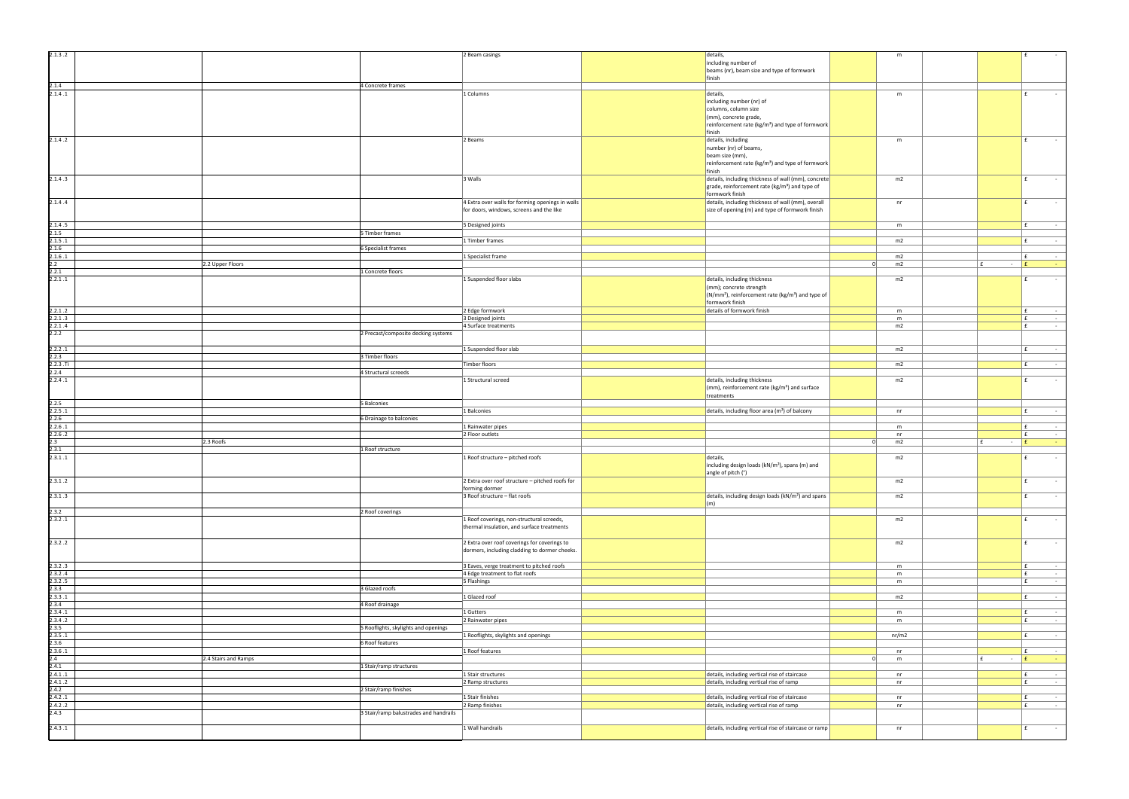|           | m             |                               | £<br>÷,                                   |
|-----------|---------------|-------------------------------|-------------------------------------------|
|           |               |                               |                                           |
|           |               |                               |                                           |
|           |               |                               |                                           |
|           |               |                               |                                           |
|           |               |                               |                                           |
|           |               |                               |                                           |
|           | ${\sf m}$     |                               | £                                         |
|           |               |                               |                                           |
|           |               |                               |                                           |
|           |               |                               |                                           |
|           |               |                               |                                           |
|           |               |                               |                                           |
|           |               |                               |                                           |
|           |               |                               |                                           |
|           | ${\sf m}$     |                               | £                                         |
|           |               |                               |                                           |
|           |               |                               |                                           |
|           |               |                               |                                           |
|           |               |                               |                                           |
|           |               |                               |                                           |
|           | m2            |                               | £<br>÷,                                   |
|           |               |                               |                                           |
|           |               |                               |                                           |
|           |               |                               |                                           |
|           | nr            |                               | £                                         |
|           |               |                               |                                           |
|           |               |                               |                                           |
|           |               |                               |                                           |
|           | m             |                               | £<br>$\overline{\phantom{a}}$             |
|           |               |                               |                                           |
|           |               |                               |                                           |
|           | m2            |                               | £<br>$\overline{\phantom{a}}$             |
|           |               |                               |                                           |
|           |               |                               |                                           |
|           | m2            |                               | £<br>$\overline{\phantom{a}}$             |
| 0         | m2            | £<br>$\blacksquare$           | £<br>Ξ                                    |
|           |               |                               |                                           |
|           |               |                               |                                           |
|           | m2            |                               | £<br>÷,                                   |
|           |               |                               |                                           |
|           |               |                               |                                           |
|           |               |                               |                                           |
|           |               |                               |                                           |
|           | ${\sf m}$     |                               | £<br>÷,                                   |
|           | ${\sf m}$     |                               | £<br>÷                                    |
|           |               |                               |                                           |
|           | m2            |                               | £<br>÷,                                   |
|           |               |                               |                                           |
|           |               |                               |                                           |
|           |               |                               |                                           |
|           | m2            |                               | £<br>÷,                                   |
|           |               |                               |                                           |
|           | m2            |                               | £<br>$\overline{\phantom{a}}$             |
|           |               |                               |                                           |
|           |               |                               |                                           |
|           | m2            |                               | £<br>$\overline{\phantom{a}}$             |
|           |               |                               |                                           |
|           |               |                               |                                           |
|           |               |                               |                                           |
|           |               |                               |                                           |
|           |               |                               |                                           |
|           |               |                               |                                           |
|           | nr            |                               | £<br>÷,                                   |
|           |               |                               |                                           |
|           | m             |                               | £<br>÷,                                   |
|           | $\mathsf{nr}$ |                               | $\overline{\mathbf{f}}$<br>$\blacksquare$ |
|           |               |                               |                                           |
| 0         | m2            | £<br>$\overline{\phantom{m}}$ | £<br>۳                                    |
|           |               |                               |                                           |
|           | m2            |                               | £<br>$\overline{\phantom{a}}$             |
|           |               |                               |                                           |
|           |               |                               |                                           |
|           |               |                               |                                           |
|           | m2            |                               | £<br>$\overline{\phantom{m}}$             |
|           |               |                               |                                           |
|           |               |                               |                                           |
|           | m2            |                               | £<br>÷,                                   |
|           |               |                               |                                           |
|           |               |                               |                                           |
|           |               |                               |                                           |
|           | m2            |                               | $\mathbf f$<br>$\overline{\phantom{a}}$   |
|           |               |                               |                                           |
|           |               |                               |                                           |
|           |               |                               | $\blacksquare$                            |
|           | m2            |                               | $\pmb{\mathsf{f}}$                        |
|           |               |                               |                                           |
|           |               |                               |                                           |
|           | m             |                               | $\mathbf f$<br>÷                          |
|           |               |                               |                                           |
|           | ${\sf m}$     |                               | $\pmb{\mathsf{f}}$<br>$\blacksquare$      |
|           | ${\sf m}$     |                               | $\pmb{\mathsf{f}}$<br>÷                   |
|           |               |                               |                                           |
|           | m2            |                               | $\mathbf f$<br>$\blacksquare$             |
|           |               |                               |                                           |
|           |               |                               |                                           |
|           | ${\sf m}$     |                               | $\pmb{\mathsf{f}}$<br>$\frac{1}{2}$       |
|           | ${\sf m}$     |                               | $\pmb{\mathsf{f}}$<br>÷,                  |
|           |               |                               |                                           |
|           |               |                               |                                           |
|           | nr/m2         |                               | £<br>÷                                    |
|           |               |                               |                                           |
|           |               |                               |                                           |
|           | $\mathsf{nr}$ |                               | £<br>÷                                    |
| $\pmb{0}$ | ${\sf m}$     | £<br>$\overline{\phantom{a}}$ | $\pmb{\mathsf{f}}$<br>÷                   |
|           |               |                               |                                           |
|           |               |                               |                                           |
|           | nr            |                               | £<br>÷                                    |
|           | $\sf{nr}$     |                               | $\overline{f}$<br>÷.                      |
|           |               |                               |                                           |
|           | $\sf{nr}$     |                               | $\overline{f}$<br>$\frac{1}{2}$           |
|           |               |                               |                                           |
|           | nr            |                               | $\pmb{\mathsf{f}}$<br>÷                   |
|           |               |                               |                                           |
|           |               |                               |                                           |
|           | nr            |                               | £<br>÷                                    |
|           |               |                               |                                           |

| 2.1.3.2            |                               | 2 Beam casings                                   | details,                                                                                    | m                    | E                       |                |
|--------------------|-------------------------------|--------------------------------------------------|---------------------------------------------------------------------------------------------|----------------------|-------------------------|----------------|
|                    |                               |                                                  | including number of                                                                         |                      |                         |                |
|                    |                               |                                                  | beams (nr), beam size and type of formwork                                                  |                      |                         |                |
|                    |                               |                                                  | finish                                                                                      |                      |                         |                |
| 2.1.4<br>2.1.4.1   | 4 Concrete frames             | 1 Columns                                        | details,                                                                                    | m                    | l £                     |                |
|                    |                               |                                                  | including number (nr) of                                                                    |                      |                         |                |
|                    |                               |                                                  | columns, column size                                                                        |                      |                         |                |
|                    |                               |                                                  | (mm), concrete grade,                                                                       |                      |                         |                |
|                    |                               |                                                  | reinforcement rate (kg/m <sup>3</sup> ) and type of formwork                                |                      |                         |                |
|                    |                               |                                                  | finish                                                                                      |                      |                         |                |
| 2.1.4.2            |                               | 2 Beams                                          | details, including                                                                          | m                    | £                       |                |
|                    |                               |                                                  | number (nr) of beams,                                                                       |                      |                         |                |
|                    |                               |                                                  | beam size (mm),                                                                             |                      |                         |                |
|                    |                               |                                                  | reinforcement rate (kg/m <sup>3</sup> ) and type of formwork                                |                      |                         |                |
|                    |                               |                                                  | finish                                                                                      |                      |                         |                |
| 2.1.4.3            |                               | 3 Walls                                          | details, including thickness of wall (mm), concrete                                         | m2                   |                         |                |
|                    |                               |                                                  | $\frac{1}{2}$ grade, reinforcement rate (kg/m <sup>3</sup> ) and type of<br>formwork finish |                      |                         |                |
| 2.1.4.4            |                               | 4 Extra over walls for forming openings in walls | details, including thickness of wall (mm), overall                                          | nr                   | f                       |                |
|                    |                               | for doors, windows, screens and the like         | size of opening (m) and type of formwork finish                                             |                      |                         |                |
|                    |                               |                                                  |                                                                                             |                      |                         |                |
| 2.1.4.5            |                               | 5 Designed joints                                |                                                                                             | m                    | f                       |                |
| 2.1.5              | 5 Timber frames               |                                                  |                                                                                             |                      |                         |                |
| 2.1.5.1            |                               | 1 Timber frames                                  |                                                                                             | m2                   | l £                     |                |
| 2.1.6              | 6 Specialist frames           |                                                  |                                                                                             |                      |                         |                |
| 2.1.6.1            |                               | 1 Specialist frame                               |                                                                                             | m2                   | l £                     |                |
| 2.2                | 2.2 Upper Floors              |                                                  |                                                                                             | m2<br>- 01           | $ E$<br>£               |                |
| 2.2.1              | 1 Concrete floors             |                                                  |                                                                                             |                      |                         |                |
| 2.2.1.1            |                               | 1 Suspended floor slabs                          | details, including thickness                                                                | m2                   | E                       |                |
|                    |                               |                                                  | $\vert$ (mm); concrete strength                                                             |                      |                         |                |
|                    |                               |                                                  | $(N/mm2)$ , reinforcement rate (kg/m <sup>3</sup> ) and type of                             |                      |                         |                |
|                    |                               |                                                  | formwork finish<br>details of formwork finish                                               |                      | l £                     |                |
| 2.2.1.2<br>2.2.1.3 |                               | 2 Edge formwork<br>3 Designed joints             |                                                                                             | m<br>m               | E.                      |                |
| 2.2.1.4            |                               | 4 Surface treatments                             |                                                                                             | m2                   | l £                     |                |
| 2.2.2              |                               | 2 Precast/composite decking systems              |                                                                                             |                      |                         |                |
|                    |                               |                                                  |                                                                                             |                      |                         |                |
| 2.2.2.1            |                               | 1 Suspended floor slab                           |                                                                                             | m2                   | l £                     |                |
| 2.2.3              | 3 Timber floors               |                                                  |                                                                                             |                      |                         |                |
| 2.2.3.7i           |                               | Timber floors                                    |                                                                                             | m2                   | $\mathbf{f}$            |                |
| 2.2.4              | 4 Structural screeds          |                                                  |                                                                                             |                      |                         |                |
| 2.2.4.1            |                               | 1 Structural screed                              | details, including thickness                                                                | m2                   | f                       |                |
|                    |                               |                                                  | $\vert$ (mm), reinforcement rate (kg/m <sup>3</sup> ) and surface                           |                      |                         |                |
|                    |                               |                                                  | treatments                                                                                  |                      |                         |                |
|                    |                               |                                                  |                                                                                             |                      |                         |                |
| 2.2.5              | 5 Balconies                   |                                                  |                                                                                             |                      |                         |                |
| 2.2.5.1            |                               | 1 Balconies                                      | details, including floor area (m <sup>2</sup> ) of balcony                                  | nr                   | Ι£                      |                |
| 2.2.6              | 6 Drainage to balconies       |                                                  |                                                                                             |                      |                         |                |
| 2.2.6.1            |                               | 1 Rainwater pipes                                |                                                                                             | m                    | Ι£                      |                |
| 2.2.6.2<br>2.3     |                               | 2 Floor outlets                                  |                                                                                             | nr<br>m2<br>$\Omega$ | E.<br>E<br>Ι£<br>$\sim$ |                |
| 2.3.1              | 2.3 Roofs<br>1 Roof structure |                                                  |                                                                                             |                      |                         |                |
|                    |                               | 1 Roof structure - pitched roofs                 | details,                                                                                    | m2                   |                         |                |
| 2.3.1.1            |                               |                                                  | including design loads (kN/m <sup>2</sup> ), spans (m) and                                  |                      |                         |                |
|                    |                               |                                                  | angle of pitch (°)                                                                          |                      |                         |                |
| 2.3.1.2            |                               | 2 Extra over roof structure - pitched roofs for  |                                                                                             | m2                   | l £                     |                |
|                    |                               | forming dormer                                   |                                                                                             |                      |                         |                |
| 2.3.1.3            |                               | 3 Roof structure - flat roofs                    | details, including design loads (kN/m <sup>2</sup> ) and spans                              | m2                   | $\mathbf{f}$            |                |
|                    |                               |                                                  | (m)                                                                                         |                      |                         |                |
| 2.3.2              | 2 Roof coverings              |                                                  |                                                                                             |                      |                         |                |
| 2.3.2.1            |                               | 1 Roof coverings, non-structural screeds,        |                                                                                             | m2                   | f                       |                |
|                    |                               | thermal insulation, and surface treatments       |                                                                                             |                      |                         |                |
|                    |                               |                                                  |                                                                                             |                      | l £                     |                |
| 2.3.2.2            |                               | 2 Extra over roof coverings for coverings to     |                                                                                             | m2                   |                         |                |
|                    |                               | dormers, including cladding to dormer cheeks.    |                                                                                             |                      |                         |                |
| 2.3.2.3            |                               | 3 Eaves, verge treatment to pitched roofs        |                                                                                             | m                    | E.                      |                |
| 2.3.2.4            |                               | 4 Edge treatment to flat roofs                   |                                                                                             | m                    | E.                      |                |
| 2.3.2.5            |                               | 5 Flashings                                      |                                                                                             | m                    | $\mathbf{f}$            |                |
| 2.3.3              | 3 Glazed roofs                |                                                  |                                                                                             |                      |                         |                |
| 2.3.3.1            |                               | 1 Glazed roof                                    |                                                                                             | m2                   | l £                     |                |
| 2.3.4              | 4 Roof drainage               |                                                  |                                                                                             |                      |                         |                |
| 2.3.4.1            |                               | 1 Gutters                                        |                                                                                             | m                    | l £                     |                |
| 2.3.4.2            |                               | 2 Rainwater pipes                                |                                                                                             | m                    | E.                      |                |
| 2.3.5              |                               | 5 Rooflights, skylights and openings             |                                                                                             |                      |                         |                |
| 2.3.5.1            | 6 Roof features               | 1 Rooflights, skylights and openings             |                                                                                             | nr/m2                | l £                     |                |
| 2.3.6<br>2.3.6.1   |                               | 1 Roof features                                  |                                                                                             | nr                   | Ι£                      |                |
| 2.4                | 2.4 Stairs and Ramps          |                                                  |                                                                                             | m<br>$\Omega$        | f.<br>E<br>$\sim$       |                |
| 2.4.1              | 1 Stair/ramp structures       |                                                  |                                                                                             |                      |                         |                |
| 2.4.1.1            |                               | 1 Stair structures                               | details, including vertical rise of staircase                                               | nr                   | l £                     |                |
| 2.4.1.2            |                               | 2 Ramp structures                                | details, including vertical rise of ramp                                                    | n r                  | $\mathbf{f}$            |                |
| 2.4.2              | 2 Stair/ramp finishes         |                                                  |                                                                                             |                      |                         |                |
| 2.4.2.1            |                               | 1 Stair finishes                                 | details, including vertical rise of staircase                                               | nr                   | E.                      |                |
| 2.4.2.2            |                               | 2 Ramp finishes                                  | details, including vertical rise of ramp                                                    | nr                   | l £                     |                |
| 2.4.3              |                               | 3 Stair/ramp balustrades and handrails           |                                                                                             |                      |                         | <b>College</b> |
|                    |                               |                                                  |                                                                                             |                      |                         |                |
| 2.4.3.1            |                               | 1 Wall handrails                                 | $\vert$ details, including vertical rise of staircase or ramp                               | nr                   | l £                     |                |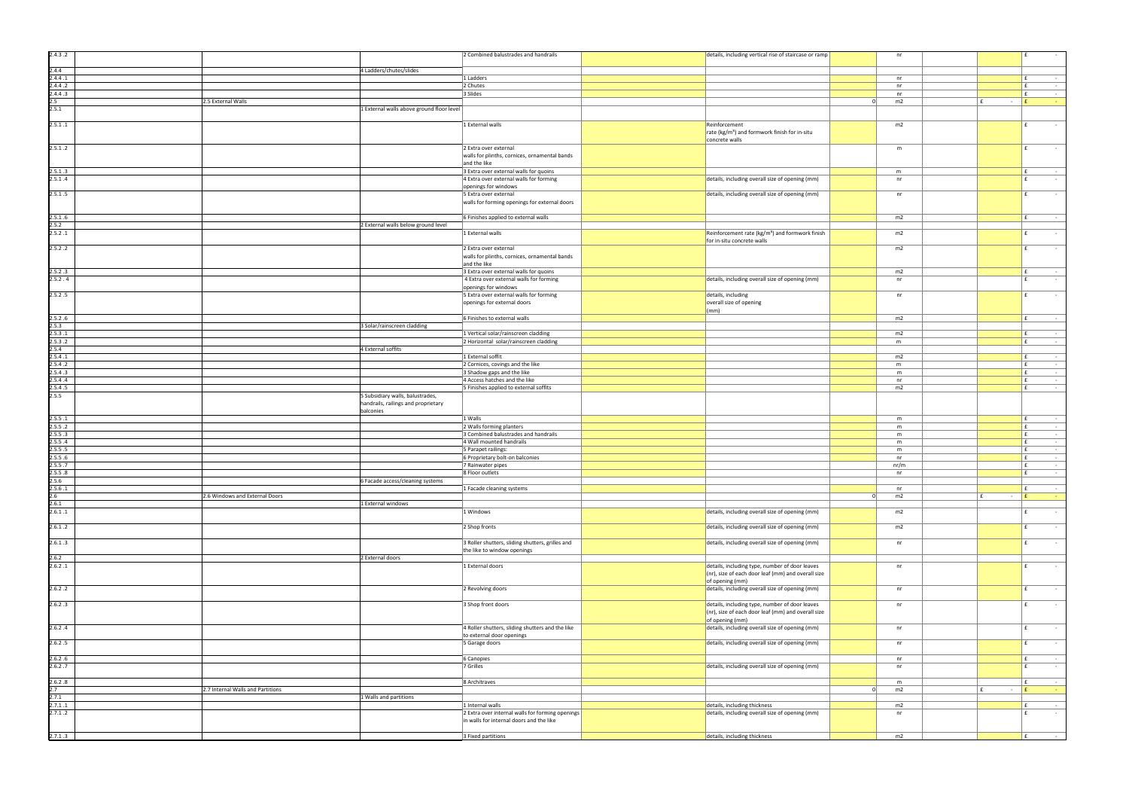| 2.4.3.2          |                                   |                                           | 2 Combined balustrades and handrails                          | details, including vertical rise of staircase or ramp       |          | nr       |   |        | l £          |
|------------------|-----------------------------------|-------------------------------------------|---------------------------------------------------------------|-------------------------------------------------------------|----------|----------|---|--------|--------------|
| 2.4.4            |                                   | 4 Ladders/chutes/slides                   |                                                               |                                                             |          |          |   |        |              |
| 2.4.4.1          |                                   |                                           | 1 Ladders                                                     |                                                             |          | nr       |   |        | l £          |
| 2.4.4.2          |                                   |                                           | 2 Chutes                                                      |                                                             |          | nr       |   |        | l £          |
| 2.4.4.3          |                                   |                                           | 3 Slides                                                      |                                                             |          | nr       |   |        | E.           |
| $2.5\,$          | 2.5 External Walls                |                                           |                                                               |                                                             |          | m2       |   | $\sim$ | $\mathbf{f}$ |
| 2.5.1            |                                   | 1 External walls above ground floor level |                                                               |                                                             |          |          |   |        |              |
|                  |                                   |                                           |                                                               |                                                             |          |          |   |        |              |
| 2.5.1.1          |                                   |                                           | 1 External walls                                              | Reinforcement                                               |          | m2       |   |        | f            |
|                  |                                   |                                           |                                                               | rate (kg/m <sup>3</sup> ) and formwork finish for in-situ   |          |          |   |        |              |
|                  |                                   |                                           |                                                               | concrete walls                                              |          |          |   |        |              |
| 2.5.1.2          |                                   |                                           | 2 Extra over external                                         |                                                             |          | m        |   |        | f            |
|                  |                                   |                                           | walls for plinths, cornices, ornamental bands                 |                                                             |          |          |   |        |              |
|                  |                                   |                                           | and the like                                                  |                                                             |          |          |   |        |              |
| 2.5.1.3          |                                   |                                           | 3 Extra over external walls for quoins                        |                                                             |          | m        |   |        | Ι£           |
| 2.5.1.4          |                                   |                                           | 4 Extra over external walls for forming                       | details, including overall size of opening (mm)             |          | nr       |   |        | f            |
|                  |                                   |                                           | openings for windows                                          |                                                             |          |          |   |        |              |
| 2.5.1.5          |                                   |                                           | 5 Extra over external                                         | details, including overall size of opening (mm)             |          | nr       |   |        | f            |
|                  |                                   |                                           | walls for forming openings for external doors                 |                                                             |          |          |   |        |              |
|                  |                                   |                                           |                                                               |                                                             |          |          |   |        |              |
| 2.5.1.6          |                                   |                                           | 6 Finishes applied to external walls                          |                                                             |          | m2       |   |        | l £          |
| 2.5.2            |                                   | 2 External walls below ground level       |                                                               |                                                             |          |          |   |        |              |
| 2.5.2.1          |                                   |                                           | 1 External walls                                              | Reinforcement rate (kg/m <sup>3</sup> ) and formwork finish |          | m2       |   |        | $\mathbf{f}$ |
|                  |                                   |                                           |                                                               | for in-situ concrete walls                                  |          |          |   |        |              |
| 2.5.2.2          |                                   |                                           | 2 Extra over external                                         |                                                             |          | m2       |   |        | f            |
|                  |                                   |                                           | walls for plinths, cornices, ornamental bands<br>and the like |                                                             |          |          |   |        |              |
| 2.5.2.3          |                                   |                                           | 3 Extra over external walls for quoins                        |                                                             |          | m2       |   |        | l £          |
| 2.5.2.4          |                                   |                                           | 4 Extra over external walls for forming                       | details, including overall size of opening (mm)             |          | nr       |   |        | f            |
|                  |                                   |                                           | openings for windows                                          |                                                             |          |          |   |        |              |
| 2.5.2.5          |                                   |                                           | 5 Extra over external walls for forming                       | details, including                                          |          | nr       |   |        | f            |
|                  |                                   |                                           | openings for external doors                                   | overall size of opening                                     |          |          |   |        |              |
|                  |                                   |                                           |                                                               | $\vert$ (mm)                                                |          |          |   |        |              |
| 2.5.2.6          |                                   |                                           | 6 Finishes to external walls                                  |                                                             |          | m2       |   |        | Ι£           |
| 2.5.3            |                                   | 3 Solar/rainscreen cladding               |                                                               |                                                             |          |          |   |        |              |
| 2.5.3.1          |                                   |                                           | 1 Vertical solar/rainscreen cladding                          |                                                             |          | m2       |   |        | Ι£           |
| 2.5.3.2          |                                   |                                           | 2 Horizontal solar/rainscreen cladding                        |                                                             |          | m        |   |        | l £          |
| 2.5.4            |                                   | 4 External soffits                        |                                                               |                                                             |          |          |   |        |              |
| 2.5.4.1          |                                   |                                           | 1 External soffit                                             |                                                             |          | m2       |   |        | E.           |
| 2.5.4.2          |                                   |                                           | 2 Cornices, covings and the like                              |                                                             |          | m        |   |        | E.           |
| 2.5.4.3          |                                   |                                           | 3 Shadow gaps and the like                                    |                                                             |          | m        |   |        | $\mathbf{f}$ |
| 2.5.4.4          |                                   |                                           | 4 Access hatches and the like                                 |                                                             |          | nr       |   |        | E            |
| 2.5.4.5          |                                   |                                           | 5 Finishes applied to external soffits                        |                                                             |          | m2       |   |        | Ι£           |
| 2.5.5            |                                   | 5 Subsidiary walls, balustrades,          |                                                               |                                                             |          |          |   |        |              |
|                  |                                   | handrails, railings and proprietary       |                                                               |                                                             |          |          |   |        |              |
|                  |                                   | balconies                                 |                                                               |                                                             |          |          |   |        |              |
| 2.5.5.1          |                                   |                                           | 1 Walls                                                       |                                                             |          | m        |   |        | Ι£           |
| 2.5.5.2          |                                   |                                           | 2 Walls forming planters                                      |                                                             |          | m        |   |        | E            |
| 2.5.5.3          |                                   |                                           | 3 Combined balustrades and handrails                          |                                                             |          | m        |   |        | $\mathbf{f}$ |
| 2.5.5.4          |                                   |                                           | 4 Wall mounted handrails                                      |                                                             |          | m        |   |        | E.           |
| 2.5.5.5          |                                   |                                           | 5 Parapet railings:                                           |                                                             |          | m        |   |        | $\mathbf{f}$ |
| 2.5.5.6          |                                   |                                           | 6 Proprietary bolt-on balconies                               |                                                             |          | nr       |   |        | $\mathbf{f}$ |
| 2.5.5.7          |                                   |                                           | 7 Rainwater pipes                                             |                                                             |          | nr/m     |   |        | l £          |
| 2.5.5.8          |                                   |                                           | 8 Floor outlets                                               |                                                             |          | nr       |   |        | l £          |
| 2.5.6<br>2.5.6.1 |                                   | 6 Facade access/cleaning systems          |                                                               |                                                             |          |          |   |        | Ι£           |
| 2.6              | 2.6 Windows and External Doors    |                                           | 1 Facade cleaning systems                                     |                                                             | $\Omega$ | nr<br>m2 |   | $\sim$ | l £          |
| 2.6.1            |                                   | 1 External windows                        |                                                               |                                                             |          |          |   |        |              |
| 2.6.1.1          |                                   |                                           | 1 Windows                                                     | details, including overall size of opening (mm)             |          | m2       |   |        | l £          |
|                  |                                   |                                           |                                                               |                                                             |          |          |   |        |              |
| 2.6.1.2          |                                   |                                           | 2 Shop fronts                                                 | details, including overall size of opening (mm)             |          | m2       |   |        | Ι£           |
|                  |                                   |                                           |                                                               |                                                             |          |          |   |        |              |
| 2.6.1.3          |                                   |                                           | 3 Roller shutters, sliding shutters, grilles and              | details, including overall size of opening (mm)             |          | nr       |   |        | f            |
|                  |                                   |                                           | the like to window openings                                   |                                                             |          |          |   |        |              |
| 2.6.2            |                                   | 2 External doors                          |                                                               |                                                             |          |          |   |        |              |
| 2.6.2.1          |                                   |                                           | 1 External doors                                              | details, including type, number of door leaves              |          | nr       |   |        | l £          |
|                  |                                   |                                           |                                                               | $(nr)$ , size of each door leaf (mm) and overall size       |          |          |   |        |              |
|                  |                                   |                                           |                                                               | $\sigma$ of opening (mm)                                    |          |          |   |        |              |
| 2.6.2.2          |                                   |                                           | 2 Revolving doors                                             | details, including overall size of opening (mm)             |          | nr       |   |        | f            |
|                  |                                   |                                           |                                                               |                                                             |          |          |   |        |              |
| 2.6.2.3          |                                   |                                           | 3 Shop front doors                                            | details, including type, number of door leaves              |          | nr       |   |        | l £          |
|                  |                                   |                                           |                                                               | (nr), size of each door leaf (mm) and overall size          |          |          |   |        |              |
|                  |                                   |                                           |                                                               | of opening (mm)                                             |          |          |   |        | f            |
| 2.6.2.4          |                                   |                                           | 4 Roller shutters, sliding shutters and the like              | details, including overall size of opening (mm)             |          | nr       |   |        |              |
|                  |                                   |                                           | to external door openings                                     |                                                             |          |          |   |        | l £          |
| 2.6.2.5          |                                   |                                           | 5 Garage doors                                                | details, including overall size of opening (mm)             |          | nr       |   |        |              |
| 2.6.2.6          |                                   |                                           | 6 Canopies                                                    |                                                             |          | nr       |   |        | l £          |
| 2.6.2.7          |                                   |                                           | 7 Grilles                                                     | details, including overall size of opening (mm)             |          | nr       |   |        | Ι£           |
|                  |                                   |                                           |                                                               |                                                             |          |          |   |        |              |
| 2.6.2.8          |                                   |                                           | 8 Architraves                                                 |                                                             |          | m        |   |        | Ι£           |
| 2.7              | 2.7 Internal Walls and Partitions |                                           |                                                               |                                                             | $\Omega$ | m2       | E | $\sim$ | E            |
|                  |                                   | 1 Walls and partitions                    |                                                               |                                                             |          |          |   |        |              |
| 2.7.1            |                                   |                                           |                                                               |                                                             |          |          |   |        | Ι£           |
| 2.7.1.1          |                                   |                                           | 1 Internal walls                                              | details, including thickness                                |          | m2       |   |        |              |
| 2.7.1.2          |                                   |                                           | 2 Extra over internal walls for forming openings              | $\vert$ details, including overall size of opening (mm)     |          | nr       |   |        | $\mathbf{f}$ |
|                  |                                   |                                           | in walls for internal doors and the like                      |                                                             |          |          |   |        |              |
| 2.7.1.3          |                                   |                                           | 3 Fixed partitions                                            | details, including thickness                                |          | m2       |   |        | l £          |

| details, including vertical rise of staircase or ramp                                                |                  | nr              |                               | £<br>$\overline{\phantom{a}}$                        |
|------------------------------------------------------------------------------------------------------|------------------|-----------------|-------------------------------|------------------------------------------------------|
|                                                                                                      |                  |                 |                               |                                                      |
|                                                                                                      |                  |                 |                               |                                                      |
|                                                                                                      |                  | nr              |                               | £<br>£<br>$\overline{\phantom{a}}$                   |
|                                                                                                      |                  | nr<br>nr        |                               | £                                                    |
|                                                                                                      | 0                | m2              | £<br>$\sim$                   | £<br>÷                                               |
|                                                                                                      |                  |                 |                               |                                                      |
|                                                                                                      |                  |                 |                               |                                                      |
| Reinforcement                                                                                        |                  | m2              |                               | £                                                    |
| rate (kg/m <sup>3</sup> ) and formwork finish for in-situ                                            |                  |                 |                               |                                                      |
| concrete walls                                                                                       |                  |                 |                               |                                                      |
|                                                                                                      |                  | m               |                               | £                                                    |
|                                                                                                      |                  |                 |                               |                                                      |
|                                                                                                      |                  | m               |                               | £                                                    |
| details, including overall size of opening (mm)                                                      |                  | nr              |                               | £                                                    |
|                                                                                                      |                  |                 |                               |                                                      |
| details, including overall size of opening (mm)                                                      |                  | nr              |                               | £                                                    |
|                                                                                                      |                  |                 |                               |                                                      |
|                                                                                                      |                  |                 |                               |                                                      |
|                                                                                                      |                  | m2              |                               | £<br>$\overline{\phantom{a}}$                        |
| Reinforcement rate (kg/m <sup>3</sup> ) and formwork finish                                          |                  | m2              |                               | £                                                    |
| for in-situ concrete walls                                                                           |                  |                 |                               |                                                      |
|                                                                                                      |                  | m2              |                               | £                                                    |
|                                                                                                      |                  |                 |                               |                                                      |
|                                                                                                      |                  |                 |                               |                                                      |
|                                                                                                      |                  | m2              |                               | £                                                    |
| details, including overall size of opening (mm)                                                      |                  | nr              |                               | £<br>$\overline{\phantom{a}}$                        |
| details, including                                                                                   |                  | nr              |                               | £<br>$\overline{\phantom{a}}$                        |
| overall size of opening                                                                              |                  |                 |                               |                                                      |
| (mm)                                                                                                 |                  |                 |                               |                                                      |
|                                                                                                      |                  | m2              |                               | £<br>$\blacksquare$                                  |
|                                                                                                      |                  |                 |                               |                                                      |
|                                                                                                      |                  | m2              |                               | £<br>$\overline{\phantom{a}}$                        |
|                                                                                                      |                  | m               |                               | £<br>$\overline{\phantom{a}}$                        |
|                                                                                                      |                  |                 |                               |                                                      |
|                                                                                                      |                  | m2<br>${\sf m}$ |                               | £<br>$\blacksquare$<br>£<br>$\overline{\phantom{a}}$ |
|                                                                                                      |                  | m               |                               | £                                                    |
|                                                                                                      |                  | nr              |                               | £<br>$\blacksquare$                                  |
|                                                                                                      |                  | m2              |                               | £<br>$\overline{\phantom{a}}$                        |
|                                                                                                      |                  |                 |                               |                                                      |
|                                                                                                      |                  |                 |                               |                                                      |
|                                                                                                      |                  |                 |                               |                                                      |
|                                                                                                      |                  | m               |                               | £<br>$\overline{\phantom{a}}$<br>£<br>÷              |
|                                                                                                      |                  | m<br>m          |                               | £<br>$\overline{\phantom{a}}$                        |
|                                                                                                      |                  | m               |                               | £<br>$\overline{\phantom{a}}$                        |
|                                                                                                      |                  | m               |                               | £<br>$\overline{\phantom{a}}$                        |
|                                                                                                      |                  | nr              |                               | £                                                    |
|                                                                                                      |                  | nr/m            |                               | £<br>$\blacksquare$                                  |
|                                                                                                      |                  | nr              |                               | £                                                    |
|                                                                                                      |                  |                 |                               |                                                      |
|                                                                                                      |                  | nr              |                               | £<br>$\bar{a}$                                       |
|                                                                                                      | $\boldsymbol{0}$ | m2              | £<br>$\overline{\phantom{a}}$ | $\pmb{\mathsf{f}}$                                   |
| details, including overall size of opening (mm)                                                      |                  | m2              |                               | £<br>$\overline{\phantom{a}}$                        |
|                                                                                                      |                  |                 |                               |                                                      |
| details, including overall size of opening (mm)                                                      |                  | m2              |                               | £                                                    |
|                                                                                                      |                  |                 |                               |                                                      |
| details, including overall size of opening (mm)                                                      |                  | nr              |                               | £<br>$\bar{a}$                                       |
|                                                                                                      |                  |                 |                               |                                                      |
|                                                                                                      |                  |                 |                               |                                                      |
| details, including type, number of door leaves<br>(nr), size of each door leaf (mm) and overall size |                  | nr              |                               | £                                                    |
| of opening (mm)                                                                                      |                  |                 |                               |                                                      |
| details, including overall size of opening (mm)                                                      |                  | nr              |                               | £                                                    |
|                                                                                                      |                  |                 |                               |                                                      |
| details, including type, number of door leaves                                                       |                  | nr              |                               | £                                                    |
| (nr), size of each door leaf (mm) and overall size                                                   |                  |                 |                               |                                                      |
| of opening (mm)                                                                                      |                  |                 |                               |                                                      |
| details, including overall size of opening (mm)                                                      |                  | nr              |                               | £<br>$\bar{a}$                                       |
| details, including overall size of opening (mm)                                                      |                  | nr              |                               | £                                                    |
|                                                                                                      |                  |                 |                               |                                                      |
|                                                                                                      |                  | nr              |                               | £                                                    |
| details, including overall size of opening (mm)                                                      |                  | nr              |                               | £                                                    |
|                                                                                                      |                  |                 |                               |                                                      |
|                                                                                                      |                  | m               |                               | £<br>÷,                                              |
|                                                                                                      | $\pmb{0}$        | m2              | £<br>$\overline{\phantom{a}}$ | £<br>$\overline{\phantom{a}}$                        |
|                                                                                                      |                  |                 |                               |                                                      |
| details, including thickness<br>details, including overall size of opening (mm)                      |                  | m2<br>nr        |                               | £<br>£<br>$\sim$                                     |
|                                                                                                      |                  |                 |                               |                                                      |
|                                                                                                      |                  |                 |                               |                                                      |
| details, including thickness                                                                         |                  | m2              |                               | £<br>ä,                                              |
|                                                                                                      |                  |                 |                               |                                                      |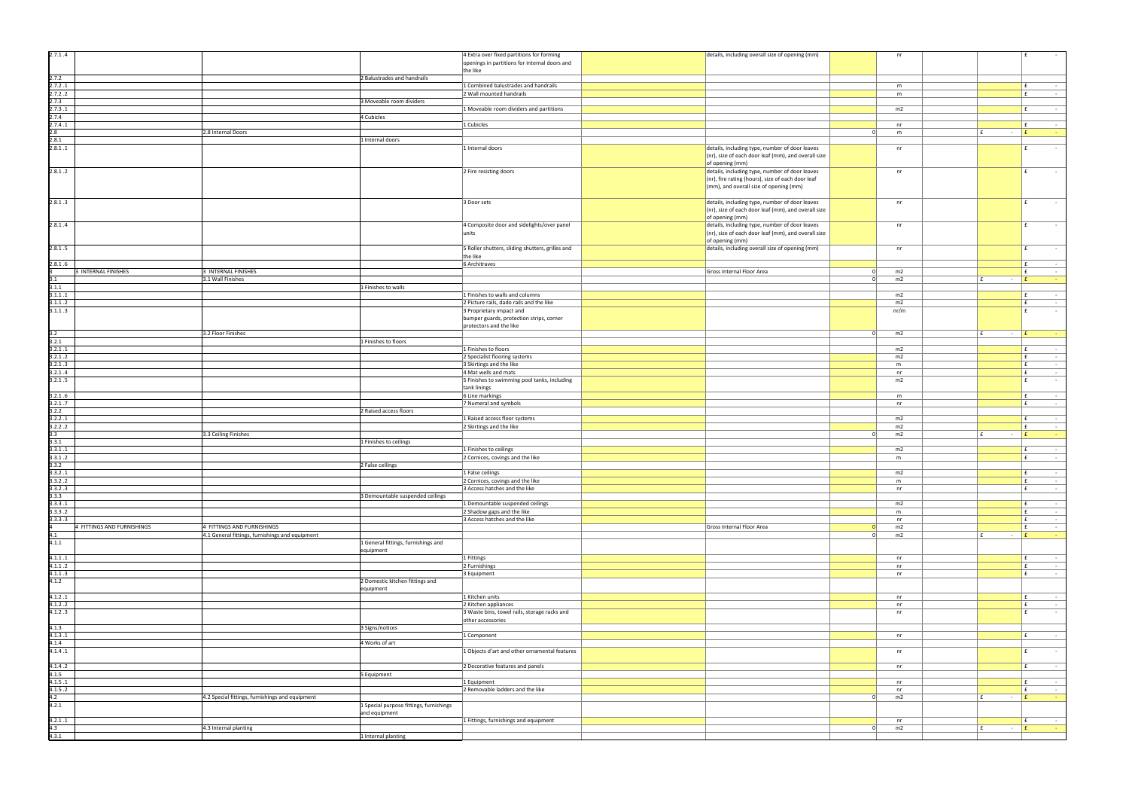| details, including overall size of opening (mm)                                                                                               |                | nr             |                               | £                                                                          |  |
|-----------------------------------------------------------------------------------------------------------------------------------------------|----------------|----------------|-------------------------------|----------------------------------------------------------------------------|--|
|                                                                                                                                               |                |                |                               |                                                                            |  |
|                                                                                                                                               |                |                |                               |                                                                            |  |
|                                                                                                                                               |                | ${\sf m}$      |                               | £<br>÷                                                                     |  |
|                                                                                                                                               |                | ${\sf m}$      |                               | £<br>$\overline{\phantom{a}}$                                              |  |
|                                                                                                                                               |                |                |                               |                                                                            |  |
|                                                                                                                                               |                | m2             |                               | £<br>$\overline{\phantom{m}}$                                              |  |
|                                                                                                                                               |                |                |                               |                                                                            |  |
|                                                                                                                                               | $\pmb{0}$      | nr             | £<br>$\overline{\phantom{a}}$ | £<br>٠<br>$\pmb{\mathsf{f}}$<br>٠                                          |  |
|                                                                                                                                               |                | ${\sf m}$      |                               |                                                                            |  |
| details, including type, number of door leaves<br>(nr), size of each door leaf (mm), and overall size<br>of opening (mm)                      |                | nr             |                               | £<br>$\blacksquare$                                                        |  |
| details, including type, number of door leaves<br>(nr), fire rating (hours), size of each door leaf<br>(mm), and overall size of opening (mm) |                | nr             |                               | £<br>÷,                                                                    |  |
| details, including type, number of door leaves                                                                                                |                | nr             |                               | £<br>÷,                                                                    |  |
| (nr), size of each door leaf (mm), and overall size<br>of opening (mm)<br>details, including type, number of door leaves                      |                | nr             |                               | $\pmb{\mathsf{f}}$                                                         |  |
| (nr), size of each door leaf (mm), and overall size<br>of opening (mm)                                                                        |                |                |                               |                                                                            |  |
| details, including overall size of opening (mm)                                                                                               |                | nr             |                               | £                                                                          |  |
| Gross Internal Floor Area                                                                                                                     | $\pmb{0}$      | m2             |                               | £<br>$\overline{\phantom{a}}$<br>£<br>$\overline{\phantom{a}}$             |  |
|                                                                                                                                               | $\pmb{0}$      | m2             | £<br>$\blacksquare$           | $\pmb{\mathsf{f}}$<br>۰                                                    |  |
|                                                                                                                                               |                |                |                               |                                                                            |  |
|                                                                                                                                               |                | m2             |                               | £<br>$\overline{\phantom{a}}$                                              |  |
|                                                                                                                                               |                | m2             |                               | £<br>$\overline{\phantom{m}}$                                              |  |
|                                                                                                                                               |                | nr/m           |                               | £<br>÷,                                                                    |  |
|                                                                                                                                               | $\pmb{0}$      | m2             | £<br>$\blacksquare$           | $\pmb{\mathsf{f}}$                                                         |  |
|                                                                                                                                               |                | m <sub>2</sub> |                               | £<br>$\overline{\phantom{a}}$                                              |  |
|                                                                                                                                               |                | m2             |                               | $\pmb{\mathtt{f}}$<br>$\qquad \qquad \blacksquare$                         |  |
|                                                                                                                                               |                | ${\sf m}$      |                               | £<br>$\blacksquare$                                                        |  |
|                                                                                                                                               |                | nr             |                               | £<br>$\blacksquare$                                                        |  |
|                                                                                                                                               |                | m2             |                               | £<br>$\overline{\phantom{a}}$                                              |  |
|                                                                                                                                               |                | ${\sf m}$      |                               | £<br>$\overline{\phantom{a}}$                                              |  |
|                                                                                                                                               |                | nr             |                               | £<br>$\overline{\phantom{m}}$                                              |  |
|                                                                                                                                               |                | m2             |                               | £<br>÷,                                                                    |  |
|                                                                                                                                               |                | m2             |                               | £<br>$\blacksquare$                                                        |  |
|                                                                                                                                               | $\overline{0}$ | m2             | £<br>$\overline{\phantom{a}}$ | $\pmb{\mathsf{f}}$                                                         |  |
|                                                                                                                                               |                |                |                               |                                                                            |  |
|                                                                                                                                               |                | m2             |                               | £<br>$\blacksquare$                                                        |  |
|                                                                                                                                               |                | ${\sf m}$      |                               | £<br>$\overline{\phantom{a}}$                                              |  |
|                                                                                                                                               |                |                |                               |                                                                            |  |
|                                                                                                                                               |                |                |                               |                                                                            |  |
|                                                                                                                                               |                | m2             |                               | $\pmb{\mathsf{f}}$<br>ä,                                                   |  |
|                                                                                                                                               |                | ${\sf m}$      |                               | £<br>$\blacksquare$<br>$\blacksquare$                                      |  |
|                                                                                                                                               |                | nr             |                               | $\pmb{\mathsf{f}}$                                                         |  |
|                                                                                                                                               |                | m2             |                               | £<br>$\overline{\phantom{a}}$                                              |  |
|                                                                                                                                               |                | ${\sf m}$      |                               | $\pmb{\mathsf{f}}$<br>$\overline{\phantom{a}}$                             |  |
|                                                                                                                                               |                | nr             |                               | £<br>$\sim$                                                                |  |
| Gross Internal Floor Area                                                                                                                     | $\pmb{0}$      | m2             |                               | £<br>$\overline{\phantom{a}}$                                              |  |
|                                                                                                                                               | $\overline{0}$ | m2             | £<br>$\overline{\phantom{a}}$ | £<br>÷,                                                                    |  |
|                                                                                                                                               |                | nr             |                               | £<br>ä,                                                                    |  |
|                                                                                                                                               |                | nr             |                               | $\pmb{\mathtt{f}}$<br>$\overline{\phantom{a}}$                             |  |
|                                                                                                                                               |                | nr             |                               | £<br>$\overline{\phantom{a}}$                                              |  |
|                                                                                                                                               |                |                |                               |                                                                            |  |
|                                                                                                                                               |                | nr             |                               | £<br>$\overline{\phantom{a}}$                                              |  |
|                                                                                                                                               |                | nr<br>nr       |                               | $\pmb{\mathsf{f}}$<br>$\overline{\phantom{a}}$<br>$\pmb{\mathsf{f}}$<br>ä, |  |
|                                                                                                                                               |                |                |                               |                                                                            |  |
|                                                                                                                                               |                | nr             |                               | £<br>$\overline{\phantom{a}}$                                              |  |
|                                                                                                                                               |                | nr             |                               | £<br>$\overline{\phantom{a}}$                                              |  |
|                                                                                                                                               |                | nr             |                               | £<br>$\overline{\phantom{a}}$                                              |  |
|                                                                                                                                               |                |                |                               |                                                                            |  |
|                                                                                                                                               |                | nr             |                               | £<br>$\overline{\phantom{a}}$                                              |  |
|                                                                                                                                               |                | nr             |                               | £<br>$\sim$                                                                |  |
|                                                                                                                                               | $\pmb{0}$      | m2             | £<br>$\overline{\phantom{a}}$ | £<br>Ξ                                                                     |  |
|                                                                                                                                               |                |                |                               |                                                                            |  |
|                                                                                                                                               | $\pmb{0}$      | nr<br>m2       | £<br>$\overline{\phantom{a}}$ | £<br>$\overline{\phantom{a}}$<br>$\pmb{\mathsf{f}}$<br>$\sim$              |  |

| 2.7.1.4                    |                                                 |                                         | 4 Extra over fixed partitions for forming                    | details, including overall size of opening (mm)                    |          | nr   |               | f            |
|----------------------------|-------------------------------------------------|-----------------------------------------|--------------------------------------------------------------|--------------------------------------------------------------------|----------|------|---------------|--------------|
|                            |                                                 |                                         | openings in partitions for internal doors and                |                                                                    |          |      |               |              |
|                            |                                                 |                                         | the like                                                     |                                                                    |          |      |               |              |
| 2.7.2                      |                                                 | 2 Balustrades and handrails             |                                                              |                                                                    |          |      |               |              |
| 2.7.2.1                    |                                                 |                                         | 1 Combined balustrades and handrails                         |                                                                    |          | m    |               | Ι£           |
| 2.7.2.2                    |                                                 |                                         | 2 Wall mounted handrails                                     |                                                                    |          | m    |               | l £          |
| 2.7.3                      |                                                 | 3 Moveable room dividers                |                                                              |                                                                    |          |      |               |              |
| 2.7.3.1                    |                                                 |                                         | 1 Moveable room dividers and partitions                      |                                                                    |          | m2   |               | E.           |
| 2.7.4                      |                                                 | 4 Cubicles                              |                                                              |                                                                    |          |      |               |              |
| 2.7.4.1                    |                                                 |                                         | 1 Cubicles                                                   |                                                                    |          | nr   |               | l £          |
| 2.8                        | 2.8 Internal Doors                              |                                         |                                                              |                                                                    | -01      | m    | f<br>$\sim$   | E            |
| 2.8.1                      |                                                 | 1 Internal doors                        |                                                              |                                                                    |          |      |               |              |
| 2.8.1.1                    |                                                 |                                         | 1 Internal doors                                             | details, including type, number of door leaves                     |          | nr   |               | l £          |
|                            |                                                 |                                         |                                                              | (nr), size of each door leaf (mm), and overall size                |          |      |               |              |
|                            |                                                 |                                         |                                                              | of opening (mm)                                                    |          |      |               |              |
| 2.8.1.2                    |                                                 |                                         | 2 Fire resisting doors                                       | details, including type, number of door leaves                     |          | nr   |               | f            |
|                            |                                                 |                                         |                                                              | (nr), fire rating (hours), size of each door leaf                  |          |      |               |              |
|                            |                                                 |                                         |                                                              | (mm), and overall size of opening (mm)                             |          |      |               |              |
|                            |                                                 |                                         |                                                              |                                                                    |          |      |               |              |
| 2.8.1.3                    |                                                 |                                         | 3 Door sets                                                  | details, including type, number of door leaves                     |          | nr   |               | l £          |
|                            |                                                 |                                         |                                                              | (nr), size of each door leaf (mm), and overall size                |          |      |               |              |
|                            |                                                 |                                         |                                                              | of opening (mm)                                                    |          |      |               |              |
| 2.8.1.4                    |                                                 |                                         | 4 Composite door and sidelights/over panel                   | details, including type, number of door leaves                     |          | nr   |               | f            |
|                            |                                                 |                                         | units                                                        | (nr), size of each door leaf (mm), and overall size                |          |      |               |              |
|                            |                                                 |                                         |                                                              | of opening (mm)<br>details, including overall size of opening (mm) |          |      |               | f            |
| 2.8.1.5                    |                                                 |                                         | 5 Roller shutters, sliding shutters, grilles and<br>the like |                                                                    |          | nr   |               |              |
| 2.8.1.6                    |                                                 |                                         | 6 Architraves                                                |                                                                    |          |      |               | Ι£           |
| 3 INTERNAL FINISHES        | 3 INTERNAL FINISHES                             |                                         |                                                              | Gross Internal Floor Area                                          | - 01     | m2   |               | Ι£           |
| 3.1                        | 3.1 Wall Finishes                               |                                         |                                                              |                                                                    | 0        | m2   | E<br>$\sim$   | E            |
| 3.1.1                      |                                                 | 1 Finishes to walls                     |                                                              |                                                                    |          |      |               |              |
| 3.1.1.1                    |                                                 |                                         | 1 Finishes to walls and columns                              |                                                                    |          | m2   |               | l £          |
| 3.1.1.2                    |                                                 |                                         | 2 Picture rails, dado rails and the like                     |                                                                    |          | m2   |               | E.           |
| 3.1.1.3                    |                                                 |                                         | 3 Proprietary impact and                                     |                                                                    |          | nr/m |               | f            |
|                            |                                                 |                                         | bumper guards, protection strips, corner                     |                                                                    |          |      |               |              |
|                            |                                                 |                                         | protectors and the like                                      |                                                                    |          |      |               |              |
| 3.2                        | 3.2 Floor Finishes                              |                                         |                                                              |                                                                    | 0        | m2   | l £<br>$\sim$ | E            |
| 3.2.1                      |                                                 | 1 Finishes to floors                    |                                                              |                                                                    |          |      |               |              |
| 3.2.1.1                    |                                                 |                                         | 1 Finishes to floors                                         |                                                                    |          | m2   |               | Ι£           |
| 3.2.1.2                    |                                                 |                                         | 2 Specialist flooring systems                                |                                                                    |          | m2   |               | $\mathbf{f}$ |
| 3.2.1.3                    |                                                 |                                         | 3 Skirtings and the like                                     |                                                                    |          | m    |               | $\mathbf{f}$ |
| 3.2.1.4                    |                                                 |                                         | 4 Mat wells and mats                                         |                                                                    |          | nr   |               | E.           |
| 3.2.1.5                    |                                                 |                                         | 5 Finishes to swimming pool tanks, including                 |                                                                    |          | m2   |               | E            |
|                            |                                                 |                                         | tank linings                                                 |                                                                    |          |      |               |              |
| 3.2.1.6                    |                                                 |                                         | 6 Line markings                                              |                                                                    |          | m    |               | E            |
| 3.2.1.7                    |                                                 |                                         | 7 Numeral and symbols                                        |                                                                    |          | nr   |               | Ι£           |
| 3.2.2                      |                                                 | 2 Raised access floors                  |                                                              |                                                                    |          |      |               |              |
| 3.2.2.1                    |                                                 |                                         | 1 Raised access floor systems                                |                                                                    |          | m2   |               | l £          |
| 3.2.2.2                    |                                                 |                                         | 2 Skirtings and the like                                     |                                                                    |          | m2   |               | E.           |
| 3.3                        | 3.3 Ceiling Finishes                            |                                         |                                                              |                                                                    | -01      | m2   | ∣ f<br>$\sim$ | E            |
| 3.3.1                      |                                                 | 1 Finishes to ceilings                  |                                                              |                                                                    |          |      |               |              |
| 3.3.1.1                    |                                                 |                                         | 1 Finishes to ceilings                                       |                                                                    |          | m2   |               | E.           |
| 3.3.1.2                    |                                                 |                                         | 2 Cornices, covings and the like                             |                                                                    |          | m    |               | l £          |
| 3.3.2                      |                                                 | 2 False ceilings                        |                                                              |                                                                    |          |      |               |              |
| 3.3.2.1                    |                                                 |                                         | 1 False ceilings                                             |                                                                    |          | m2   |               | f            |
| 3.3.2.2                    |                                                 |                                         | 2 Cornices, covings and the like                             |                                                                    |          | m    |               | E            |
| 3.3.2.3                    |                                                 |                                         | 3 Access hatches and the like                                |                                                                    |          | nr   |               | Ι£           |
| 3.3.3                      |                                                 | 3 Demountable suspended ceilings        |                                                              |                                                                    |          |      |               |              |
| 3.3.3.1                    |                                                 |                                         | 1 Demountable suspended ceilings                             |                                                                    |          | m2   |               | E.           |
| 3.3.3.2                    |                                                 |                                         | 2 Shadow gaps and the like                                   |                                                                    |          | m    |               | E.           |
| 3.3.3.3                    |                                                 |                                         | 3 Access hatches and the like                                |                                                                    |          | nr   |               | l £          |
| 4 FITTINGS AND FURNISHINGS | 4 FITTINGS AND FURNISHINGS                      |                                         |                                                              | Gross Internal Floor Area                                          |          | m2   |               | l £          |
| 4.1                        | 4.1 General fittings, furnishings and equipment |                                         |                                                              |                                                                    | $\Omega$ | m2   | $\sim$        | l f          |
| 4.1.1                      |                                                 | 1 General fittings, furnishings and     |                                                              |                                                                    |          |      |               |              |
|                            |                                                 | equipment                               |                                                              |                                                                    |          |      |               |              |
| 4.1.1.1<br>4.1.1.2         |                                                 |                                         | 1 Fittings                                                   |                                                                    |          | nr   |               | l £<br>l £   |
|                            |                                                 |                                         | 2 Furnishings                                                |                                                                    |          | nr   |               |              |
| 4.1.1.3<br>4.1.2           |                                                 | 2 Domestic kitchen fittings and         | 3 Equipment                                                  |                                                                    |          | nr   |               | Ι£           |
|                            |                                                 |                                         |                                                              |                                                                    |          |      |               |              |
| 4.1.2.1                    |                                                 | equipment                               | 1 Kitchen units                                              |                                                                    |          | nr   |               | E.           |
| 4.1.2.2                    |                                                 |                                         | 2 Kitchen appliances                                         |                                                                    |          | nr   |               | l £          |
| 4.1.2.3                    |                                                 |                                         | 3 Waste bins, towel rails, storage racks and                 |                                                                    |          | nr   |               | l £          |
|                            |                                                 |                                         | other accessories                                            |                                                                    |          |      |               |              |
| 4.1.3                      |                                                 | 3 Signs/notices                         |                                                              |                                                                    |          |      |               |              |
| 4.1.3.1                    |                                                 |                                         | 1 Component                                                  |                                                                    |          | nr   |               | $\mathbf{f}$ |
| 4.1.4                      |                                                 | 4 Works of art                          |                                                              |                                                                    |          |      |               |              |
| 4.1.4.1                    |                                                 |                                         | 1 Objects d'art and other ornamental features                |                                                                    |          | nr   |               | Ι£           |
|                            |                                                 |                                         |                                                              |                                                                    |          |      |               |              |
| 4.1.4.2                    |                                                 |                                         | 2 Decorative features and panels                             |                                                                    |          | nr   |               | f            |
| 4.1.5                      |                                                 | 5 Equipment                             |                                                              |                                                                    |          |      |               |              |
| 4.1.5.1                    |                                                 |                                         | 1 Equipment                                                  |                                                                    |          | n r  |               | Ι£           |
| 4.1.5.2                    |                                                 |                                         | 2 Removable ladders and the like                             |                                                                    |          | nr   |               | l £          |
| 4.2                        | 4.2 Special fittings, furnishings and equipment |                                         |                                                              |                                                                    | $\Omega$ | m2   | $\sim$        | l f          |
| 4.2.1                      |                                                 | 1 Special purpose fittings, furnishings |                                                              |                                                                    |          |      |               |              |
|                            |                                                 | and equipment                           |                                                              |                                                                    |          |      |               |              |
| 4.2.1.1                    |                                                 |                                         | 1 Fittings, furnishings and equipment                        |                                                                    |          | nr   |               | Ι£           |
| 4.3                        | 4.3 Internal planting                           |                                         |                                                              |                                                                    | -01      | m2   | ∣ f<br>$\sim$ | E            |
| 4.3.1                      |                                                 | 1 Internal planting                     |                                                              |                                                                    |          |      |               |              |
|                            |                                                 |                                         |                                                              |                                                                    |          |      |               |              |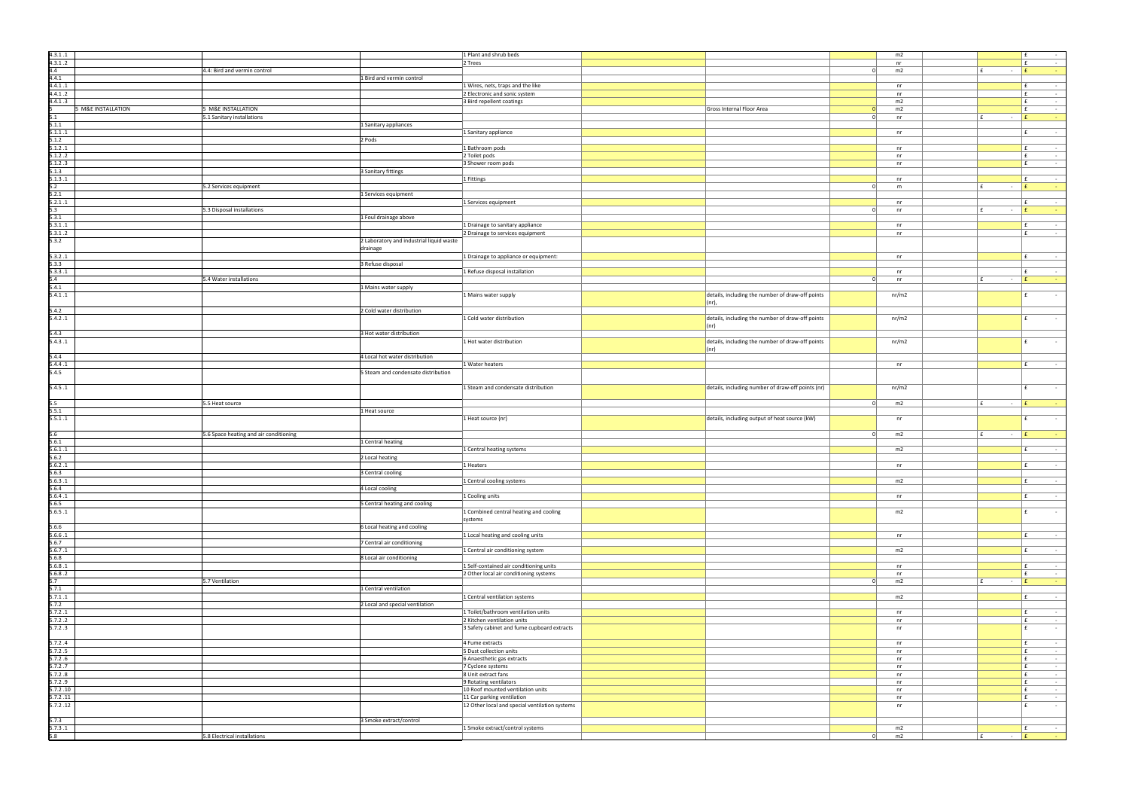| 4.3.1.1            |                    |                                          | 1 Plant and shrub beds                                |                                                              |          | m2       |                        | E                  |
|--------------------|--------------------|------------------------------------------|-------------------------------------------------------|--------------------------------------------------------------|----------|----------|------------------------|--------------------|
| 4.3.1.2            |                    |                                          | 2 Trees                                               |                                                              |          | nr       |                        | Ι£                 |
| 4.4                |                    | 4.4: Bird and vermin control             |                                                       |                                                              | 0        | m2       | E<br>$\sim$            | E                  |
| 4.4.1              |                    | 1 Bird and vermin control                |                                                       |                                                              |          |          |                        |                    |
| 4.4.1.1            |                    |                                          | 1 Wires, nets, traps and the like                     |                                                              |          | nr       |                        | l £                |
| 4.4.1.2            |                    |                                          | 2 Electronic and sonic system                         |                                                              |          | nr       |                        | Ι£                 |
| 4.4.1.3            | 5 M&E INSTALLATION | 5 M&E INSTALLATION                       | 3 Bird repellent coatings                             | Gross Internal Floor Area                                    | n        | m2<br>m2 |                        | l £<br>E           |
| 5.1                |                    | 5.1 Sanitary installations               |                                                       |                                                              | $\Omega$ | nr       | E<br>$\sim$            | l £                |
| 5.1.1              |                    | 1 Sanitary appliances                    |                                                       |                                                              |          |          |                        |                    |
| 5.1.1.1            |                    |                                          | 1 Sanitary appliance                                  |                                                              |          | nr       |                        | Ι£                 |
| 5.1.2              |                    | 2 Pods                                   |                                                       |                                                              |          |          |                        |                    |
| 5.1.2.1            |                    |                                          | 1 Bathroom pods                                       |                                                              |          | nr       |                        | Ι£                 |
| 5.1.2.2            |                    |                                          | 2 Toilet pods                                         |                                                              |          | nr       |                        | E.                 |
| 5.1.2.3            |                    |                                          | 3 Shower room pods                                    |                                                              |          | nr       |                        | E.                 |
| 5.1.3              |                    | 3 Sanitary fittings                      |                                                       |                                                              |          |          |                        |                    |
| 5.1.3.1            |                    |                                          | 1 Fittings                                            |                                                              |          | nr       |                        | Ι£                 |
| 5.2                |                    | 5.2 Services equipment                   |                                                       |                                                              | $\Omega$ | m        | $\mathbf{f}$<br>$\sim$ | $\cdot$ $\epsilon$ |
| 5.2.1              |                    | 1 Services equipment                     |                                                       |                                                              |          |          |                        |                    |
| 5.2.1.1<br>5.3     |                    | 5.3 Disposal installations               | 1 Services equipment                                  |                                                              | $\Omega$ | nr<br>nr | f<br>$\sim$            | Ι£<br>E            |
| 5.3.1              |                    | 1 Foul drainage above                    |                                                       |                                                              |          |          |                        |                    |
| 5.3.1.1            |                    |                                          | 1 Drainage to sanitary appliance                      |                                                              |          | nr       |                        | l £                |
| 5.3.1.2            |                    |                                          | 2 Drainage to services equipment                      |                                                              |          | nr       |                        | £                  |
| 5.3.2              |                    | 2 Laboratory and industrial liquid waste |                                                       |                                                              |          |          |                        |                    |
|                    |                    | drainage                                 |                                                       |                                                              |          |          |                        |                    |
| 5.3.2.1            |                    |                                          | 1 Drainage to appliance or equipment:                 |                                                              |          | nr       |                        | l £                |
| 5.3.3              |                    | 3 Refuse disposal                        |                                                       |                                                              |          |          |                        |                    |
| 5.3.3.1            |                    |                                          | 1 Refuse disposal installation                        |                                                              |          | nr       |                        | Ι£                 |
| 5.4                |                    | 5.4 Water installations                  |                                                       |                                                              | 0        | nr       | ∣ f<br>$\sim$          | l f                |
| 5.4.1              |                    | 1 Mains water supply                     |                                                       |                                                              |          |          |                        |                    |
| 5.4.1.1            |                    |                                          | 1 Mains water supply                                  | details, including the number of draw-off points<br>$(nr)$ , |          | nr/m2    |                        | Ι£                 |
| 5.4.2              |                    | 2 Cold water distribution                |                                                       |                                                              |          |          |                        |                    |
| 5.4.2.1            |                    |                                          | 1 Cold water distribution                             | details, including the number of draw-off points             |          | nr/m2    |                        | f                  |
|                    |                    |                                          |                                                       | $ $ (nr)                                                     |          |          |                        |                    |
| 5.4.3              |                    | 3 Hot water distribution                 |                                                       |                                                              |          |          |                        |                    |
| 5.4.3.1            |                    |                                          | 1 Hot water distribution                              | details, including the number of draw-off points             |          | nr/m2    |                        | l £                |
|                    |                    |                                          |                                                       | $ $ (nr)                                                     |          |          |                        |                    |
| 5.4.4              |                    | 4 Local hot water distribution           |                                                       |                                                              |          |          |                        |                    |
| 5.4.4.1            |                    |                                          | 1 Water heaters                                       |                                                              |          | nr       |                        | l £                |
| 5.4.5              |                    | 5 Steam and condensate distribution      |                                                       |                                                              |          |          |                        |                    |
|                    |                    |                                          |                                                       |                                                              |          |          |                        | $\mathbf{f}$       |
| 5.4.5.1            |                    |                                          | 1 Steam and condensate distribution                   | details, including number of draw-off points (nr)            |          | nr/m2    |                        |                    |
| 5.5                |                    | 5.5 Heat source                          |                                                       |                                                              | 0        | m2       | E<br>$\sim$            | E                  |
| 5.5.1              |                    | 1 Heat source                            |                                                       |                                                              |          |          |                        |                    |
| 5.5.1.1            |                    |                                          | 1 Heat source (nr)                                    | details, including output of heat source (kW)                |          | nr       |                        | l £                |
|                    |                    |                                          |                                                       |                                                              |          |          |                        |                    |
| 5.6                |                    | 5.6 Space heating and air conditioning   |                                                       |                                                              | 0        | m2       | f <br>$\sim 10^{-11}$  | E                  |
| 5.6.1              |                    | 1 Central heating                        |                                                       |                                                              |          |          |                        |                    |
| 5.6.1.1            |                    |                                          | 1 Central heating systems                             |                                                              |          | m2       |                        | Ι£                 |
| 5.6.2              |                    | 2 Local heating                          |                                                       |                                                              |          |          |                        |                    |
| 5.6.2.1            |                    |                                          | 1 Heaters                                             |                                                              |          | nr       |                        | Ι£                 |
| 5.6.3              |                    | 3 Central cooling                        |                                                       |                                                              |          |          |                        |                    |
| 5.6.3.1<br>5.6.4   |                    | 4 Local cooling                          | 1 Central cooling systems                             |                                                              |          | m2       |                        | Ι£                 |
| 5.6.4.1            |                    |                                          | 1 Cooling units                                       |                                                              |          | nr       |                        | E                  |
| 5.6.5              |                    | 5 Central heating and cooling            |                                                       |                                                              |          |          |                        |                    |
| 5.6.5.1            |                    |                                          | 1 Combined central heating and cooling                |                                                              |          | m2       |                        | E                  |
|                    |                    |                                          | systems                                               |                                                              |          |          |                        |                    |
| 5.6.6              |                    | 6 Local heating and cooling              |                                                       |                                                              |          |          |                        |                    |
| 5.6.6.1            |                    |                                          | 1 Local heating and cooling units                     |                                                              |          | nr       |                        | Ι£                 |
| 5.6.7              |                    | 7 Central air conditioning               |                                                       |                                                              |          |          |                        |                    |
| 5.6.7.1            |                    |                                          | 1 Central air conditioning system                     |                                                              |          | m2       |                        | l £                |
| 5.6.8              |                    | 8 Local air conditioning                 |                                                       |                                                              |          |          |                        |                    |
| 5.6.8.1<br>5.6.8.2 |                    |                                          | 1 Self-contained air conditioning units               |                                                              |          | nr<br>nr |                        | l £<br>Ι£          |
| 5.7                |                    | 5.7 Ventilation                          | 2 Other local air conditioning systems                |                                                              | $\Omega$ | m2       | $\sim$                 | l f                |
| 5.7.1              |                    | 1 Central ventilation                    |                                                       |                                                              |          |          |                        |                    |
| 5.7.1.1            |                    |                                          | 1 Central ventilation systems                         |                                                              |          | m2       |                        | l £                |
| 5.7.2              |                    | 2 Local and special ventilation          |                                                       |                                                              |          |          |                        |                    |
| 5.7.2.1            |                    |                                          | 1 Toilet/bathroom ventilation units                   |                                                              |          | nr       |                        | l £                |
| 5.7.2.2            |                    |                                          | 2 Kitchen ventilation units                           |                                                              |          | nr       |                        | Ι£                 |
| 5.7.2.3            |                    |                                          | 3 Safety cabinet and fume cupboard extracts           |                                                              |          | nr       |                        | f                  |
|                    |                    |                                          |                                                       |                                                              |          |          |                        |                    |
| 5.7.2.4            |                    |                                          | 4 Fume extracts                                       |                                                              |          | nr       |                        | E.                 |
| 5.7.2.5<br>5.7.2.6 |                    |                                          | 5 Dust collection units<br>6 Anaesthetic gas extracts |                                                              |          | nr<br>nr |                        | E.<br>$\mathbf{f}$ |
| 5.7.2.7            |                    |                                          | 7 Cyclone systems                                     |                                                              |          | nr       |                        | E.                 |
| 5.7.2.8            |                    |                                          | 8 Unit extract fans                                   |                                                              |          | nr       |                        | E.                 |
| 5.7.2 .9           |                    |                                          | 9 Rotating ventilators                                |                                                              |          | nr       |                        | $\mathbf{f}$       |
| 5.7.2.10           |                    |                                          | 10 Roof mounted ventilation units                     |                                                              |          | nr       |                        | E.                 |
| 5.7.2.11           |                    |                                          | 11 Car parking ventilation                            |                                                              |          | nr       |                        | Ι£                 |
| 5.7.2.12           |                    |                                          | 12 Other local and special ventilation systems        |                                                              |          | nr       |                        | f                  |
|                    |                    |                                          |                                                       |                                                              |          |          |                        |                    |
| 5.7.3              |                    | 3 Smoke extract/control                  |                                                       |                                                              |          |          |                        |                    |
|                    |                    |                                          |                                                       |                                                              |          |          |                        |                    |
| 5.7.3.1<br>5.8     |                    | 5.8 Electrical installations             | 1 Smoke extract/control systems                       |                                                              | 0        | m2<br>m2 | $ E$<br>∣£.            | Ι£                 |

|          | m2        |                               | £<br>÷                                   |
|----------|-----------|-------------------------------|------------------------------------------|
|          | $\sf{nr}$ |                               | £<br>÷,                                  |
| 0        | m2        | £<br>÷                        | £                                        |
|          |           |                               | ÷                                        |
|          |           |                               |                                          |
|          | $\sf{nr}$ |                               | £<br>÷                                   |
|          |           |                               | £                                        |
|          | $\sf{nr}$ |                               | ÷                                        |
|          | m2        |                               | £<br>÷,                                  |
| $\bf{0}$ | m2        |                               | £<br>÷,                                  |
| 0        | $\sf{nr}$ | £<br>-                        | £<br>÷                                   |
|          |           |                               |                                          |
|          |           |                               |                                          |
|          | $\sf{nr}$ |                               | £<br>÷                                   |
|          |           |                               |                                          |
|          |           |                               |                                          |
|          | nr        |                               | £<br>÷                                   |
|          | $\sf{nr}$ |                               | £<br>÷,                                  |
|          | nr        |                               | £<br>÷                                   |
|          |           |                               |                                          |
|          |           |                               |                                          |
|          | nr        |                               | £<br>÷,                                  |
| 0        | m         | £<br>÷,                       | £<br>÷                                   |
|          |           |                               |                                          |
|          |           |                               |                                          |
|          | $\sf{nr}$ |                               | £<br>÷                                   |
| 0        | nr        | £<br>÷                        | £<br>÷                                   |
|          |           |                               |                                          |
|          |           |                               |                                          |
|          | $\sf{nr}$ |                               | £<br>÷                                   |
|          | nr        |                               | £<br>÷,                                  |
|          |           |                               |                                          |
|          |           |                               |                                          |
|          |           |                               |                                          |
|          | $\sf{nr}$ |                               | £<br>$\overline{\phantom{a}}$            |
|          |           |                               |                                          |
|          | $\sf{nr}$ |                               | £<br>÷,                                  |
| $\bf{0}$ |           |                               | £                                        |
|          | $\sf{nr}$ | £<br>÷,                       | ÷                                        |
|          |           |                               |                                          |
|          | nr/m2     |                               | £<br>$\blacksquare$                      |
|          |           |                               |                                          |
|          |           |                               |                                          |
|          |           |                               |                                          |
|          | nr/m2     |                               | £<br>L,                                  |
|          |           |                               |                                          |
|          |           |                               |                                          |
|          | nr/m2     |                               | £<br>÷                                   |
|          |           |                               |                                          |
|          |           |                               |                                          |
|          |           |                               |                                          |
|          | $\sf{nr}$ |                               | £<br>÷                                   |
|          |           |                               |                                          |
|          |           |                               |                                          |
|          |           |                               |                                          |
|          | nr/m2     |                               | £<br>÷,                                  |
|          |           |                               |                                          |
|          |           |                               |                                          |
|          |           | ÷,                            |                                          |
| 0        | m2        | £                             | £<br>÷                                   |
|          |           |                               |                                          |
|          | $\sf{nr}$ |                               | £<br>÷                                   |
|          |           |                               |                                          |
| 0        | m2        | £<br>÷,                       | £<br>÷                                   |
|          |           |                               |                                          |
|          |           |                               |                                          |
|          | m2        |                               | £<br>÷                                   |
|          |           |                               |                                          |
|          | $\sf{nr}$ |                               | £<br>÷,                                  |
|          |           |                               |                                          |
|          | m2        |                               | $\overline{\phantom{a}}$                 |
|          |           |                               | £                                        |
|          |           |                               |                                          |
|          | nr        |                               | £<br>$\overline{\phantom{a}}$            |
|          |           |                               |                                          |
|          | m2        |                               | £<br>÷,                                  |
|          |           |                               |                                          |
|          |           |                               |                                          |
|          |           |                               |                                          |
|          | nr        |                               | £<br>÷                                   |
|          |           |                               |                                          |
|          | m2        |                               | £<br>÷                                   |
|          |           |                               |                                          |
|          | nr        |                               | £<br>÷                                   |
|          |           |                               |                                          |
|          | $\sf{nr}$ |                               | £<br>$\blacksquare$                      |
| 0        | m2        | £<br>$\overline{\phantom{a}}$ | £<br>÷                                   |
|          |           |                               |                                          |
|          | m2        |                               | £<br>÷                                   |
|          |           |                               |                                          |
|          |           |                               |                                          |
|          | nr        |                               | £<br>$\overline{\phantom{m}}$            |
|          | nr        |                               | £<br>$\overline{\phantom{a}}$            |
|          | nr        |                               | £<br>$\blacksquare$                      |
|          |           |                               |                                          |
|          |           |                               | £                                        |
|          | $\sf{nr}$ |                               | $\overline{\phantom{m}}$                 |
|          | nr        |                               | £<br>÷,                                  |
|          | nr        |                               | £<br>÷,                                  |
|          | nr        |                               | £<br>÷,                                  |
|          | nr        |                               | £<br>÷                                   |
|          |           |                               |                                          |
|          | nr        |                               | £<br>÷                                   |
|          | nr        |                               | £<br>÷,                                  |
|          | $\sf{nr}$ |                               | £<br>$\frac{1}{2}$                       |
|          | nr        |                               | L,<br>£                                  |
|          |           |                               |                                          |
|          |           |                               |                                          |
|          |           |                               |                                          |
| 0        | m2<br>m2  | £<br>÷,                       | £<br>$\overline{\phantom{a}}$<br>£<br>ä, |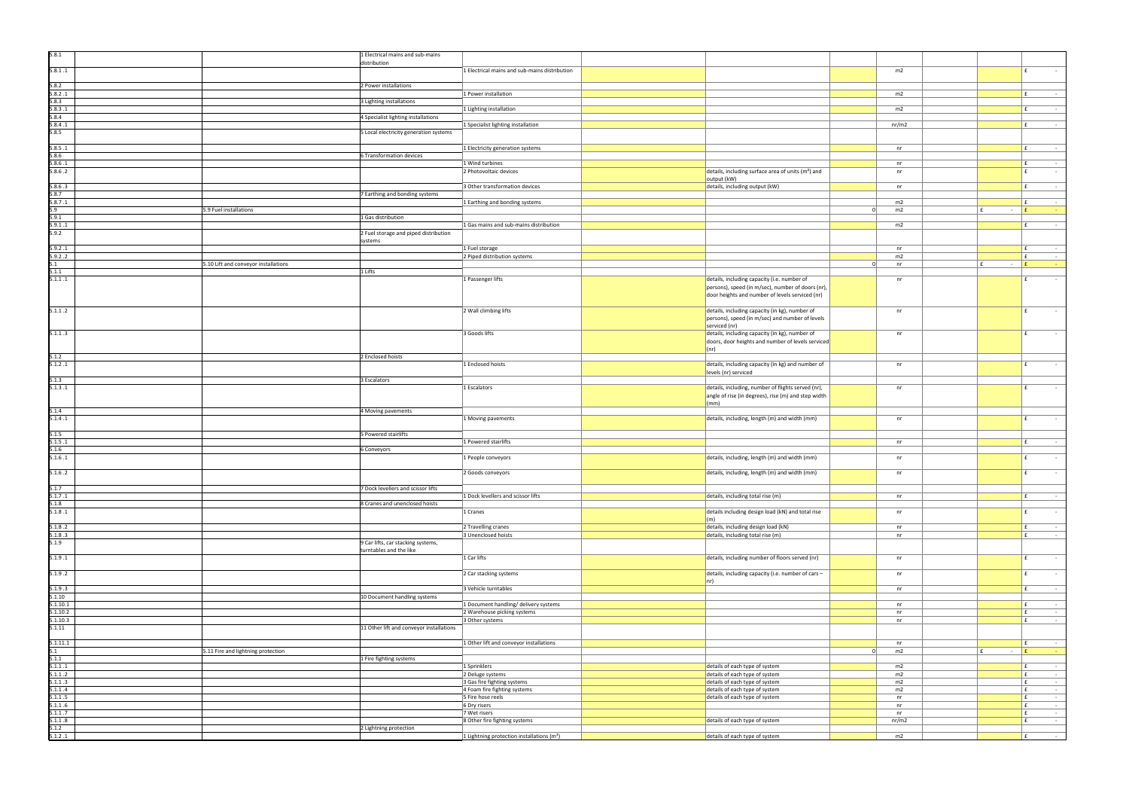| 5.8.1                |                                      | 1 Electrical mains and sub-mains                              |                                                                      |                                                                                                      |                  |                                                             |
|----------------------|--------------------------------------|---------------------------------------------------------------|----------------------------------------------------------------------|------------------------------------------------------------------------------------------------------|------------------|-------------------------------------------------------------|
| 5.8.1.1              |                                      | distribution                                                  | 1 Electrical mains and sub-mains distribution                        |                                                                                                      | m2               | $\sim 100$<br>f                                             |
| 5.8.2                |                                      | 2 Power installations                                         |                                                                      |                                                                                                      |                  |                                                             |
| 5.8.2.1              |                                      |                                                               | 1 Power installation                                                 |                                                                                                      | m2               | l £<br>$\sim 10^{-11}$                                      |
| 5.8.3<br>5.8.3.1     |                                      | 3 Lighting installations                                      | 1 Lighting installation                                              |                                                                                                      | m2               | £<br>$\sim$                                                 |
| 5.8.4                |                                      | 4 Specialist lighting installations                           |                                                                      |                                                                                                      |                  |                                                             |
| 5.8.4.1<br>5.8.5     |                                      | 5 Local electricity generation systems                        | 1 Specialist lighting installation                                   |                                                                                                      | nr/m2            | l £<br>$\sim$ $-$                                           |
| 5.8.5.1              |                                      |                                                               | 1 Electricity generation systems                                     |                                                                                                      | nr               | l £<br>$\sim$ $-$                                           |
| 5.8.6                |                                      | 6 Transformation devices                                      |                                                                      |                                                                                                      |                  |                                                             |
| 5.8.6.1<br>5.8.6.2   |                                      |                                                               | 1 Wind turbines<br>2 Photovoltaic devices                            | details, including surface area of units (m <sup>2</sup> ) and                                       | nr<br>nr         | f.<br>$\sim$<br>$\sim$                                      |
|                      |                                      |                                                               |                                                                      | output (kW)                                                                                          |                  |                                                             |
| 5.8.6.3<br>5.8.7     |                                      | 7 Earthing and bonding systems                                | 3 Other transformation devices                                       | details, including output (kW)                                                                       | nr               | $\sim 10^{-1}$                                              |
| 5.8.7.1<br>5.9       | 5.9 Fuel installations               |                                                               | 1 Earthing and bonding systems                                       |                                                                                                      | m2<br>m2<br>- 01 | l £<br>$\sim$<br>£<br>l f<br>$\sim$<br>- 1                  |
| 5.9.1                |                                      | 1 Gas distribution                                            |                                                                      |                                                                                                      |                  |                                                             |
| 5.9.1.1<br>5.9.2     |                                      | 2 Fuel storage and piped distribution                         | 1 Gas mains and sub-mains distribution                               |                                                                                                      | m2               | $\sim$                                                      |
|                      |                                      | systems                                                       |                                                                      |                                                                                                      |                  |                                                             |
| 5.9.2.1<br>5.9.2.2   |                                      |                                                               | 1 Fuel storage<br>2 Piped distribution systems                       |                                                                                                      | nr<br>m2         | $\sim 10^{-1}$<br>$\mathbf{f}$<br>$\sim$                    |
| 5.1                  | 5.10 Lift and conveyor installations | 1 Lifts                                                       |                                                                      |                                                                                                      | - 01<br>nr       | Ι£<br>$ E$<br><b>Contract</b>                               |
| 5.1.1<br>5.1.1.1     |                                      |                                                               | 1 Passenger lifts                                                    | details, including capacity (i.e. number of                                                          | nr               | $\sim$<br>f                                                 |
|                      |                                      |                                                               |                                                                      | persons), speed (in m/sec), number of doors (nr),<br>door heights and number of levels serviced (nr) |                  |                                                             |
|                      |                                      |                                                               |                                                                      |                                                                                                      |                  |                                                             |
| 5.1.1.2              |                                      |                                                               | 2 Wall climbing lifts                                                | details, including capacity (in kg), number of<br>persons), speed (in m/sec) and number of levels    | nr               | $\sim$                                                      |
|                      |                                      |                                                               |                                                                      | serviced (nr)                                                                                        |                  |                                                             |
| 5.1.1.3              |                                      |                                                               | 3 Goods lifts                                                        | details, including capacity (in kg), number of<br>doors, door heights and number of levels serviced  | nr               | $\sim$                                                      |
|                      |                                      |                                                               |                                                                      | (nr)                                                                                                 |                  |                                                             |
| 5.1.2<br>5.1.2.1     |                                      | 2 Enclosed hoists                                             | 1 Enclosed hoists                                                    | details, including capacity (in kg) and number of                                                    | nr               | f.<br>$\sim$                                                |
| 5.1.3                |                                      | 3 Escalators                                                  |                                                                      | levels (nr) serviced                                                                                 |                  |                                                             |
| 5.1.3.1              |                                      |                                                               | 1 Escalators                                                         | details, including, number of flights served (nr),                                                   | nr               | f<br>$\sim$                                                 |
|                      |                                      |                                                               |                                                                      | angle of rise (in degrees), rise (m) and step width<br>$\vert$ (mm)                                  |                  |                                                             |
| 5.1.4                |                                      | 4 Moving pavements                                            |                                                                      |                                                                                                      |                  |                                                             |
| 5.1.4.1              |                                      |                                                               | 1 Moving pavements                                                   | details, including, length (m) and width (mm)                                                        | nr               | f<br>$\sim$                                                 |
| 5.1.5<br>5.1.5.1     |                                      | 5 Powered stairlifts                                          | 1 Powered stairlifts                                                 |                                                                                                      | nr               | ∣ f<br>$\sim$                                               |
| 5.1.6                |                                      | 6 Conveyors                                                   |                                                                      |                                                                                                      |                  |                                                             |
| 5.1.6.1              |                                      |                                                               | 1 People conveyors                                                   | details, including, length (m) and width (mm)                                                        | nr               | £<br>$\sim$                                                 |
| 5.1.6.2              |                                      |                                                               | 2 Goods conveyors                                                    | details, including, length (m) and width (mm)                                                        | nr               | E                                                           |
| 5.1.7                |                                      | 7 Dock levellers and scissor lifts                            |                                                                      |                                                                                                      |                  |                                                             |
| 5.1.7.1<br>5.1.8     |                                      | 8 Cranes and unenclosed hoists                                | 1 Dock levellers and scissor lifts                                   | details, including total rise (m)                                                                    | nr               | f <br>$\mathcal{L}_{\rm{max}}$ and $\mathcal{L}_{\rm{max}}$ |
| 5.1.8.1              |                                      |                                                               | 1 Cranes                                                             | details including design load (kN) and total rise                                                    | nr               | f<br>$\sim$                                                 |
| 5.1.8.2              |                                      |                                                               | 2 Travelling cranes                                                  | $\vert$ (m)<br>details, including design load (kN)                                                   | nr               | $\sim 100$<br>E.                                            |
| 5.1.8.3              |                                      |                                                               | 3 Unenclosed hoists                                                  | details, including total rise (m)                                                                    | nr               | $\sim 10^{-1}$<br>f                                         |
| 5.1.9                |                                      | 9 Car lifts, car stacking systems,<br>turntables and the like |                                                                      |                                                                                                      |                  |                                                             |
| 5.1.9.1              |                                      |                                                               | 1 Car lifts                                                          | details, including number of floors served (nr)                                                      | nr               | E.<br>$\sim$                                                |
| 5.1.9.2              |                                      |                                                               | 2 Car stacking systems                                               | details, including capacity (i.e. number of cars -                                                   | nr               | E<br>$\sim 10^{-11}$                                        |
| 5.1.9.3              |                                      |                                                               | 3 Vehicle turntables                                                 | $ nr\rangle$                                                                                         | nr               | $\sim 10^{-1}$                                              |
| 5.1.10               |                                      | 10 Document handling systems                                  |                                                                      |                                                                                                      |                  |                                                             |
| 5.1.10.1<br>5.1.10.2 |                                      |                                                               | 1 Document handling/ delivery systems<br>2 Warehouse picking systems |                                                                                                      | nr<br>nr         | £<br>$\sim 10^{-1}$<br>£<br>$\sim 10^{-1}$                  |
| 5.1.10.3             |                                      |                                                               | 3 Other systems                                                      |                                                                                                      | nr               | E<br>$\sim 10^{-11}$                                        |
| 5.1.11               |                                      | 11 Other lift and conveyor installations                      |                                                                      |                                                                                                      |                  |                                                             |
| 5.1.11.1<br>5.1      | 5.11 Fire and lightning protection   |                                                               | 1 Other lift and conveyor installations                              |                                                                                                      | nr<br>m2<br>- 0  | E<br>$\sim 100$<br>l £<br>$ E$                              |
| 5.1.1                |                                      | 1 Fire fighting systems                                       |                                                                      |                                                                                                      |                  | $\sim 10^{-1}$                                              |
| 5.1.1.1<br>5.1.1.2   |                                      |                                                               | 1 Sprinklers<br>2 Deluge systems                                     | details of each type of system<br>details of each type of system                                     | m2<br>m2         | l £<br>$\sim$<br>l £<br>$\sim$ $-$                          |
| 5.1.1.3              |                                      |                                                               | 3 Gas fire fighting systems                                          | details of each type of system                                                                       | m2               | Ι£<br>$\sim$ $ \sim$                                        |
| 5.1.1 .4<br>5.1.1.5  |                                      |                                                               | 4 Foam fire fighting systems<br>5 Fire hose reels                    | details of each type of system<br>details of each type of system                                     | m2<br>nr         | $\sim 10^{-1}$<br>l £<br>l £<br>$\sim$ $-$                  |
| 5.1.1.6              |                                      |                                                               | 6 Dry risers                                                         |                                                                                                      | nr               | l £<br>$\sim 10^{-1}$                                       |
| 5.1.1.7              |                                      |                                                               | 7 Wet risers                                                         |                                                                                                      | nr               | f<br>$\sim 10^{-11}$                                        |
| 5.1.1.8<br>5.1.2     |                                      | 2 Lightning protection                                        | 8 Other fire fighting systems                                        | details of each type of system                                                                       | nr/m2            | f <br>$\sim 10^{-1}$                                        |
| 5.1.2.1              |                                      |                                                               | 1 Lightning protection installations $(m2)$                          | details of each type of system                                                                       | m2               | $\mathbf{f}$<br>$\sim 100$                                  |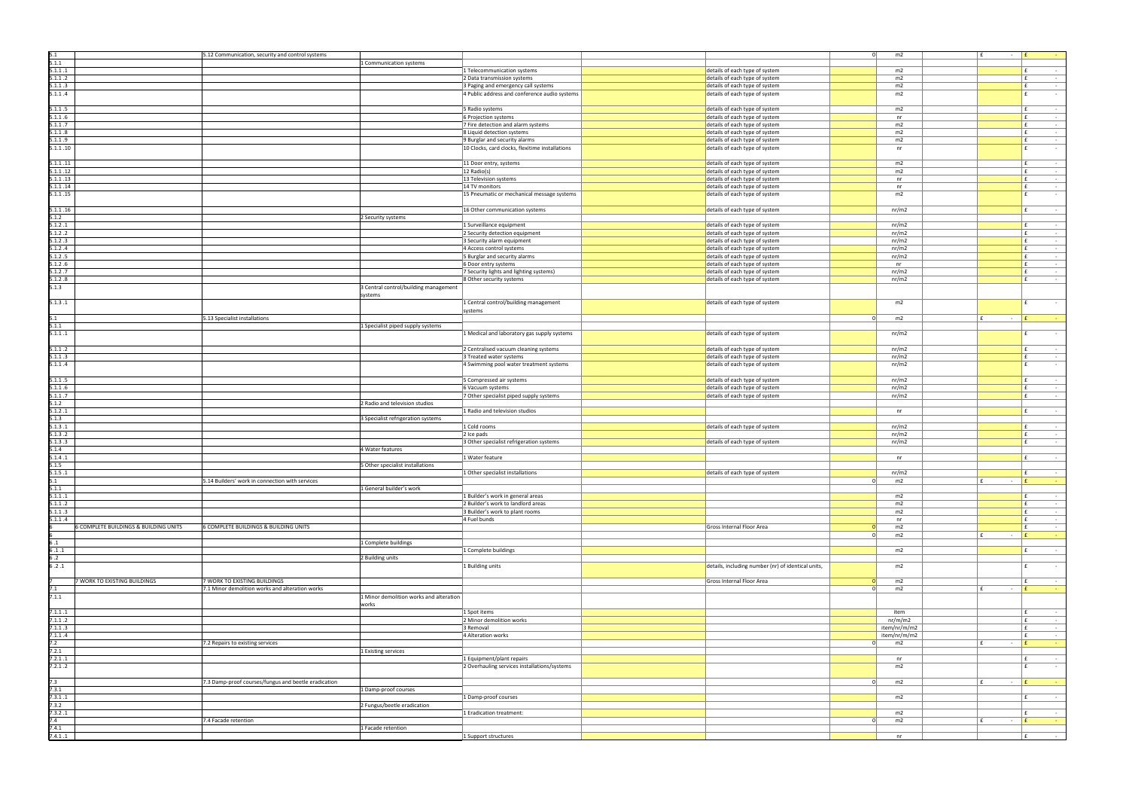| 5.1                                   | 5.12 Communication, security and control systems     |                                                 |                                                    | 0        | m2           | l £<br>$\sim$          |              |
|---------------------------------------|------------------------------------------------------|-------------------------------------------------|----------------------------------------------------|----------|--------------|------------------------|--------------|
| 5.1.1                                 | 1 Communication systems                              |                                                 |                                                    |          |              |                        |              |
| 5.1.1.1                               |                                                      | 1 Telecommunication systems                     | details of each type of system                     |          | m2           |                        | Ι£           |
| 5.1.1.2                               |                                                      | 2 Data transmission systems                     | details of each type of system                     |          | m2           |                        | E.           |
| 5.1.1.3                               |                                                      | 3 Paging and emergency call systems             | details of each type of system                     |          | m2           |                        | E.           |
|                                       |                                                      |                                                 |                                                    |          |              |                        | l £          |
| 5.1.1.4                               |                                                      | 4 Public address and conference audio systems   | details of each type of system                     |          | m2           |                        |              |
|                                       |                                                      |                                                 |                                                    |          |              |                        |              |
| 5.1.1.5                               |                                                      | 5 Radio systems                                 | details of each type of system                     |          | m2           |                        | Ι£           |
| 5.1.1.6                               |                                                      | 6 Projection systems                            | details of each type of system                     |          | nr           |                        | E            |
| 5.1.1.7                               |                                                      | 7 Fire detection and alarm systems              | details of each type of system                     |          | m2           |                        | E.           |
| 5.1.1.8                               |                                                      | 8 Liquid detection systems                      | details of each type of system                     |          | m2           |                        | E.           |
| 5.1.1.9                               |                                                      | 9 Burglar and security alarms                   | details of each type of system                     |          | m2           |                        | E.           |
| 5.1.1.10                              |                                                      | 10 Clocks, card clocks, flexitime installations | details of each type of system                     |          | nr           |                        | E            |
|                                       |                                                      |                                                 |                                                    |          |              |                        |              |
| 5.1.1.11                              |                                                      | 11 Door entry, systems                          | details of each type of system                     |          | m2           |                        | Ι£           |
| 5.1.1.12                              |                                                      | 12 Radio(s)                                     | details of each type of system                     |          | m2           |                        | $\mathbf{f}$ |
| 5.1.1.13                              |                                                      | 13 Television systems                           | details of each type of system                     |          | nr           |                        | E.           |
| 5.1.1.14                              |                                                      | 14 TV monitors                                  | details of each type of system                     |          | nr           |                        | E.           |
| 5.1.1.15                              |                                                      | 15 Pneumatic or mechanical message systems      | details of each type of system                     |          | m2           |                        | f            |
|                                       |                                                      |                                                 |                                                    |          |              |                        |              |
| 5.1.1.16                              |                                                      | 16 Other communication systems                  | details of each type of system                     |          | nr/m2        |                        | Ι£           |
| 5.1.2                                 | 2 Security systems                                   |                                                 |                                                    |          |              |                        |              |
| 5.1.2.1                               |                                                      | 1 Surveillance equipment                        | details of each type of system                     |          | nr/m2        |                        | Ι£           |
| 5.1.2.2                               |                                                      | 2 Security detection equipment                  | details of each type of system                     |          | nr/m2        |                        | l £          |
| 5.1.2.3                               |                                                      | 3 Security alarm equipment                      | details of each type of system                     |          | nr/m2        |                        | E.           |
| 5.1.2.4                               |                                                      |                                                 |                                                    |          | nr/m2        |                        |              |
|                                       |                                                      | 4 Access control systems                        | details of each type of system                     |          |              |                        | $\mathbf{f}$ |
| 5.1.2.5                               |                                                      | 5 Burglar and security alarms                   | details of each type of system                     |          | nr/m2        |                        | $\mathbf{f}$ |
| 5.1.2.6                               |                                                      | 6 Door entry systems                            | details of each type of system                     |          | nr           |                        | l £          |
| 5.1.2.7                               |                                                      | 7 Security lights and lighting systems)         | details of each type of system                     |          | nr/m2        |                        | E.           |
| 5.1.2.8                               |                                                      | 8 Other security systems                        | details of each type of system                     |          | nr/m2        |                        | E            |
| 5.1.3                                 | 3 Central control/building management                |                                                 |                                                    |          |              |                        |              |
|                                       | systems                                              |                                                 |                                                    |          |              |                        |              |
| 5.1.3.1                               |                                                      | 1 Central control/building management           | details of each type of system                     |          | m2           |                        | f            |
|                                       |                                                      | systems                                         |                                                    |          |              |                        |              |
| 5.1                                   | 5.13 Specialist installations                        |                                                 |                                                    | - 01     | m2           | $\sim$                 | ∣ f          |
| 5.1.1                                 | 1 Specialist piped supply systems                    |                                                 |                                                    |          |              |                        |              |
| 5.1.1.1                               |                                                      | 1 Medical and laboratory gas supply systems     | details of each type of system                     |          | nr/m2        |                        | f            |
|                                       |                                                      |                                                 |                                                    |          |              |                        |              |
| 5.1.1.2                               |                                                      | 2 Centralised vacuum cleaning systems           | details of each type of system                     |          | nr/m2        |                        | Ι£           |
| 5.1.1.3                               |                                                      | 3 Treated water systems                         | details of each type of system                     |          | nr/m2        |                        | l £          |
| 5.1.1.4                               |                                                      | 4 Swimming pool water treatment systems         | details of each type of system                     |          | nr/m2        |                        | f            |
|                                       |                                                      |                                                 |                                                    |          |              |                        |              |
| 5.1.1.5                               |                                                      | 5 Compressed air systems                        | details of each type of system                     |          | nr/m2        |                        | E.           |
| 5.1.1.6                               |                                                      | 6 Vacuum systems                                | details of each type of system                     |          | nr/m2        |                        | $\mathbf{f}$ |
| 5.1.1.7                               |                                                      | 7 Other specialist piped supply systems         | details of each type of system                     |          | nr/m2        |                        | l £          |
| 5.1.2                                 | 2 Radio and television studios                       |                                                 |                                                    |          |              |                        |              |
| 5.1.2.1                               |                                                      | 1 Radio and television studios                  |                                                    |          | nr           |                        | f            |
| 5.1.3                                 | 3 Specialist refrigeration systems                   |                                                 |                                                    |          |              |                        |              |
| 5.1.3.1                               |                                                      | 1 Cold rooms                                    | details of each type of system                     |          | nr/m2        |                        | l £          |
| 5.1.3.2                               |                                                      | 2 Ice pads                                      |                                                    |          | nr/m2        |                        | E.           |
| 5.1.3.3                               |                                                      | 3 Other specialist refrigeration systems        |                                                    |          | nr/m2        |                        | l £          |
| 5.1.4                                 |                                                      |                                                 | details of each type of system                     |          |              |                        |              |
|                                       | 4 Water features                                     |                                                 |                                                    |          |              |                        |              |
| 5.1.4.1                               |                                                      | 1 Water feature                                 |                                                    |          | nr           |                        | Ι£           |
| 5.1.5                                 | 5 Other specialist installations                     |                                                 |                                                    |          |              |                        |              |
| 5.1.5.1                               |                                                      | 1 Other specialist installations                | details of each type of system                     |          | nr/m2        |                        | E            |
| 5.1                                   | 5.14 Builders' work in connection with services      |                                                 |                                                    | 0        | m2           | f <br>$\sim$           | $\mathsf{F}$ |
| 5.1.1                                 | l General builder's work                             |                                                 |                                                    |          |              |                        |              |
| 5.1.1.1                               |                                                      | 1 Builder's work in general areas               |                                                    |          | m2           |                        | l £          |
| 5.1.1.2                               |                                                      | 2 Builder's work to landlord areas              |                                                    |          | m2           |                        | E            |
| 5.1.1.3                               |                                                      | 3 Builder's work to plant rooms                 |                                                    |          | m2           |                        | l £          |
| 5.1.1.4                               |                                                      | 4 Fuel bunds                                    |                                                    |          | nr           |                        | l £          |
| 6 COMPLETE BUILDINGS & BUILDING UNITS | 6 COMPLETE BUILDINGS & BUILDING UNITS                |                                                 | Gross Internal Floor Area                          |          | m2           |                        | Ι£           |
|                                       |                                                      |                                                 |                                                    | $\Omega$ | m2           | $\mathbf{f}$<br>$\sim$ | l f          |
| 6.1                                   | 1 Complete buildings                                 |                                                 |                                                    |          |              |                        |              |
| 6.1.1                                 |                                                      | 1 Complete buildings                            |                                                    |          | m2           |                        | l £          |
| 6.2                                   | 2 Building units                                     |                                                 |                                                    |          |              |                        |              |
| 6.2.1                                 |                                                      | 1 Building units                                | details, including number (nr) of identical units, |          | m2           |                        | Ι£           |
|                                       |                                                      |                                                 |                                                    |          |              |                        |              |
| 7 WORK TO EXISTING BUILDINGS          | 7 WORK TO EXISTING BUILDINGS                         |                                                 | Gross Internal Floor Area                          |          | m2           |                        | f            |
| 7.1                                   | 7.1 Minor demolition works and alteration works      |                                                 |                                                    | n        | m2           | $\sim$                 | l £          |
| 7.1.1                                 | 1 Minor demolition works and alteration              |                                                 |                                                    |          |              |                        |              |
|                                       | works                                                |                                                 |                                                    |          |              |                        |              |
| 7.1.1.1                               |                                                      | 1 Spot items                                    |                                                    |          | item         |                        | Ι£           |
| 7.1.1.2                               |                                                      | 2 Minor demolition works                        |                                                    |          | nr/m/m2      |                        | E            |
|                                       |                                                      |                                                 |                                                    |          |              |                        | Ι£           |
| 7.1.1.3                               |                                                      | 3 Removal                                       |                                                    |          | item/nr/m/m2 |                        |              |
| 7.1.1.4                               |                                                      | 4 Alteration works                              |                                                    |          | item/nr/m/m2 |                        | Ι£           |
| 7.2                                   | 7.2 Repairs to existing services                     |                                                 |                                                    | $\Omega$ | m2           | $\sim$                 | l £          |
| 7.2.1                                 | 1 Existing services                                  |                                                 |                                                    |          |              |                        |              |
| 7.2.1.1                               |                                                      | 1 Equipment/plant repairs                       |                                                    |          | nr           |                        | Ι£           |
| 7.2.1.2                               |                                                      | 2 Overhauling services installations/systems    |                                                    |          | m2           |                        | $\mathbf{f}$ |
|                                       |                                                      |                                                 |                                                    |          |              |                        |              |
| 7.3                                   | 7.3 Damp-proof courses/fungus and beetle eradication |                                                 |                                                    | $\Omega$ | m2           | f<br>$\sim$            | ۱£           |
|                                       |                                                      |                                                 |                                                    |          |              |                        |              |
| 7.3.1                                 | 1 Damp-proof courses                                 |                                                 |                                                    |          |              |                        | f            |
| 7.3.1.1                               |                                                      | 1 Damp-proof courses                            |                                                    |          | m2           |                        |              |
| 7.3.2                                 | 2 Fungus/beetle eradication                          |                                                 |                                                    |          |              |                        |              |
| 7.3.2.1                               |                                                      | 1 Eradication treatment:                        |                                                    | $\Omega$ | m2           | $\mathbf{f}$           | £            |
| 7.4<br>7.4.1                          | 7.4 Facade retention<br>1 Facade retention           |                                                 |                                                    |          | m2           | $\sim$                 | l £          |

|                                      | 0         | m2           | £<br>$\overline{\phantom{a}}$ | £                  | ٠                        |
|--------------------------------------|-----------|--------------|-------------------------------|--------------------|--------------------------|
|                                      |           |              |                               |                    |                          |
| h type of system                     |           | m2           |                               | £                  | $\overline{\phantom{a}}$ |
|                                      |           | m2           |                               | $\pmb{\mathtt{f}}$ |                          |
| h type of system                     |           |              |                               |                    | $\overline{\phantom{a}}$ |
| h type of system                     |           | m2           |                               | £                  | $\overline{\phantom{a}}$ |
| h type of system                     |           | m2           |                               | £                  | $\blacksquare$           |
|                                      |           |              |                               |                    |                          |
| h type of system                     |           | m2           |                               | £                  | $\overline{\phantom{a}}$ |
| h type of system                     |           | nr           |                               | £                  | ÷,                       |
| h type of system                     |           | m2           |                               | $\pmb{\mathsf{f}}$ | $\blacksquare$           |
| h type of system                     |           | m2           |                               | £                  | $\overline{\phantom{a}}$ |
|                                      |           |              |                               |                    |                          |
| h type of system                     |           | m2           |                               | £                  |                          |
| h type of system                     |           | nr           |                               | $\pmb{\mathsf{f}}$ | $\overline{\phantom{a}}$ |
|                                      |           |              |                               |                    |                          |
| h type of system                     |           | m2           |                               | £                  | ٠                        |
| h type of system                     |           | m2           |                               | £                  | $\blacksquare$           |
| h type of system                     |           | nr           |                               | £                  | $\overline{\phantom{a}}$ |
| h type of system                     |           | nr           |                               | £                  | $\overline{\phantom{a}}$ |
|                                      |           |              |                               | £                  | ÷                        |
| h type of system                     |           | m2           |                               |                    |                          |
|                                      |           |              |                               |                    |                          |
| h type of system                     |           | nr/m2        |                               | £                  | $\overline{\phantom{a}}$ |
|                                      |           |              |                               |                    |                          |
| h type of system                     |           | nr/m2        |                               | £                  | $\blacksquare$           |
| h type of system                     |           | nr/m2        |                               | $\pmb{\mathsf{f}}$ | $\blacksquare$           |
| h type of system                     |           | nr/m2        |                               | £                  | $\overline{\phantom{a}}$ |
|                                      |           | nr/m2        |                               | £                  |                          |
| h type of system                     |           |              |                               |                    | $\overline{a}$           |
| h type of system                     |           | nr/m2        |                               | £                  | $\blacksquare$           |
| h type of system                     |           | nr           |                               | £                  | $\overline{\phantom{a}}$ |
| h type of system                     |           | nr/m2        |                               | £                  | $\overline{\phantom{a}}$ |
| h type of system                     |           | nr/m2        |                               | £                  | ÷,                       |
|                                      |           |              |                               |                    |                          |
|                                      |           |              |                               |                    |                          |
| h type of system                     |           |              |                               | £                  | $\blacksquare$           |
|                                      |           | m2           |                               |                    |                          |
|                                      |           |              |                               |                    |                          |
|                                      | $\pmb{0}$ | m2           | £<br>$\overline{\phantom{a}}$ | £                  |                          |
|                                      |           |              |                               |                    |                          |
| h type of system                     |           | nr/m2        |                               | £                  | $\overline{\phantom{a}}$ |
|                                      |           |              |                               |                    |                          |
| h type of system                     |           | nr/m2        |                               | £                  | $\overline{\phantom{a}}$ |
|                                      |           |              |                               |                    |                          |
| h type of system                     |           | nr/m2        |                               | £                  | $\overline{\phantom{a}}$ |
| h type of system                     |           | nr/m2        |                               | £                  | ä,                       |
|                                      |           |              |                               |                    |                          |
| h type of system                     |           | nr/m2        |                               | £                  | $\overline{\phantom{a}}$ |
| h type of system                     |           | nr/m2        |                               | £                  | $\overline{\phantom{a}}$ |
| h type of system                     |           | nr/m2        |                               | £                  | $\blacksquare$           |
|                                      |           |              |                               |                    |                          |
|                                      |           | nr           |                               | £                  |                          |
|                                      |           |              |                               |                    | $\overline{\phantom{a}}$ |
|                                      |           |              |                               |                    |                          |
| h type of system                     |           | nr/m2        |                               | £                  | $\blacksquare$           |
|                                      |           | nr/m2        |                               | £                  | $\overline{\phantom{a}}$ |
| h type of system                     |           | nr/m2        |                               | £                  | $\overline{\phantom{a}}$ |
|                                      |           |              |                               |                    |                          |
|                                      |           | nr           |                               | £                  | $\overline{\phantom{a}}$ |
|                                      |           |              |                               |                    |                          |
|                                      |           |              |                               |                    |                          |
| h type of system                     |           | nr/m2        |                               | £                  | ÷,                       |
|                                      | 0         | m2           | £<br>$\blacksquare$           | £                  | $\overline{\phantom{a}}$ |
|                                      |           |              |                               |                    |                          |
|                                      |           | m2           |                               | £                  | $\overline{\phantom{a}}$ |
|                                      |           | m2           |                               | £                  | $\blacksquare$           |
|                                      |           | m2           |                               | $\pmb{\mathtt{f}}$ | $\overline{\phantom{a}}$ |
|                                      |           |              |                               |                    |                          |
| I Floor Area                         |           | $\sf{nr}$    |                               | £                  | $\sim$                   |
|                                      | $\bf{0}$  | m2           |                               | £                  | $\overline{\phantom{a}}$ |
|                                      | 0         | m2           | £<br>$\blacksquare$           | $\pmb{\mathsf{f}}$ | ÷,                       |
|                                      |           |              |                               |                    |                          |
|                                      |           | m2           |                               | £                  | $\overline{\phantom{a}}$ |
|                                      |           |              |                               |                    |                          |
| ling number (nr) of identical units, |           | m2           |                               | £                  | $\blacksquare$           |
|                                      |           |              |                               |                    |                          |
| I Floor Area                         |           |              |                               |                    |                          |
|                                      | 0         | m2           |                               | £                  | $\overline{\phantom{a}}$ |
|                                      | 0         | m2           | £<br>$\blacksquare$           | £                  | $\blacksquare$           |
|                                      |           |              |                               |                    |                          |
|                                      |           |              |                               |                    |                          |
|                                      |           | item         |                               | £                  | $\overline{\phantom{a}}$ |
|                                      |           | nr/m/m2      |                               | £                  | $\overline{\phantom{a}}$ |
|                                      |           | item/nr/m/m2 |                               | £                  | $\sim$                   |
|                                      |           |              |                               |                    |                          |
|                                      |           | item/nr/m/m2 |                               | £                  | $\blacksquare$           |
|                                      | 0         | m2           | £<br>$\blacksquare$           | £                  | ۳                        |
|                                      |           |              |                               |                    |                          |
|                                      |           | nr           |                               | £                  | $\overline{\phantom{a}}$ |
|                                      |           | m2           |                               | £                  | $\blacksquare$           |
|                                      |           |              |                               |                    |                          |
|                                      | 0         | m2           | £<br>$\overline{\phantom{a}}$ | £                  | -                        |
|                                      |           |              |                               |                    |                          |
|                                      |           |              |                               |                    |                          |
|                                      |           | m2           |                               | £                  | $\blacksquare$           |
|                                      |           |              |                               |                    |                          |
|                                      |           | m2           |                               | £                  | $\overline{\phantom{a}}$ |
|                                      | 0         | m2           | £<br>$\overline{\phantom{m}}$ | £                  | ٠                        |
|                                      |           |              |                               |                    |                          |
|                                      |           | nr           |                               | £                  | $\overline{\phantom{a}}$ |
|                                      |           |              |                               |                    |                          |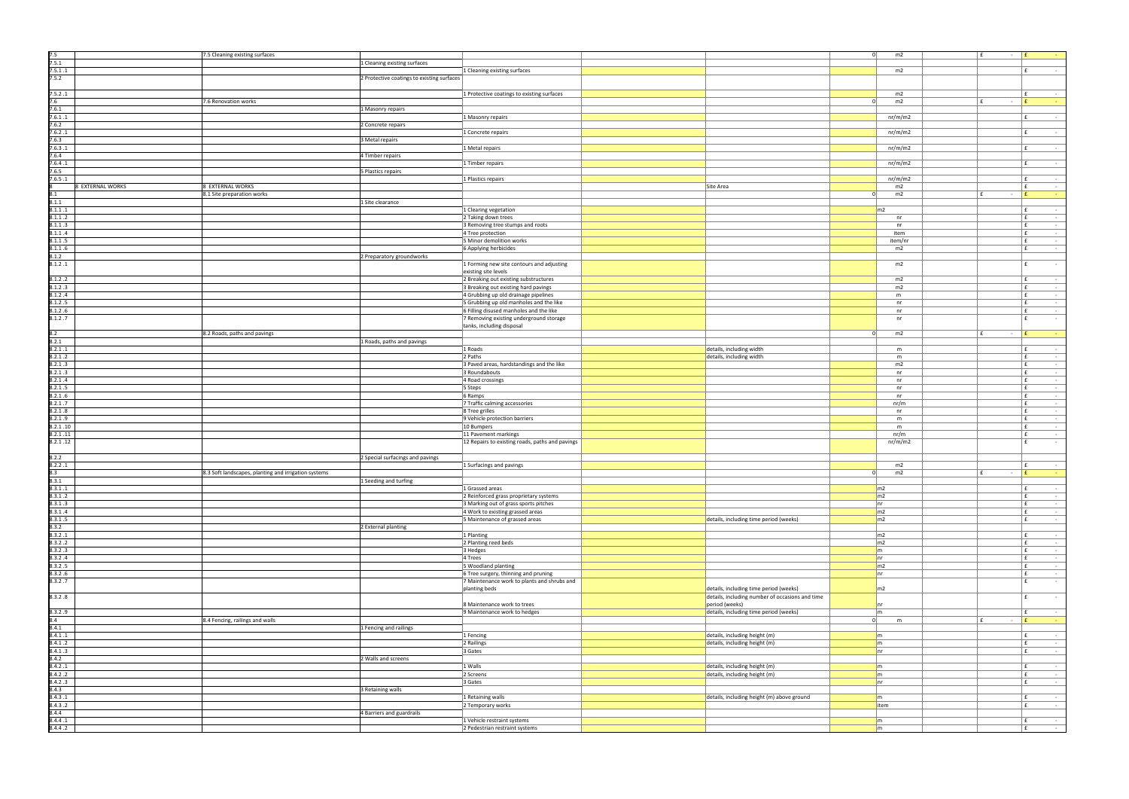| 7.5<br>7.5.1        |                  | 7.5 Cleaning existing surfaces<br>1 Cleaning existing surfaces |                                                 |                                                                                           | 0                     | m2      |    | l £<br>$ E$ |              |
|---------------------|------------------|----------------------------------------------------------------|-------------------------------------------------|-------------------------------------------------------------------------------------------|-----------------------|---------|----|-------------|--------------|
| 7.5.1.1             |                  |                                                                | 1 Cleaning existing surfaces                    |                                                                                           |                       | m2      |    |             | l £          |
| 7.5.2               |                  | 2 Protective coatings to existing surfaces                     |                                                 |                                                                                           |                       |         |    |             |              |
|                     |                  |                                                                |                                                 |                                                                                           |                       |         |    |             |              |
| 7.5.2.1             |                  |                                                                | 1 Protective coatings to existing surfaces      |                                                                                           |                       | m2      |    |             | l £          |
| 7.6                 |                  | 7.6 Renovation works                                           |                                                 |                                                                                           | $\Omega$              | m2      |    | E<br>$\sim$ | l £          |
| 7.6.1               |                  | 1 Masonry repairs                                              |                                                 |                                                                                           |                       |         |    |             |              |
| 7.6.1 .1            |                  |                                                                | 1 Masonry repairs                               |                                                                                           |                       | nr/m/m2 |    |             | f            |
| 7.6.2               |                  | 2 Concrete repairs                                             |                                                 |                                                                                           |                       |         |    |             |              |
| 7.6.2.1             |                  |                                                                | 1 Concrete repairs                              |                                                                                           |                       | nr/m/m2 |    |             | l £          |
| 7.6.3               |                  | 3 Metal repairs                                                |                                                 |                                                                                           |                       |         |    |             |              |
| 7.6.3 .1            |                  |                                                                | 1 Metal repairs                                 |                                                                                           |                       | nr/m/m2 |    |             | Ι£           |
| 7.6.4               |                  | 4 Timber repairs                                               |                                                 |                                                                                           |                       |         |    |             |              |
| 7.6.4.1             |                  |                                                                | 1 Timber repairs                                |                                                                                           |                       | nr/m/m2 |    |             | Ι£           |
| 7.6.5               |                  | 5 Plastics repairs                                             |                                                 |                                                                                           |                       |         |    |             |              |
| 7.6.5.1             |                  |                                                                | 1 Plastics repairs                              |                                                                                           |                       | nr/m/m2 |    |             | E            |
|                     | 8 EXTERNAL WORKS | 8 EXTERNAL WORKS                                               |                                                 | Site Area                                                                                 |                       | m2      |    |             | l £          |
| 8.1                 |                  | 8.1 Site preparation works                                     |                                                 |                                                                                           | $\Omega$              | m2      |    | f<br>$\sim$ | E            |
| 8.1.1               |                  | 1 Site clearance                                               |                                                 |                                                                                           |                       |         |    |             |              |
| 8.1.1.1             |                  |                                                                | 1 Clearing vegetation                           |                                                                                           | m <sub>2</sub>        |         |    |             | l £          |
| 8.1.1.2             |                  |                                                                | 2 Taking down trees                             |                                                                                           |                       | nr      |    |             | Ι£           |
| 8.1.1.3             |                  |                                                                | 3 Removing tree stumps and roots                |                                                                                           |                       | nr      |    |             | E.           |
| 8.1.1.4             |                  |                                                                | 4 Tree protection                               |                                                                                           |                       | item    |    |             | E.           |
| 8.1.1.5             |                  |                                                                | 5 Minor demolition works                        |                                                                                           |                       | item/nr |    |             | l £          |
| 8.1.1.6             |                  |                                                                | 6 Applying herbicides                           |                                                                                           |                       | m2      |    |             | Ι£           |
| 3.1.2               |                  | 2 Preparatory groundworks                                      |                                                 |                                                                                           |                       |         |    |             |              |
| 8.1.2.1             |                  |                                                                | 1 Forming new site contours and adjusting       |                                                                                           |                       | m2      |    |             | f            |
|                     |                  |                                                                | existing site levels                            |                                                                                           |                       |         |    |             |              |
| 8.1.2.2             |                  |                                                                | 2 Breaking out existing substructures           |                                                                                           |                       | m2      |    |             | l £          |
| 8.1.2.3             |                  |                                                                | 3 Breaking out existing hard pavings            |                                                                                           |                       | m2      |    |             | E            |
| 8.1.2.4             |                  |                                                                | 4 Grubbing up old drainage pipelines            |                                                                                           |                       | m       |    |             | E            |
| 8.1.2.5             |                  |                                                                | 5 Grubbing up old manholes and the like         |                                                                                           |                       | nr      |    |             | Ι£           |
| 8.1.2.6             |                  |                                                                | 6 Filling disused manholes and the like         |                                                                                           |                       | nr      |    |             | E.           |
| 8.1.2.7             |                  |                                                                | 7 Removing existing underground storage         |                                                                                           |                       | nr      |    |             | l £          |
|                     |                  |                                                                | tanks, including disposal                       |                                                                                           |                       |         |    |             |              |
| 8.2                 |                  | 8.2 Roads, paths and pavings                                   |                                                 |                                                                                           | - 01                  | m2      | E  | $\sim$      | $\mathbf{f}$ |
| 8.2.1               |                  | 1 Roads, paths and pavings                                     |                                                 |                                                                                           |                       |         |    |             |              |
| 8.2.1.1             |                  |                                                                | 1 Roads                                         | details, including width                                                                  |                       | m       |    |             | E            |
| 8.2.1.2             |                  |                                                                | 2 Paths                                         | details, including width                                                                  |                       | m       |    |             | Ι£           |
| 8.2.1.3             |                  |                                                                | 3 Paved areas, hardstandings and the like       |                                                                                           |                       | m2      |    |             | E.           |
| 8.2.1.3             |                  |                                                                | 3 Roundabouts                                   |                                                                                           |                       | nr      |    |             | E            |
| 8.2.1.4             |                  |                                                                | 4 Road crossings                                |                                                                                           |                       | nr      |    |             | l £          |
| 8.2.1.5             |                  |                                                                | 5 Steps                                         |                                                                                           |                       | nr      |    |             | E            |
| 8.2.1.6             |                  |                                                                | 6 Ramps                                         |                                                                                           |                       | nr      |    |             | E            |
| 8.2.1.7             |                  |                                                                | 7 Traffic calming accessories                   |                                                                                           |                       | nr/m    |    |             | E.           |
| 8.2.1.8             |                  |                                                                | 8 Tree grilles                                  |                                                                                           |                       | nr      |    |             | l £          |
| 8.2.1.9             |                  |                                                                | 9 Vehicle protection barriers                   |                                                                                           |                       | m       |    |             | l £          |
| 8.2.1.10            |                  |                                                                | 10 Bumpers                                      |                                                                                           |                       | m       |    |             | E            |
| 8.2.1.11            |                  |                                                                | 11 Pavement markings                            |                                                                                           |                       | nr/m    |    |             | E            |
| 8.2.1.12            |                  |                                                                | 12 Repairs to existing roads, paths and pavings |                                                                                           |                       | nr/m/m2 |    |             | l £          |
|                     |                  |                                                                |                                                 |                                                                                           |                       |         |    |             |              |
| 8.2.2               |                  | 2 Special surfacings and pavings                               |                                                 |                                                                                           |                       |         |    |             |              |
| 8.2.2.1             |                  |                                                                | 1 Surfacings and pavings                        |                                                                                           |                       | m2      |    |             | l £          |
| $\frac{8.3}{8.3.1}$ |                  | 8.3 Soft landscapes, planting and irrigation systems           |                                                 |                                                                                           | 0                     | m2      | Ι£ |             | E            |
|                     |                  | 1 Seeding and turfing                                          |                                                 |                                                                                           |                       |         |    |             |              |
| 8.3.1.1             |                  |                                                                | 1 Grassed areas                                 |                                                                                           | m2                    |         |    |             | $\mathbf{f}$ |
| 8.3.1.2             |                  |                                                                | 2 Reinforced grass proprietary systems          |                                                                                           | m2                    |         |    |             | E.           |
| 8.3.1.3             |                  |                                                                | 3 Marking out of grass sports pitches           |                                                                                           | nr                    |         |    |             | $\mathbf{f}$ |
| 8.3.1.4             |                  |                                                                | 4 Work to existing grassed areas                |                                                                                           | m2                    |         |    |             | $\mathbf{f}$ |
| 8.3.1.5             |                  |                                                                | 5 Maintenance of grassed areas                  | details, including time period (weeks)                                                    | m2                    |         |    |             | E.           |
| 8.3.2               |                  | 2 External planting                                            |                                                 |                                                                                           |                       |         |    |             |              |
| 8.3.2.1             |                  |                                                                | 1 Planting                                      |                                                                                           | m2                    |         |    |             | f            |
| 8.3.2.2             |                  |                                                                | 2 Planting reed beds                            |                                                                                           | m2                    |         |    |             | $\mathbf{f}$ |
| 8.3.2.3             |                  |                                                                | 3 Hedges                                        |                                                                                           | $\mathsf{m}$          |         |    |             | E.           |
| 8.3.2.4             |                  |                                                                | 4 Trees                                         |                                                                                           | nr                    |         |    |             | $\mathbf{f}$ |
| 8.3.2.5             |                  |                                                                | 5 Woodland planting                             |                                                                                           | $\mid$ m <sub>2</sub> |         |    |             | $\mathbf{f}$ |
| 8.3.2.6             |                  |                                                                | 6 Tree surgery, thinning and pruning            |                                                                                           | n r                   |         |    |             | E.<br>E      |
| 8.3.2.7             |                  |                                                                | 7 Maintenance work to plants and shrubs and     |                                                                                           |                       |         |    |             |              |
| 8.3.2.8             |                  |                                                                | planting beds                                   | details, including time period (weeks)<br>details, including number of occasions and time | m <sub>2</sub>        |         |    |             | l £          |
|                     |                  |                                                                | 8 Maintenance work to trees                     | period (weeks)                                                                            | Inr                   |         |    |             |              |
| 8.3.2.9             |                  |                                                                | 9 Maintenance work to hedges                    | details, including time period (weeks)                                                    | $\mathsf{Im}$         |         |    |             | E.           |
| 8.4                 |                  | 8.4 Fencing, railings and walls                                |                                                 |                                                                                           | 0                     | m       |    | £<br>$\sim$ | E            |
| 8.4.1               |                  | 1 Fencing and railings                                         |                                                 |                                                                                           |                       |         |    |             |              |
| 8.4.1.1             |                  |                                                                | 1 Fencing                                       | details, including height (m)                                                             | $\mathsf{Im}$         |         |    |             | Ι£           |
| 8.4.1.2             |                  |                                                                | 2 Railings                                      | details, including height (m)                                                             | $\mathsf{m}$          |         |    |             | E.           |
| 8.4.1.3             |                  |                                                                | 3 Gates                                         |                                                                                           | nr                    |         |    |             | $\mathbf{f}$ |
| 8.4.2               |                  | 2 Walls and screens                                            |                                                 |                                                                                           |                       |         |    |             |              |
| 8.4.2.1             |                  |                                                                | 1 Walls                                         | details, including height (m)                                                             | $\mathsf{m}$          |         |    |             | E.           |
| 8.4.2.2             |                  |                                                                | 2 Screens                                       | details, including height (m)                                                             | $\mathsf{m}$          |         |    |             | $\mathbf{f}$ |
| 8.4.2.3             |                  |                                                                | 3 Gates                                         |                                                                                           | nr                    |         |    |             | E            |
| 8.4.3               |                  | 3 Retaining walls                                              |                                                 |                                                                                           |                       |         |    |             |              |
| 8.4.3.1             |                  |                                                                | 1 Retaining walls                               | details, including height (m) above ground                                                | $\mathsf{m}$          |         |    |             | E.           |
| 8.4.3.2             |                  |                                                                | 2 Temporary works                               |                                                                                           | litem                 |         |    |             | E            |
| 8.4.4               |                  | 4 Barriers and guardrails                                      |                                                 |                                                                                           |                       |         |    |             |              |
| 8.4.4.1             |                  |                                                                | 1 Vehicle restraint systems                     |                                                                                           | $\mathsf{m}$          |         |    |             | E.           |
| 8.4.4.2             |                  |                                                                | 2 Pedestrian restraint systems                  |                                                                                           | $\mathsf{Im}$         |         |    |             | f            |
|                     |                  |                                                                |                                                 |                                                                                           |                       |         |    |             |              |

| 0 | m2             | £<br>÷              | £<br>f                        |
|---|----------------|---------------------|-------------------------------|
|   |                |                     |                               |
|   |                |                     |                               |
|   | m2             |                     | £<br>÷                        |
|   |                |                     |                               |
|   |                |                     |                               |
|   | m2             |                     | £<br>÷,                       |
| 0 | m2             | £<br>÷              | £<br>÷                        |
|   |                |                     |                               |
|   |                |                     |                               |
|   | nr/m/m2        |                     | £<br>÷,                       |
|   |                |                     |                               |
|   | nr/m/m2        |                     | £<br>$\frac{1}{2}$            |
|   |                |                     |                               |
|   | nr/m/m2        |                     | £<br>÷,                       |
|   |                |                     |                               |
|   |                |                     |                               |
|   | nr/m/m2        |                     | £<br>÷                        |
|   |                |                     |                               |
|   | nr/m/m2        |                     | £<br>÷,                       |
|   | m2             |                     | £<br>$\overline{\phantom{a}}$ |
| 0 | m2             | £<br>÷              | £<br>÷                        |
|   |                |                     |                               |
|   |                |                     |                               |
|   | m2             |                     | £<br>÷                        |
|   | $\sf{nr}$      |                     | £<br>$\overline{\phantom{a}}$ |
|   | n <b>r</b>     |                     | £<br>÷                        |
|   | item           |                     | £<br>$\overline{\phantom{a}}$ |
|   | item/nr        |                     | £<br>÷,                       |
|   | m2             |                     | £<br>-                        |
|   |                |                     |                               |
|   |                |                     |                               |
|   | m2             |                     | £<br>÷                        |
|   |                |                     |                               |
|   | m2             |                     | £<br>÷                        |
|   | m2             |                     | £<br>÷,                       |
|   | ${\sf m}$      |                     | £<br>$\overline{\phantom{m}}$ |
|   |                |                     |                               |
|   | nr             |                     | £<br>÷                        |
|   | nr             |                     | £<br>÷,                       |
|   | nr             |                     | £<br>÷                        |
|   |                |                     |                               |
| 0 | m2             | £<br>÷              | £<br>÷                        |
|   |                |                     |                               |
|   | m              |                     | £<br>$\overline{\phantom{a}}$ |
|   |                |                     |                               |
|   | m              |                     | £<br>-                        |
|   | m2             |                     | £<br>÷                        |
|   | nr             |                     | £<br>÷,                       |
|   | nr             |                     | £<br>$\overline{\phantom{m}}$ |
|   | nr             |                     | £<br>÷                        |
|   |                |                     |                               |
|   | $\sf{nr}$      |                     | £<br>÷,                       |
|   | nr/m           |                     | £<br>÷                        |
|   | $\sf{nr}$      |                     | £<br>$\overline{\phantom{a}}$ |
|   | m              |                     | £<br>÷                        |
|   | m              |                     | £<br>÷                        |
|   | nr/m           |                     | £<br>$\overline{\phantom{a}}$ |
|   |                |                     |                               |
|   | nr/m/m2        |                     | £<br>٠                        |
|   |                |                     |                               |
|   |                |                     |                               |
|   | m2             |                     | £<br>÷                        |
| 0 | m2             | £<br>$\overline{a}$ | £<br>÷                        |
|   |                |                     |                               |
|   | m2             |                     | £<br>÷,                       |
|   | m2             |                     | £<br>÷                        |
|   |                |                     |                               |
|   | nr             |                     | £<br>÷,                       |
|   | m <sub>2</sub> |                     | £<br>÷,                       |
|   | m <sub>2</sub> |                     | £<br>÷,                       |
|   |                |                     |                               |
|   | m2             |                     | £<br>$\blacksquare$           |
|   | m <sub>2</sub> |                     | £<br>÷                        |
|   |                |                     |                               |
|   |                |                     |                               |
|   | m              |                     | £<br>٠                        |
|   | nr             |                     | £<br>÷                        |
|   | m <sub>2</sub> |                     | $\mathbf f$<br>÷,             |
|   | nr             |                     | £<br>$\overline{\phantom{m}}$ |
|   |                |                     | £<br>÷                        |
|   | m <sub>2</sub> |                     |                               |
|   |                |                     | £<br>÷                        |
|   |                |                     |                               |
|   | nr             |                     |                               |
|   | m              |                     | £<br>÷,                       |
| 0 | m              | £<br>÷,             | £<br>÷                        |
|   |                |                     |                               |
|   | m              |                     | £<br>÷                        |
|   | m              |                     | £<br>÷                        |
|   | nr             |                     | £<br>÷,                       |
|   |                |                     |                               |
|   |                |                     |                               |
|   | m              |                     | £<br>÷                        |
|   | m              |                     | £<br>÷,                       |
|   | nr             |                     | £<br>÷                        |
|   |                |                     |                               |
|   | m              |                     | £<br>÷,                       |
|   | item           |                     | £<br>÷                        |
|   |                |                     |                               |
|   |                |                     |                               |
|   | m<br>m         |                     | £<br>-<br>£<br>$\blacksquare$ |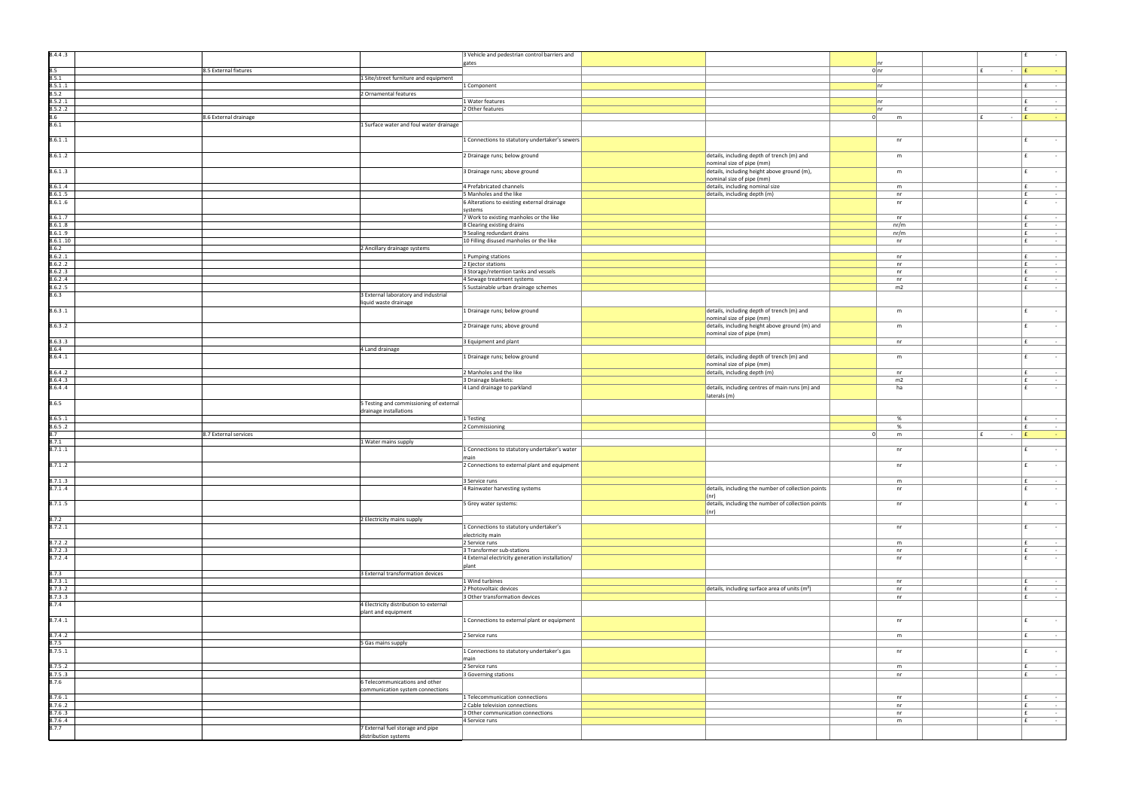| 8.4.4.3            |                                                                    | 3 Vehicle and pedestrian control barriers and                         |                              |                                                            |          |               |             |                     |
|--------------------|--------------------------------------------------------------------|-----------------------------------------------------------------------|------------------------------|------------------------------------------------------------|----------|---------------|-------------|---------------------|
| 8.5                | 8.5 External fixtures                                              | gates                                                                 |                              |                                                            |          | $0 \vert n r$ | $\sim$      |                     |
| 8.5.1              | 1 Site/street furniture and equipment                              |                                                                       |                              |                                                            |          |               |             |                     |
| 8.5.1.1<br>8.5.2   |                                                                    | 1 Component                                                           |                              |                                                            |          | nr            |             | l £                 |
| 8.5.2.1            | 2 Ornamental features                                              | 1 Water features                                                      |                              |                                                            |          | nr            |             | l £                 |
| 8.5.2.2            |                                                                    | 2 Other features                                                      |                              |                                                            |          | Inr           |             | l £                 |
| 8.6                | 8.6 External drainage                                              |                                                                       |                              |                                                            | $\Omega$ | m             | $\sim$      | l £                 |
| 8.6.1              | 1 Surface water and foul water drainage                            |                                                                       |                              |                                                            |          |               |             |                     |
| 8.6.1.1            |                                                                    | 1 Connections to statutory undertaker's sewers                        |                              |                                                            |          | nr            |             | f                   |
|                    |                                                                    |                                                                       |                              |                                                            |          |               |             | f                   |
| 8.6.1.2            |                                                                    | 2 Drainage runs; below ground                                         | nominal size of pipe (mm)    | details, including depth of trench (m) and                 |          | m             |             |                     |
| 8.6.1.3            |                                                                    | 3 Drainage runs; above ground                                         |                              | details, including height above ground (m),                |          | m             |             | $\mathbf{f}$        |
|                    |                                                                    |                                                                       | nominal size of pipe (mm)    |                                                            |          |               |             |                     |
| 8.6.1.4<br>8.6.1.5 |                                                                    | 4 Prefabricated channels<br>5 Manholes and the like                   | details, including depth (m) | details, including nominal size                            |          | m<br>nr       |             | l £<br>E.           |
| 8.6.1.6            |                                                                    | 6 Alterations to existing external drainage                           |                              |                                                            |          | nr            |             | l £                 |
|                    |                                                                    | systems                                                               |                              |                                                            |          |               |             |                     |
| 8.6.1.7<br>8.6.1.8 |                                                                    | 7 Work to existing manholes or the like<br>8 Clearing existing drains |                              |                                                            |          | n r<br>nr/m   |             | l £<br>$\mathbf{f}$ |
| 8.6.1.9            |                                                                    | 9 Sealing redundant drains                                            |                              |                                                            |          | nr/m          |             | E.                  |
| 8.6.1.10           |                                                                    | 10 Filling disused manholes or the like                               |                              |                                                            |          | nr            |             | l £                 |
| 8.6.2<br>8.6.2.1   | 2 Ancillary drainage systems                                       | 1 Pumping stations                                                    |                              |                                                            |          |               |             | E.                  |
| 8.6.2.2            |                                                                    | 2 Ejector stations                                                    |                              |                                                            |          | nr<br>nr      |             | E                   |
| 8.6.2.3            |                                                                    | 3 Storage/retention tanks and vessels                                 |                              |                                                            |          | nr            |             | E.                  |
| 8.6.2.4<br>8.6.2.5 |                                                                    | 4 Sewage treatment systems                                            |                              |                                                            |          | nr            |             | $\mathbf{f}$<br>E   |
| 8.6.3              | 3 External laboratory and industrial                               | 5 Sustainable urban drainage schemes                                  |                              |                                                            |          | m2            |             |                     |
|                    | liquid waste drainage                                              |                                                                       |                              |                                                            |          |               |             |                     |
| 8.6.3.1            |                                                                    | 1 Drainage runs; below ground                                         |                              | details, including depth of trench (m) and                 |          | m             |             |                     |
| 8.6.3.2            |                                                                    | 2 Drainage runs; above ground                                         | nominal size of pipe (mm)    | details, including height above ground (m) and             |          | m             |             | l £                 |
|                    |                                                                    |                                                                       | nominal size of pipe (mm)    |                                                            |          |               |             |                     |
| 8.6.3.3            |                                                                    | 3 Equipment and plant                                                 |                              |                                                            |          | nr            |             | l £                 |
| 8.6.4<br>8.6.4.1   | 4 Land drainage                                                    | 1 Drainage runs; below ground                                         |                              | details, including depth of trench (m) and                 |          | m             |             | $\mathbf{f}$        |
|                    |                                                                    |                                                                       | nominal size of pipe (mm)    |                                                            |          |               |             |                     |
| 8.6.4.2            |                                                                    | 2 Manholes and the like                                               | details, including depth (m) |                                                            |          | nr            |             | E                   |
| 8.6.4.3<br>8.6.4.4 |                                                                    | 3 Drainage blankets:<br>4 Land drainage to parkland                   |                              | details, including centres of main runs (m) and            |          | m2<br>ha      |             | l £<br>f            |
|                    |                                                                    |                                                                       | laterals (m)                 |                                                            |          |               |             |                     |
|                    |                                                                    |                                                                       |                              |                                                            |          |               |             |                     |
| 8.6.5              | 5 Testing and commissioning of external                            |                                                                       |                              |                                                            |          |               |             |                     |
|                    | drainage installations                                             |                                                                       |                              |                                                            |          |               |             |                     |
| 8.6.5.1<br>8.6.5.2 |                                                                    | 1 Testing<br>2 Commissioning                                          |                              |                                                            |          | %<br>%        |             | l £<br>E.           |
| 8.7                | 8.7 External services                                              |                                                                       |                              |                                                            | $\Omega$ | m             | £<br>$\sim$ | E                   |
| 8.7.1              | 1 Water mains supply                                               |                                                                       |                              |                                                            |          |               |             |                     |
| 8.7.1.1            |                                                                    | 1 Connections to statutory undertaker's water<br><i>I</i> main        |                              |                                                            |          | nr            |             | f                   |
| 8.7.1.2            |                                                                    | 2 Connections to external plant and equipment                         |                              |                                                            |          | nr            |             | $\mathbf{f}$        |
|                    |                                                                    |                                                                       |                              |                                                            |          |               |             |                     |
| 8.7.1.3<br>8.7.1.4 |                                                                    | 3 Service runs<br>4 Rainwater harvesting systems                      |                              |                                                            |          | m<br>nr       |             | f <br>l £           |
|                    |                                                                    |                                                                       | $ $ (nr)                     | details, including the number of collection points         |          |               |             |                     |
| 8.7.1.5            |                                                                    | 5 Grey water systems:                                                 |                              | details, including the number of collection points         |          | nr            |             | f                   |
| 8.7.2              | 2 Electricity mains supply                                         |                                                                       | $ $ (nr)                     |                                                            |          |               |             |                     |
| 8.7.2.1            |                                                                    | 1 Connections to statutory undertaker's                               |                              |                                                            |          | nr            |             | £                   |
|                    |                                                                    | electricity main                                                      |                              |                                                            |          |               |             |                     |
| 8.7.2.2<br>8.7.2.3 |                                                                    | 2 Service runs<br>3 Transformer sub-stations                          |                              |                                                            |          | m<br>nr       |             | E<br>Ι£             |
| 8.7.2.4            |                                                                    | 4 External electricity generation installation/                       |                              |                                                            |          | nr            |             | E                   |
|                    |                                                                    | plant                                                                 |                              |                                                            |          |               |             |                     |
| 8.7.3              | 3 External transformation devices                                  |                                                                       |                              |                                                            |          |               |             |                     |
| 8.7.3.1<br>8.7.3.2 |                                                                    | 1 Wind turbines<br>2 Photovoltaic devices                             |                              | details, including surface area of units (m <sup>2</sup> ) |          | nr<br>nr      |             | Ι£<br>E.            |
| 8.7.3.3            |                                                                    | 3 Other transformation devices                                        |                              |                                                            |          | nr            |             | l £                 |
| 8.7.4              | 4 Electricity distribution to external                             |                                                                       |                              |                                                            |          |               |             |                     |
| 8.7.4.1            | plant and equipment                                                | 1 Connections to external plant or equipment                          |                              |                                                            |          | nr            |             | l £                 |
|                    |                                                                    |                                                                       |                              |                                                            |          |               |             |                     |
| 8.7.4.2            |                                                                    | 2 Service runs                                                        |                              |                                                            |          | m             |             | Ι£                  |
| 3.7.5<br>8.7.5.1   | 5 Gas mains supply                                                 | 1 Connections to statutory undertaker's gas                           |                              |                                                            |          | nr            |             | f                   |
|                    |                                                                    | main                                                                  |                              |                                                            |          |               |             |                     |
| 8.7.5.2            |                                                                    | 2 Service runs                                                        |                              |                                                            |          | m             |             | Ι£                  |
| 8.7.5.3<br>8.7.6   |                                                                    | 3 Governing stations                                                  |                              |                                                            |          | nr            |             | E                   |
|                    | 6 Telecommunications and other<br>communication system connections |                                                                       |                              |                                                            |          |               |             |                     |
| 8.7.6.1            |                                                                    | 1 Telecommunication connections                                       |                              |                                                            |          | nr            |             | E.                  |
| 8.7.6.2            |                                                                    | 2 Cable television connections                                        |                              |                                                            |          | nr            |             | E                   |
| 8.7.6.3<br>8.7.6.4 |                                                                    | 3 Other communication connections<br>4 Service runs                   |                              |                                                            |          | nr<br>m       |             | E.<br>l £           |
| 8.7.7              | 7 External fuel storage and pipe<br>distribution systems           |                                                                       |                              |                                                            |          |               |             |                     |

|                |           |                     | £<br>÷                               |
|----------------|-----------|---------------------|--------------------------------------|
|                |           |                     |                                      |
|                | nr        |                     |                                      |
|                | 0 n r     | £<br>$\blacksquare$ | £<br>÷                               |
|                |           |                     |                                      |
|                | nr        |                     | £<br>$\overline{\phantom{a}}$        |
|                |           |                     |                                      |
|                | nr        |                     | £<br>÷,                              |
|                |           |                     |                                      |
|                | nr        |                     | £<br>$\overline{\phantom{a}}$        |
| $\bf{0}$       | m         | £<br>-              | £<br>۳                               |
|                |           |                     |                                      |
|                |           |                     |                                      |
|                | $\sf{nr}$ |                     | £<br>÷                               |
|                |           |                     |                                      |
|                | ${\sf m}$ |                     | £<br>÷,                              |
|                |           |                     |                                      |
|                |           |                     |                                      |
|                | ${\sf m}$ |                     | £<br>÷                               |
|                |           |                     |                                      |
|                | m         |                     | £<br>÷,                              |
|                | $\sf{nr}$ |                     | £<br>÷                               |
|                | $\sf{nr}$ |                     | £<br>÷                               |
|                |           |                     |                                      |
|                | nr        |                     | £<br>÷                               |
|                | nr/m      |                     | £                                    |
|                |           |                     | -                                    |
|                | nr/m      |                     | £<br>$\overline{a}$                  |
|                | $\sf{nr}$ |                     | £<br>J,                              |
|                |           |                     |                                      |
|                | nr        |                     | £<br>÷                               |
|                | $\sf{nr}$ |                     | £<br>$\overline{\phantom{a}}$        |
|                | $\sf{nr}$ |                     | £<br>÷                               |
|                | $\sf{nr}$ |                     | £<br>÷                               |
|                | m2        |                     | £<br>÷,                              |
|                |           |                     |                                      |
|                |           |                     |                                      |
|                |           |                     |                                      |
|                | m         |                     | £<br>÷                               |
|                |           |                     |                                      |
|                | m         |                     | £<br>÷                               |
|                |           |                     |                                      |
|                | $\sf{nr}$ |                     | £<br>÷                               |
|                |           |                     |                                      |
|                | ${\sf m}$ |                     | £<br>÷                               |
|                |           |                     |                                      |
|                |           |                     |                                      |
|                | $\sf{nr}$ |                     | £<br>÷                               |
|                | m2        |                     | £<br>÷,                              |
|                | ha        |                     | £<br>J,                              |
|                |           |                     |                                      |
|                |           |                     |                                      |
|                |           |                     |                                      |
|                |           |                     |                                      |
|                |           |                     |                                      |
|                | $\%$      |                     | £<br>$\overline{\phantom{m}}$        |
|                | %         |                     | £<br>÷                               |
| $\overline{0}$ | m         | £<br>$\blacksquare$ | $\overline{\textbf{f}}$<br>÷         |
|                |           |                     |                                      |
|                | nr        |                     | £<br>÷                               |
|                |           |                     |                                      |
|                | nr        |                     | £<br>÷                               |
|                |           |                     |                                      |
|                | m         |                     | £<br>-                               |
|                | $\sf{nr}$ |                     | £<br>ä,                              |
|                |           |                     |                                      |
|                |           |                     |                                      |
|                | $\sf{nr}$ |                     | £<br>$\overline{\phantom{m}}$        |
|                |           |                     |                                      |
|                |           |                     |                                      |
|                | $\sf{nr}$ |                     | £<br>$\overline{\phantom{m}}$        |
|                |           |                     |                                      |
|                | m         |                     | £<br>÷,                              |
|                | $\sf{nr}$ |                     | £<br>$\overline{\phantom{a}}$        |
|                | $\sf{nr}$ |                     | £<br>÷,                              |
|                |           |                     |                                      |
|                |           |                     |                                      |
|                |           |                     |                                      |
|                | nr        |                     | £<br>$\overline{\phantom{a}}$        |
|                | $\sf{nr}$ |                     | £<br>-                               |
|                | $\sf{nr}$ |                     | £<br>÷,                              |
|                |           |                     |                                      |
|                |           |                     |                                      |
|                | nr        |                     | £<br>÷                               |
|                |           |                     |                                      |
|                | m         |                     | £<br>$\overline{\phantom{a}}$        |
|                |           |                     |                                      |
|                | nr        |                     | £<br>÷,                              |
|                |           |                     |                                      |
|                |           |                     | £                                    |
|                | m         |                     | ÷,<br>÷,                             |
|                | $\sf{nr}$ |                     | £                                    |
|                |           |                     |                                      |
|                |           |                     |                                      |
|                | nr        |                     | £<br>÷                               |
|                | $\sf{nr}$ |                     | £<br>÷,                              |
|                | $\sf{nr}$ |                     | $\pmb{\mathsf{f}}$<br>$\blacksquare$ |
|                | m         |                     | £<br>۰                               |
|                |           |                     |                                      |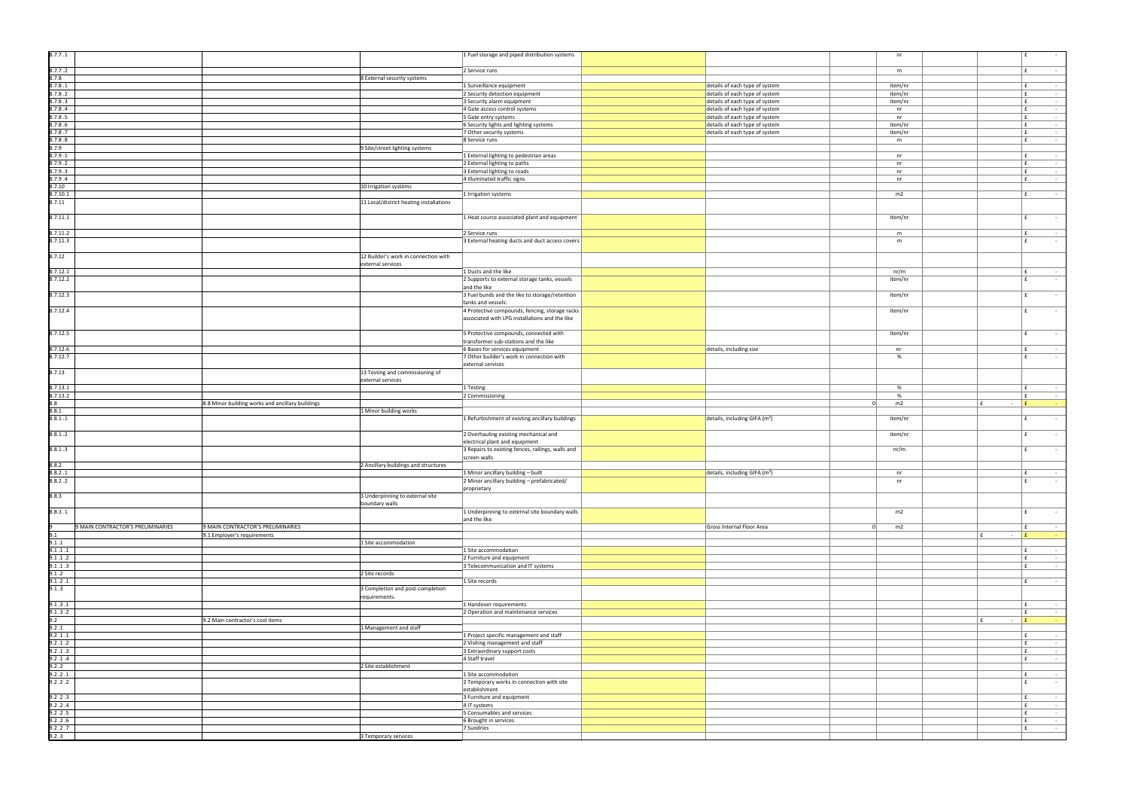|           | nr                     |         | £           | $\overline{\phantom{a}}$      |
|-----------|------------------------|---------|-------------|-------------------------------|
|           | m                      |         | £           | ÷,                            |
|           |                        |         |             |                               |
|           | item/nr<br>item/nr     |         | £<br>£      | ÷<br>$\overline{\phantom{a}}$ |
|           | item/nr                |         | £           | ÷                             |
|           | n r                    |         | £           | ÷                             |
|           | $\sf{nr}$<br>item/nr   |         | £<br>£      | ÷<br>$\blacksquare$           |
|           | item/nr                |         | £           | $\overline{\phantom{0}}$      |
|           | m                      |         | £           | ÷,                            |
|           | nr                     |         | £           | ÷                             |
|           | nr                     |         | £           | ÷                             |
|           | nr                     |         | £           | ÷,                            |
|           | nr                     |         | £           | $\blacksquare$                |
|           | m2                     |         | £           | ÷                             |
|           |                        |         |             |                               |
|           | item/nr                |         | £           | ÷                             |
|           |                        |         |             |                               |
|           | ${\sf m}$<br>${\sf m}$ |         | £<br>£      | ÷<br>$\overline{\phantom{a}}$ |
|           |                        |         |             |                               |
|           |                        |         |             |                               |
|           | nr/m                   |         | £           | -                             |
|           | item/nr                |         | £           | L,                            |
|           | item/nr                |         | £           | ٠                             |
|           |                        |         |             |                               |
|           | item/nr                |         | £           | ÷,                            |
|           |                        |         |             |                               |
|           | item/nr                |         | £           | ÷                             |
|           |                        |         |             |                               |
|           | nr<br>$\%$             |         | £<br>£      | ÷<br>L,                       |
|           |                        |         |             |                               |
|           |                        |         |             |                               |
|           | $\%$                   |         | £           | -                             |
|           | $\%$                   |         | £           | $\blacksquare$                |
| $\pmb{0}$ | m2                     | £<br>÷  | £           | ÷                             |
|           | item/nr                |         | £           | ÷,                            |
|           |                        |         |             |                               |
|           | item/nr                |         | £           | ÷                             |
|           | nr/m                   |         | £           | ÷,                            |
|           |                        |         |             |                               |
|           |                        |         |             |                               |
|           | nr                     |         | f(x)        | $\overline{a}$                |
|           | nr                     |         | £           | $\overline{\phantom{a}}$      |
|           |                        |         |             |                               |
|           |                        |         |             |                               |
|           | m2                     |         | £           | ÷                             |
| $\pmb{0}$ | m2                     |         | $\mathbf f$ | ÷                             |
|           |                        | £<br>÷  | £           | ä,                            |
|           |                        |         |             |                               |
|           |                        |         | £<br>£      | ÷<br>÷,                       |
|           |                        |         | $\mathbf f$ | ÷                             |
|           |                        |         | £           |                               |
|           |                        |         |             | ÷                             |
|           |                        |         |             |                               |
|           |                        |         | £<br>£      | -<br>÷,                       |
|           |                        | £<br>÷, | £           | ÷                             |
|           |                        |         |             |                               |
|           |                        |         | £<br>£      | -<br>Ę                        |
|           |                        |         | £           | $\blacksquare$                |
|           |                        |         | £           | $\frac{1}{2}$                 |
|           |                        |         | £           | ÷,                            |
|           |                        |         | £           | ÷,                            |
|           |                        |         | £           | ÷                             |
|           |                        |         | £           | ÷                             |
|           |                        |         | £           | $\overline{\phantom{a}}$      |
|           |                        |         | £<br>£      | -<br>÷,                       |

| 8.7.7.1                           |                                                  |                                                   | 1 Fuel storage and piped distribution systems                                       |                                                                  | nr                 | l £                         |
|-----------------------------------|--------------------------------------------------|---------------------------------------------------|-------------------------------------------------------------------------------------|------------------------------------------------------------------|--------------------|-----------------------------|
| 8.7.7.2                           |                                                  |                                                   | 2 Service runs                                                                      |                                                                  | m                  | Ι£                          |
| 8.7.8                             |                                                  | 8 External security systems                       |                                                                                     |                                                                  |                    |                             |
| 8.7.8.1                           |                                                  |                                                   | 1 Surveillance equipment                                                            | details of each type of system                                   | item/nr            | Ι£                          |
| 8.7.8.2<br>8.7.8.3                |                                                  |                                                   | 2 Security detection equipment<br>3 Security alarm equipment                        | details of each type of system<br>details of each type of system | item/nr<br>item/nr | E.<br>E                     |
| 8.7.8.4                           |                                                  |                                                   | 4 Gate access control systems                                                       | details of each type of system                                   | nr                 | E.                          |
| 8.7.8.5                           |                                                  |                                                   | 5 Gate entry systems                                                                | details of each type of system                                   | nr                 | E.                          |
| 8.7.8.6                           |                                                  |                                                   | 6 Security lights and lighting systems                                              | details of each type of system                                   | item/nr            | E.                          |
| 8.7.8.7                           |                                                  |                                                   | 7 Other security systems                                                            | details of each type of system                                   | item/nr            | f                           |
| 8.7.8.8                           |                                                  |                                                   | 8 Service runs                                                                      |                                                                  | m                  | l £                         |
| 8.7.9<br>8.7.9.1                  |                                                  | 9 Site/street lighting systems                    | 1 External lighting to pedestrian areas                                             |                                                                  | nr                 | E                           |
| 8.7.9.2                           |                                                  |                                                   | 2 External lighting to paths                                                        |                                                                  | nr                 | Ι£                          |
| 8.7.9.3                           |                                                  |                                                   | 3 External lighting to roads                                                        |                                                                  | nr                 | E.                          |
| 8.7.9.4                           |                                                  |                                                   | 4 Illuminated traffic signs                                                         |                                                                  | nr                 | l £                         |
| 8.7.10                            |                                                  | 10 Irrigation systems                             |                                                                                     |                                                                  |                    |                             |
| 8.7.10.1<br>8.7.11                |                                                  | 11 Local/district heating installations           | 1 Irrigation systems                                                                |                                                                  | m2                 | Ι£                          |
|                                   |                                                  |                                                   |                                                                                     |                                                                  |                    |                             |
| 8.7.11.1                          |                                                  |                                                   | 1 Heat source associated plant and equipment                                        |                                                                  | item/nr            | l £                         |
|                                   |                                                  |                                                   |                                                                                     |                                                                  |                    |                             |
| 8.7.11.2                          |                                                  |                                                   | 2 Service runs                                                                      |                                                                  | m                  | Ι£<br>$\mathbf{f}$          |
| 8.7.11.3                          |                                                  |                                                   | 3 External heating ducts and duct access covers                                     |                                                                  | m                  |                             |
| 8.7.12                            |                                                  | 12 Builder's work in connection with              |                                                                                     |                                                                  |                    |                             |
|                                   |                                                  | external services                                 |                                                                                     |                                                                  |                    |                             |
| 8.7.12.1                          |                                                  |                                                   | 1 Ducts and the like                                                                |                                                                  | nr/m               | l £                         |
| 3.7.12.2                          |                                                  |                                                   | 2 Supports to external storage tanks, vessels                                       |                                                                  | item/nr            | f                           |
| 3.7.12.3                          |                                                  |                                                   | and the like<br>3 Fuel bunds and the like to storage/retention                      |                                                                  |                    | f                           |
|                                   |                                                  |                                                   | tanks and vessels:                                                                  |                                                                  | item/nr            |                             |
| 8.7.12.4                          |                                                  |                                                   | 4 Protective compounds, fencing, storage racks                                      |                                                                  | item/nr            | f                           |
|                                   |                                                  |                                                   | associated with LPG installations and the like                                      |                                                                  |                    |                             |
|                                   |                                                  |                                                   |                                                                                     |                                                                  |                    |                             |
| 8.7.12.5                          |                                                  |                                                   | 5 Protective compounds, connected with                                              |                                                                  | item/nr            | f                           |
| 8.7.12.6                          |                                                  |                                                   | transformer sub-stations and the like<br>6 Bases for services equipment             | details, including size                                          | nr                 | E                           |
| 8.7.12.7                          |                                                  |                                                   | 7 Other builder's work in connection with                                           |                                                                  | %                  | l £                         |
|                                   |                                                  |                                                   | external services                                                                   |                                                                  |                    |                             |
| 8.7.13                            |                                                  | 13 Testing and commissioning of                   |                                                                                     |                                                                  |                    |                             |
|                                   |                                                  | external services                                 |                                                                                     |                                                                  |                    |                             |
| 8.7.13.1<br>3.7.13.2              |                                                  |                                                   | 1 Testing<br>2 Commissioning                                                        |                                                                  | %<br>%             | Ι£<br>Ι£                    |
| 8.8                               | 8.8 Minor building works and ancillary buildings |                                                   |                                                                                     | 0                                                                | m2                 | E<br>l£.<br>$\sim$          |
| 8.8.1                             |                                                  | 1 Minor building works                            |                                                                                     |                                                                  |                    |                             |
| 8.8.1.1                           |                                                  |                                                   | 1 Refurbishment of existing ancillary buildings                                     | details, including GIFA (m <sup>2</sup> )                        | item/nr            | f                           |
|                                   |                                                  |                                                   |                                                                                     |                                                                  |                    |                             |
| 8.8.1.2                           |                                                  |                                                   | 2 Overhauling existing mechanical and                                               |                                                                  | item/nr            | $\mathbf{f}$                |
| 8.8.1.3                           |                                                  |                                                   | electrical plant and equipment<br>3 Repairs to existing fences, railings, walls and |                                                                  | nr/m               | f                           |
|                                   |                                                  |                                                   | screen walls                                                                        |                                                                  |                    |                             |
| 8.8.2                             |                                                  | 2 Ancillary buildings and structures              |                                                                                     |                                                                  |                    |                             |
| 8.8.2.1                           |                                                  |                                                   | 1 Minor ancillary building - built                                                  | details, including GIFA (m <sup>2</sup> )                        | nr                 | Ι£                          |
| 8.8.2.2                           |                                                  |                                                   | 2 Minor ancillary building - prefabricated/                                         |                                                                  | nr                 | £                           |
| 8.8.3                             |                                                  | 3 Underpinning to external site                   | proprietary                                                                         |                                                                  |                    |                             |
|                                   |                                                  | boundary walls                                    |                                                                                     |                                                                  |                    |                             |
| 8.8.3.1                           |                                                  |                                                   |                                                                                     |                                                                  |                    |                             |
|                                   |                                                  |                                                   | 1 Underpinning to external site boundary walls                                      |                                                                  | m2                 | l £                         |
|                                   |                                                  |                                                   | and the like                                                                        |                                                                  |                    |                             |
| 9 MAIN CONTRACTOR'S PRELIMINARIES | 9 MAIN CONTRACTOR'S PRELIMINARIES                |                                                   |                                                                                     | Gross Internal Floor Area<br>$\Omega$                            | m2                 | Ι£                          |
| 9.1                               | 9.1 Employer's requirements                      |                                                   |                                                                                     |                                                                  |                    | E<br>$\sim$                 |
| 9.1.1<br>9.1.1.1                  |                                                  | 1 Site accommodation                              | 1 Site accommodation                                                                |                                                                  |                    | l £                         |
| 9.1.1.2                           |                                                  |                                                   | 2 Furniture and equipment                                                           |                                                                  |                    | l £                         |
| 9.1.1.3                           |                                                  |                                                   | 3 Telecommunication and IT systems                                                  |                                                                  |                    | l £                         |
| 9.1.2                             |                                                  | 2 Site records                                    |                                                                                     |                                                                  |                    |                             |
| 9.1.2.1                           |                                                  |                                                   | 1 Site records                                                                      |                                                                  |                    | Ι£                          |
| 9.1.3                             |                                                  | 3 Completion and post-completion<br>requirements. |                                                                                     |                                                                  |                    |                             |
| 9.1.3.1                           |                                                  |                                                   | 1 Handover requirements                                                             |                                                                  |                    | l £                         |
| 9.1.3.2                           |                                                  |                                                   | 2 Operation and maintenance services                                                |                                                                  |                    | l £                         |
| 9.2                               | 9.2 Main contractor's cost items                 |                                                   |                                                                                     |                                                                  |                    | E<br>$\mathbf{f}$<br>$\sim$ |
| 9.2.1                             |                                                  | 1 Management and staff                            |                                                                                     |                                                                  |                    |                             |
| 9.2.1.1<br>9.2.1.2                |                                                  |                                                   | 1 Project specific management and staff<br>2 Visiting management and staff          |                                                                  |                    | Ι£<br>E.                    |
| 9.2.1.3                           |                                                  |                                                   | 3 Extraordinary support costs                                                       |                                                                  |                    | E.                          |
| 9.2.1.4                           |                                                  |                                                   | 4 Staff travel                                                                      |                                                                  |                    | E.                          |
| 9.2.2                             |                                                  | 2 Site establishment                              |                                                                                     |                                                                  |                    |                             |
| 9.2.2.1                           |                                                  |                                                   | 1 Site accommodation                                                                |                                                                  |                    | Ι£                          |
| 9.2.2.2                           |                                                  |                                                   | 2 Temporary works in connection with site<br>establishment                          |                                                                  |                    | l £                         |
| 9.2.2.3                           |                                                  |                                                   | 3 Furniture and equipment                                                           |                                                                  |                    | Ι£                          |
| 9.2.2.4                           |                                                  |                                                   | 4 IT systems                                                                        |                                                                  |                    | E.                          |
| 9.2.2.5                           |                                                  |                                                   | 5 Consumables and services                                                          |                                                                  |                    | f                           |
| 9.2.2.6                           |                                                  |                                                   | 6 Brought in services                                                               |                                                                  |                    | l £                         |
| 9.2.2.7<br>9.2.3                  |                                                  | 3 Temporary services                              | 7 Sundries                                                                          |                                                                  |                    | E.                          |